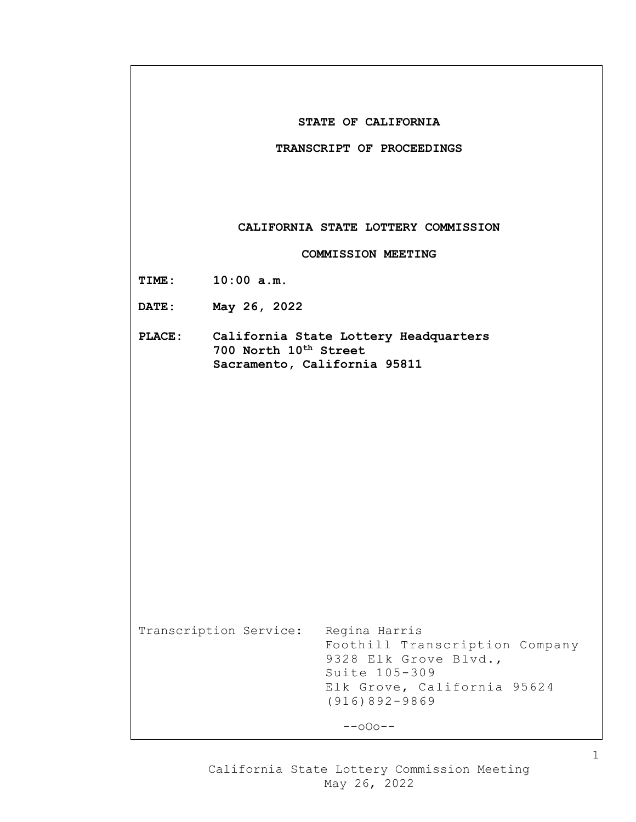|                           | STATE OF CALIFORNIA<br>TRANSCRIPT OF PROCEEDINGS                                                                                                                        |  |  |
|---------------------------|-------------------------------------------------------------------------------------------------------------------------------------------------------------------------|--|--|
|                           |                                                                                                                                                                         |  |  |
|                           |                                                                                                                                                                         |  |  |
|                           | CALIFORNIA STATE LOTTERY COMMISSION                                                                                                                                     |  |  |
| <b>COMMISSION MEETING</b> |                                                                                                                                                                         |  |  |
|                           | TIME: 10:00 a.m.                                                                                                                                                        |  |  |
|                           | DATE: May 26, 2022                                                                                                                                                      |  |  |
|                           | PLACE: California State Lottery Headquarters<br>700 North 10 <sup>th</sup> Street<br>Sacramento, California 95811                                                       |  |  |
|                           |                                                                                                                                                                         |  |  |
|                           |                                                                                                                                                                         |  |  |
|                           |                                                                                                                                                                         |  |  |
|                           |                                                                                                                                                                         |  |  |
|                           | Transcription Service:<br>Regina Harris<br>Foothill Transcription Company<br>9328 Elk Grove Blvd.,<br>Suite 105-309<br>Elk Grove, California 95624<br>$(916)892 - 9869$ |  |  |
|                           | $--000--$                                                                                                                                                               |  |  |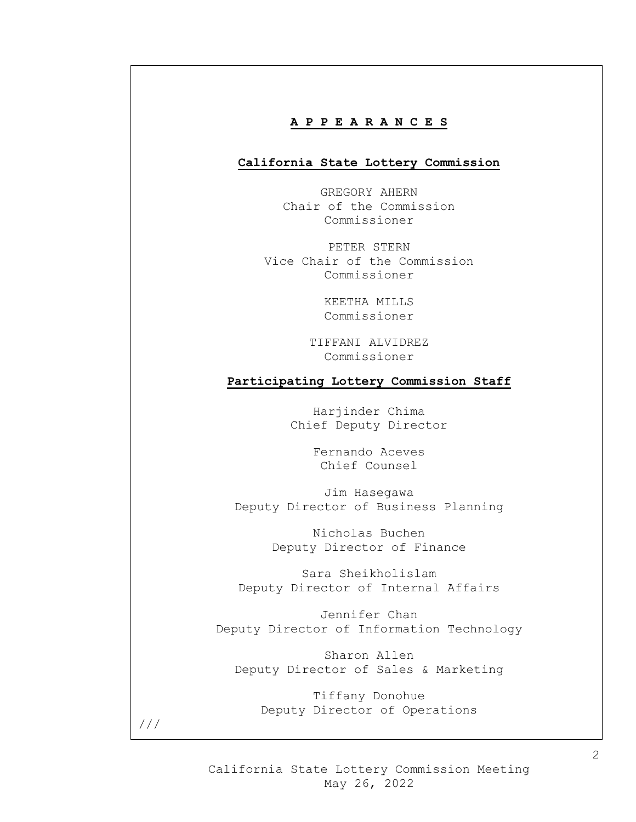## **A P P E A R A N C E S**

## **California State Lottery Commission**

GREGORY AHERN Chair of the Commission Commissioner

PETER STERN Vice Chair of the Commission Commissioner

> KEETHA MILLS Commissioner

TIFFANI ALVIDREZ Commissioner

## **Participating Lottery Commission Staff**

Harjinder Chima Chief Deputy Director

> Fernando Aceves Chief Counsel

Jim Hasegawa Deputy Director of Business Planning

> Nicholas Buchen Deputy Director of Finance

Sara Sheikholislam Deputy Director of Internal Affairs

Jennifer Chan Deputy Director of Information Technology

Sharon Allen Deputy Director of Sales & Marketing

Tiffany Donohue Deputy Director of Operations

///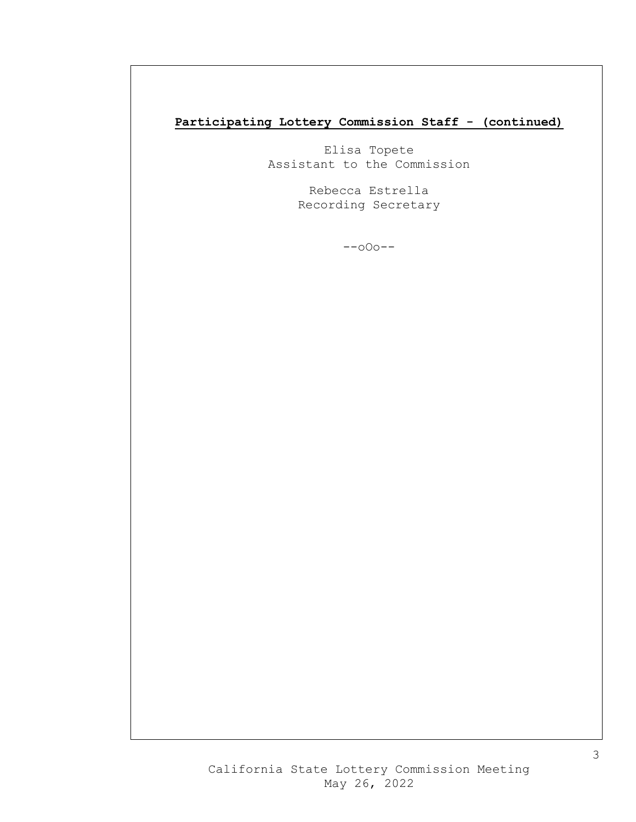# **Participating Lottery Commission Staff - (continued)**

Elisa Topete Assistant to the Commission

> Rebecca Estrella Recording Secretary

> > --oOo--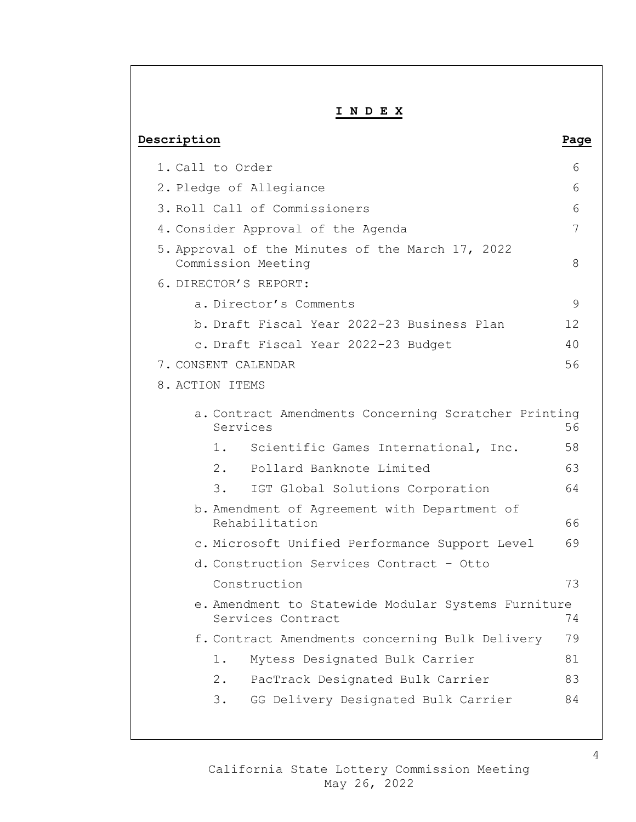| INDEX                                                                    |      |  |  |
|--------------------------------------------------------------------------|------|--|--|
| Description                                                              | Page |  |  |
| 1. Call to Order                                                         | 6    |  |  |
| 2. Pledge of Allegiance                                                  | 6    |  |  |
| 3. Roll Call of Commissioners                                            | 6    |  |  |
| 4. Consider Approval of the Agenda                                       | 7    |  |  |
| 5. Approval of the Minutes of the March 17, 2022<br>Commission Meeting   | 8    |  |  |
| 6. DIRECTOR'S REPORT:                                                    |      |  |  |
| a. Director's Comments                                                   | 9    |  |  |
| b. Draft Fiscal Year 2022-23 Business Plan                               | 12   |  |  |
| c. Draft Fiscal Year 2022-23 Budget                                      | 40   |  |  |
| 7. CONSENT CALENDAR                                                      | 56   |  |  |
| 8. ACTION ITEMS                                                          |      |  |  |
| a. Contract Amendments Concerning Scratcher Printing<br>Services         | 56   |  |  |
| 1.<br>Scientific Games International, Inc.                               | 58   |  |  |
| Pollard Banknote Limited<br>2.                                           | 63   |  |  |
| IGT Global Solutions Corporation<br>3.                                   | 64   |  |  |
| b. Amendment of Agreement with Department of<br>Rehabilitation           | 66   |  |  |
| c. Microsoft Unified Performance Support Level                           | 69   |  |  |
| d. Construction Services Contract - Otto                                 |      |  |  |
| Construction                                                             | 73   |  |  |
| e. Amendment to Statewide Modular Systems Furniture<br>Services Contract | 74   |  |  |
| f. Contract Amendments concerning Bulk Delivery                          | 79   |  |  |
| Mytess Designated Bulk Carrier<br>1.                                     | 81   |  |  |
| PacTrack Designated Bulk Carrier<br>2.                                   | 83   |  |  |
| GG Delivery Designated Bulk Carrier<br>3.                                | 84   |  |  |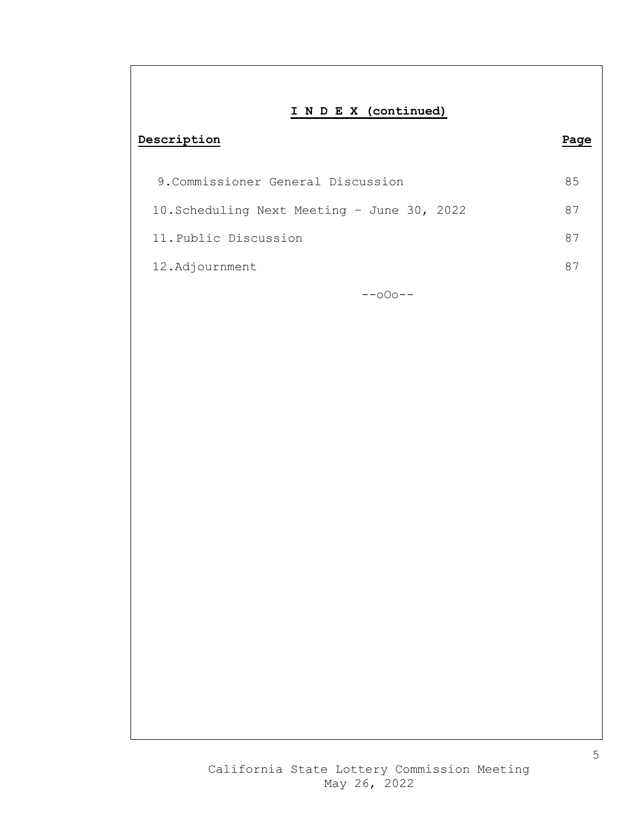# **I N D E X (continued)**

## **Description Page**

| 9. Commissioner General Discussion          | 85 |
|---------------------------------------------|----|
| 10. Scheduling Next Meeting - June 30, 2022 | 87 |
| 11. Public Discussion                       |    |
| 12.Adjournment                              |    |

--oOo--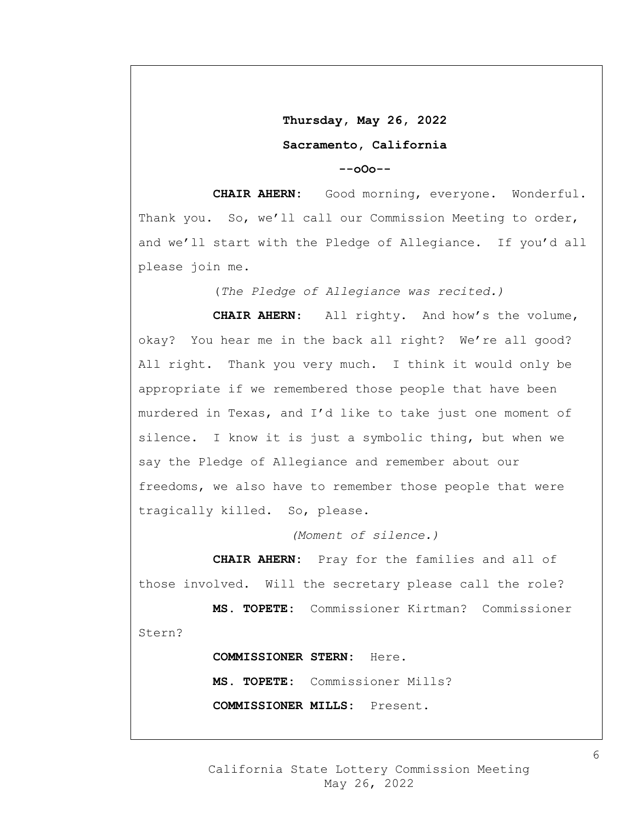**Thursday, May 26, 2022 Sacramento, California** 

**--oOo--**

**CHAIR AHERN:** Good morning, everyone. Wonderful. Thank you. So, we'll call our Commission Meeting to order, and we'll start with the Pledge of Allegiance. If you'd all please join me.

(*The Pledge of Allegiance was recited.)*

**CHAIR AHERN**: All righty. And how's the volume, okay? You hear me in the back all right? We're all good? All right. Thank you very much. I think it would only be appropriate if we remembered those people that have been murdered in Texas, and I'd like to take just one moment of silence. I know it is just a symbolic thing, but when we say the Pledge of Allegiance and remember about our freedoms, we also have to remember those people that were tragically killed. So, please.

*(Moment of silence.)*

**CHAIR AHERN:** Pray for the families and all of those involved. Will the secretary please call the role?

**MS. TOPETE:** Commissioner Kirtman? Commissioner Stern?

> **COMMISSIONER STERN:** Here. **MS. TOPETE:** Commissioner Mills? **COMMISSIONER MILLS:** Present.

California State Lottery Commission Meeting May 26, 2022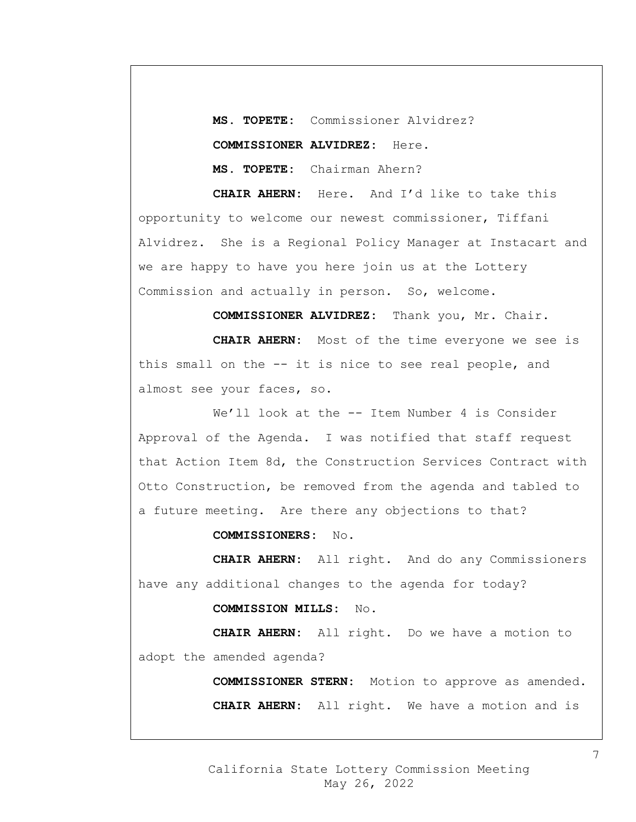**MS. TOPETE:** Commissioner Alvidrez? **COMMISSIONER ALVIDREZ:** Here. **MS. TOPETE:** Chairman Ahern?

**CHAIR AHERN:** Here. And I'd like to take this opportunity to welcome our newest commissioner, Tiffani Alvidrez. She is a Regional Policy Manager at Instacart and we are happy to have you here join us at the Lottery Commission and actually in person. So, welcome.

**COMMISSIONER ALVIDREZ:** Thank you, Mr. Chair.

**CHAIR AHERN:** Most of the time everyone we see is this small on the -- it is nice to see real people, and almost see your faces, so.

We'll look at the -- Item Number 4 is Consider Approval of the Agenda. I was notified that staff request that Action Item 8d, the Construction Services Contract with Otto Construction, be removed from the agenda and tabled to a future meeting. Are there any objections to that?

**COMMISSIONERS:** No.

**CHAIR AHERN:** All right. And do any Commissioners have any additional changes to the agenda for today?

### **COMMISSION MILLS:** No.

**CHAIR AHERN:** All right. Do we have a motion to adopt the amended agenda?

> **COMMISSIONER STERN:** Motion to approve as amended. **CHAIR AHERN:** All right. We have a motion and is

7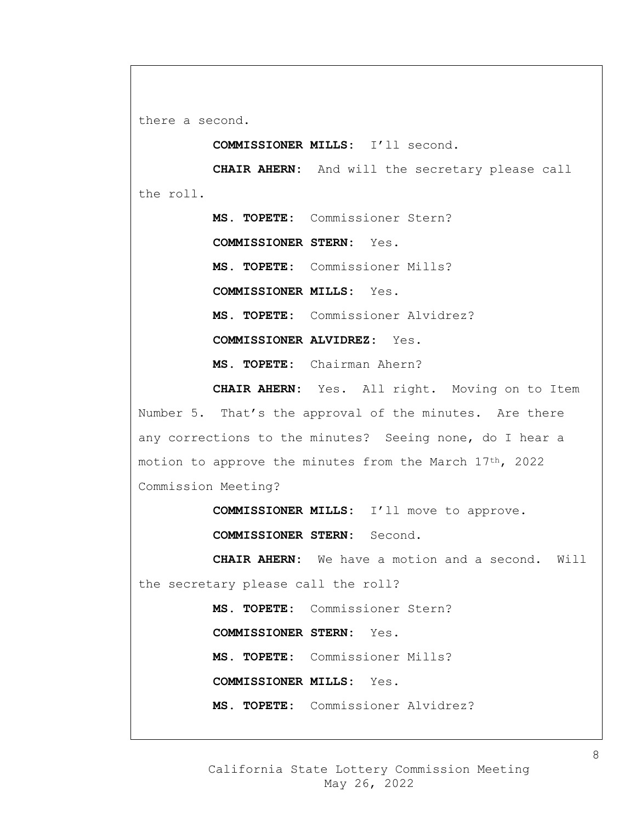there a second.

**COMMISSIONER MILLS:** I'll second.

**CHAIR AHERN:** And will the secretary please call the roll.

> **MS. TOPETE:** Commissioner Stern? **COMMISSIONER STERN:** Yes. **MS. TOPETE:** Commissioner Mills? **COMMISSIONER MILLS:** Yes. **MS. TOPETE:** Commissioner Alvidrez? **COMMISSIONER ALVIDREZ:** Yes. **MS. TOPETE:** Chairman Ahern?

**CHAIR AHERN:** Yes. All right. Moving on to Item Number 5. That's the approval of the minutes. Are there any corrections to the minutes? Seeing none, do I hear a motion to approve the minutes from the March 17th, 2022 Commission Meeting?

> **COMMISSIONER MILLS:** I'll move to approve. **COMMISSIONER STERN:** Second.

**CHAIR AHERN:** We have a motion and a second. Will the secretary please call the roll?

> **MS. TOPETE:** Commissioner Stern? **COMMISSIONER STERN:** Yes. **MS. TOPETE:** Commissioner Mills? **COMMISSIONER MILLS:** Yes. **MS. TOPETE:** Commissioner Alvidrez?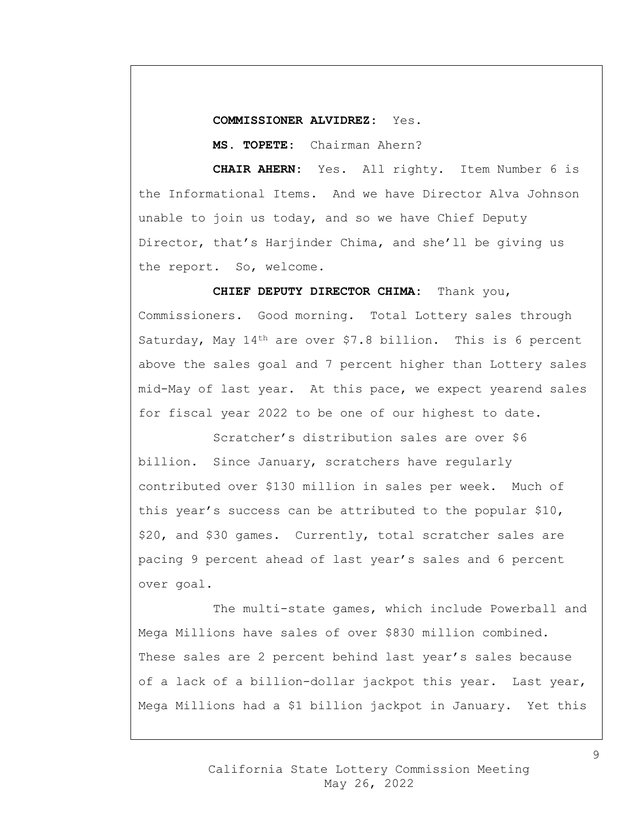## **COMMISSIONER ALVIDREZ:** Yes.

**MS. TOPETE:** Chairman Ahern?

**CHAIR AHERN:** Yes. All righty. Item Number 6 is the Informational Items. And we have Director Alva Johnson unable to join us today, and so we have Chief Deputy Director, that's Harjinder Chima, and she'll be giving us the report. So, welcome.

**CHIEF DEPUTY DIRECTOR CHIMA:** Thank you, Commissioners. Good morning. Total Lottery sales through Saturday, May 14<sup>th</sup> are over \$7.8 billion. This is 6 percent above the sales goal and 7 percent higher than Lottery sales mid-May of last year. At this pace, we expect yearend sales for fiscal year 2022 to be one of our highest to date.

Scratcher's distribution sales are over \$6 billion. Since January, scratchers have regularly contributed over \$130 million in sales per week. Much of this year's success can be attributed to the popular \$10, \$20, and \$30 games. Currently, total scratcher sales are pacing 9 percent ahead of last year's sales and 6 percent over goal.

The multi-state games, which include Powerball and Mega Millions have sales of over \$830 million combined. These sales are 2 percent behind last year's sales because of a lack of a billion-dollar jackpot this year. Last year, Mega Millions had a \$1 billion jackpot in January. Yet this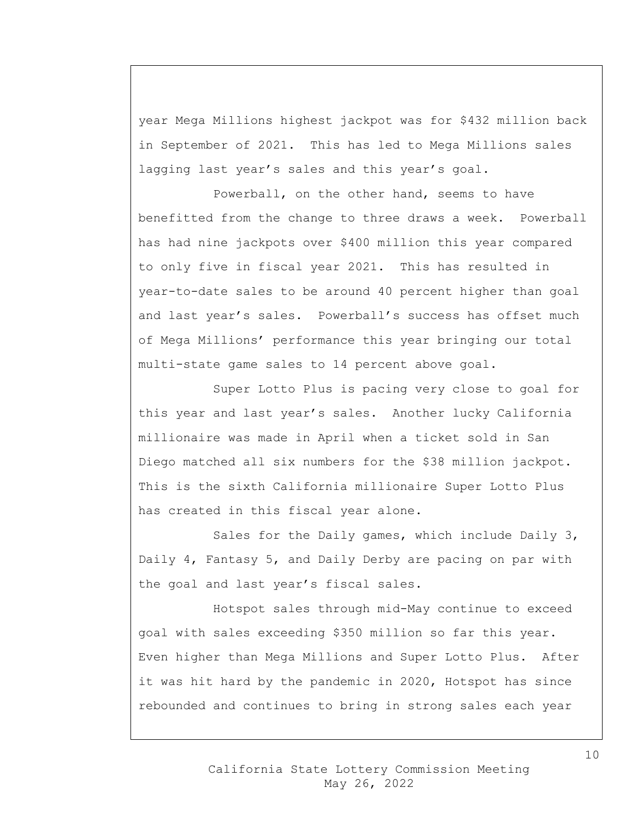year Mega Millions highest jackpot was for \$432 million back in September of 2021. This has led to Mega Millions sales lagging last year's sales and this year's goal.

Powerball, on the other hand, seems to have benefitted from the change to three draws a week. Powerball has had nine jackpots over \$400 million this year compared to only five in fiscal year 2021. This has resulted in year-to-date sales to be around 40 percent higher than goal and last year's sales. Powerball's success has offset much of Mega Millions' performance this year bringing our total multi-state game sales to 14 percent above goal.

Super Lotto Plus is pacing very close to goal for this year and last year's sales. Another lucky California millionaire was made in April when a ticket sold in San Diego matched all six numbers for the \$38 million jackpot. This is the sixth California millionaire Super Lotto Plus has created in this fiscal year alone.

Sales for the Daily games, which include Daily 3, Daily 4, Fantasy 5, and Daily Derby are pacing on par with the goal and last year's fiscal sales.

Hotspot sales through mid-May continue to exceed goal with sales exceeding \$350 million so far this year. Even higher than Mega Millions and Super Lotto Plus. After it was hit hard by the pandemic in 2020, Hotspot has since rebounded and continues to bring in strong sales each year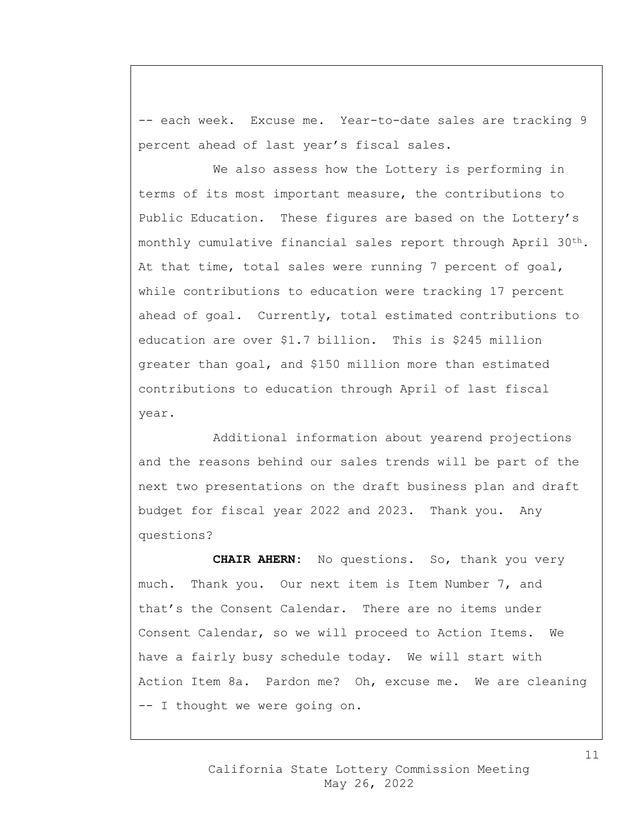-- each week. Excuse me. Year-to-date sales are tracking 9 percent ahead of last year's fiscal sales.

We also assess how the Lottery is performing in terms of its most important measure, the contributions to Public Education. These figures are based on the Lottery's monthly cumulative financial sales report through April  $30<sup>th</sup>$ . At that time, total sales were running 7 percent of goal, while contributions to education were tracking 17 percent ahead of goal. Currently, total estimated contributions to education are over \$1.7 billion. This is \$245 million greater than goal, and \$150 million more than estimated contributions to education through April of last fiscal year.

Additional information about yearend projections and the reasons behind our sales trends will be part of the next two presentations on the draft business plan and draft budget for fiscal year 2022 and 2023. Thank you. Any questions?

**CHAIR AHERN:** No questions. So, thank you very much. Thank you. Our next item is Item Number 7, and that's the Consent Calendar. There are no items under Consent Calendar, so we will proceed to Action Items. We have a fairly busy schedule today. We will start with Action Item 8a. Pardon me? Oh, excuse me. We are cleaning -- I thought we were going on.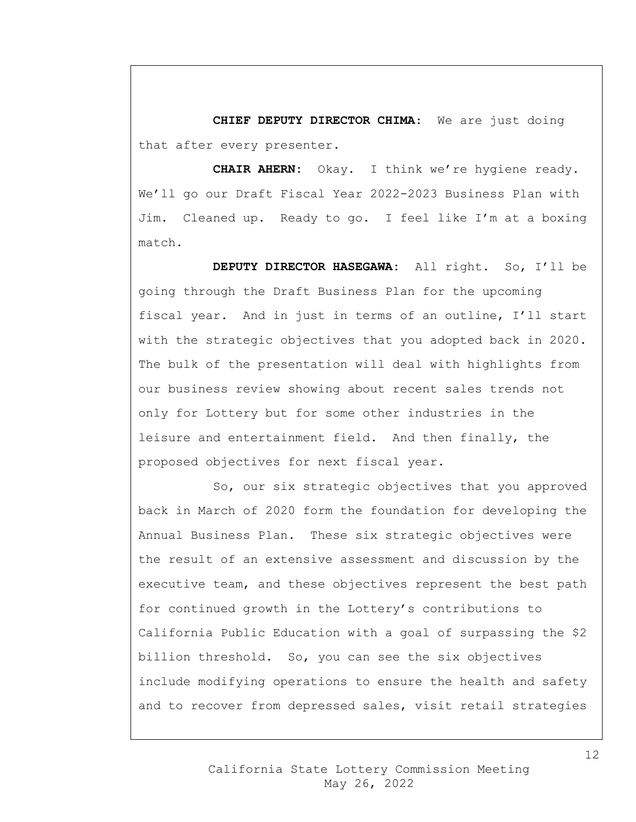**CHIEF DEPUTY DIRECTOR CHIMA**: We are just doing that after every presenter.

**CHAIR AHERN:** Okay. I think we're hygiene ready. We'll go our Draft Fiscal Year 2022-2023 Business Plan with Jim. Cleaned up. Ready to go. I feel like I'm at a boxing match.

**DEPUTY DIRECTOR HASEGAWA:** All right. So, I'll be going through the Draft Business Plan for the upcoming fiscal year. And in just in terms of an outline, I'll start with the strategic objectives that you adopted back in 2020. The bulk of the presentation will deal with highlights from our business review showing about recent sales trends not only for Lottery but for some other industries in the leisure and entertainment field. And then finally, the proposed objectives for next fiscal year.

So, our six strategic objectives that you approved back in March of 2020 form the foundation for developing the Annual Business Plan. These six strategic objectives were the result of an extensive assessment and discussion by the executive team, and these objectives represent the best path for continued growth in the Lottery's contributions to California Public Education with a goal of surpassing the \$2 billion threshold. So, you can see the six objectives include modifying operations to ensure the health and safety and to recover from depressed sales, visit retail strategies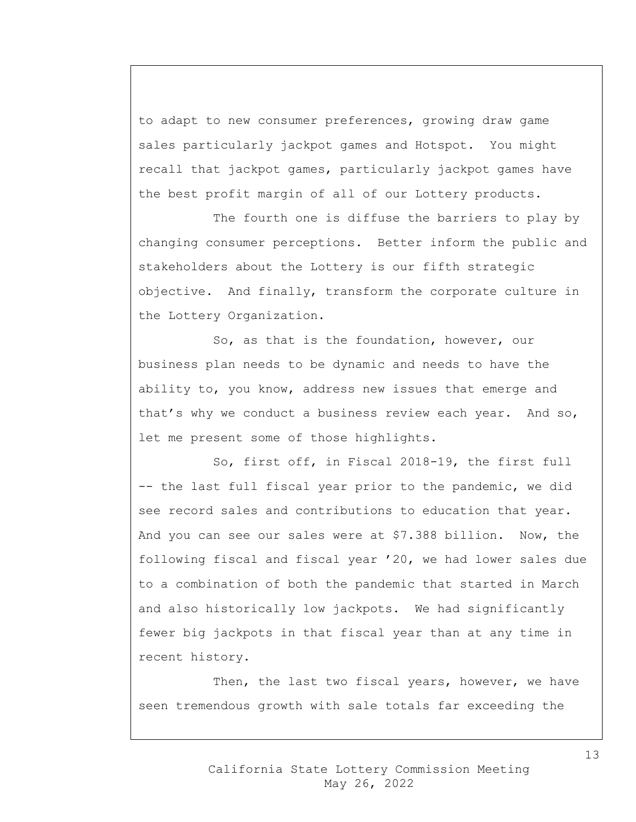to adapt to new consumer preferences, growing draw game sales particularly jackpot games and Hotspot. You might recall that jackpot games, particularly jackpot games have the best profit margin of all of our Lottery products.

The fourth one is diffuse the barriers to play by changing consumer perceptions. Better inform the public and stakeholders about the Lottery is our fifth strategic objective. And finally, transform the corporate culture in the Lottery Organization.

So, as that is the foundation, however, our business plan needs to be dynamic and needs to have the ability to, you know, address new issues that emerge and that's why we conduct a business review each year. And so, let me present some of those highlights.

So, first off, in Fiscal 2018-19, the first full -- the last full fiscal year prior to the pandemic, we did see record sales and contributions to education that year. And you can see our sales were at \$7.388 billion. Now, the following fiscal and fiscal year '20, we had lower sales due to a combination of both the pandemic that started in March and also historically low jackpots. We had significantly fewer big jackpots in that fiscal year than at any time in recent history.

Then, the last two fiscal years, however, we have seen tremendous growth with sale totals far exceeding the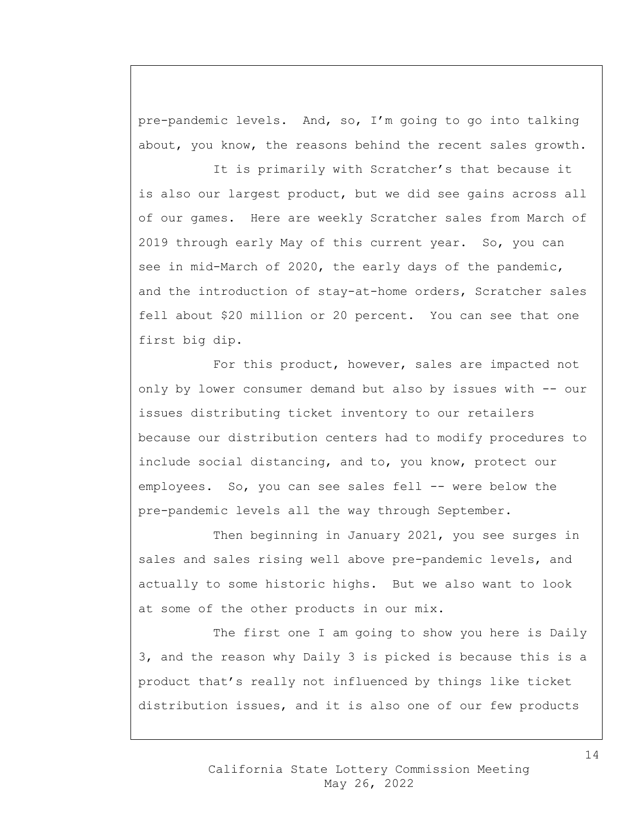pre-pandemic levels. And, so, I'm going to go into talking about, you know, the reasons behind the recent sales growth.

It is primarily with Scratcher's that because it is also our largest product, but we did see gains across all of our games. Here are weekly Scratcher sales from March of 2019 through early May of this current year. So, you can see in mid-March of 2020, the early days of the pandemic, and the introduction of stay-at-home orders, Scratcher sales fell about \$20 million or 20 percent. You can see that one first big dip.

For this product, however, sales are impacted not only by lower consumer demand but also by issues with -- our issues distributing ticket inventory to our retailers because our distribution centers had to modify procedures to include social distancing, and to, you know, protect our employees. So, you can see sales fell -- were below the pre-pandemic levels all the way through September.

Then beginning in January 2021, you see surges in sales and sales rising well above pre-pandemic levels, and actually to some historic highs. But we also want to look at some of the other products in our mix.

The first one I am going to show you here is Daily 3, and the reason why Daily 3 is picked is because this is a product that's really not influenced by things like ticket distribution issues, and it is also one of our few products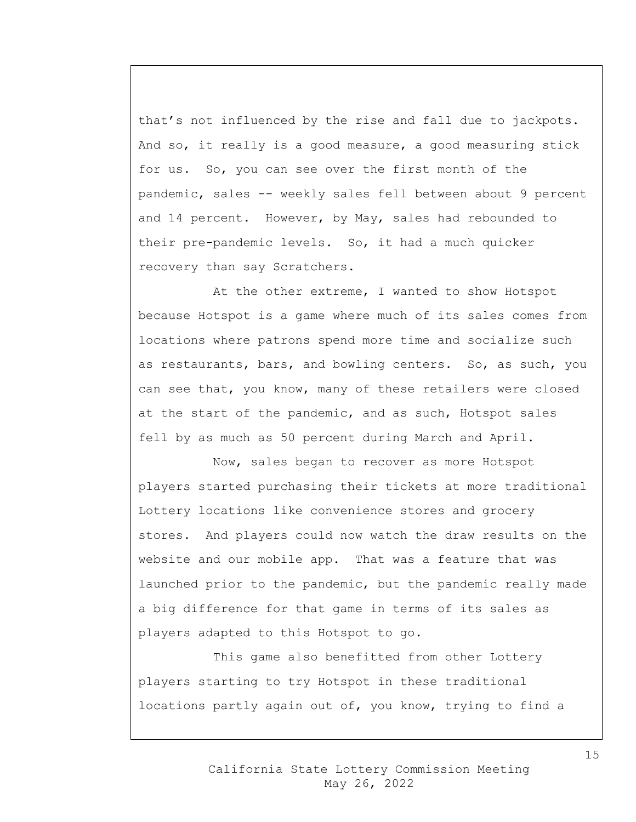that's not influenced by the rise and fall due to jackpots. And so, it really is a good measure, a good measuring stick for us. So, you can see over the first month of the pandemic, sales -- weekly sales fell between about 9 percent and 14 percent. However, by May, sales had rebounded to their pre-pandemic levels. So, it had a much quicker recovery than say Scratchers.

At the other extreme, I wanted to show Hotspot because Hotspot is a game where much of its sales comes from locations where patrons spend more time and socialize such as restaurants, bars, and bowling centers. So, as such, you can see that, you know, many of these retailers were closed at the start of the pandemic, and as such, Hotspot sales fell by as much as 50 percent during March and April.

Now, sales began to recover as more Hotspot players started purchasing their tickets at more traditional Lottery locations like convenience stores and grocery stores. And players could now watch the draw results on the website and our mobile app. That was a feature that was launched prior to the pandemic, but the pandemic really made a big difference for that game in terms of its sales as players adapted to this Hotspot to go.

This game also benefitted from other Lottery players starting to try Hotspot in these traditional locations partly again out of, you know, trying to find a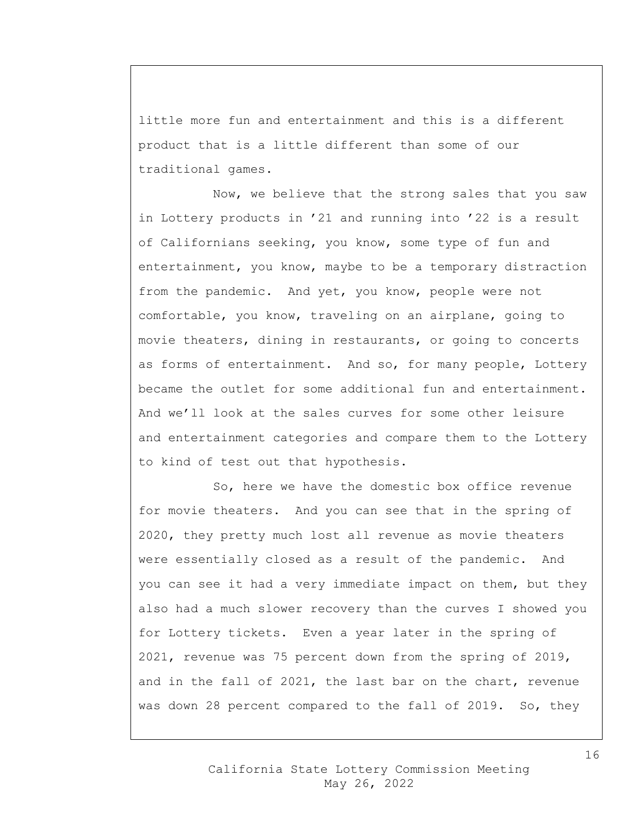little more fun and entertainment and this is a different product that is a little different than some of our traditional games.

Now, we believe that the strong sales that you saw in Lottery products in '21 and running into '22 is a result of Californians seeking, you know, some type of fun and entertainment, you know, maybe to be a temporary distraction from the pandemic. And yet, you know, people were not comfortable, you know, traveling on an airplane, going to movie theaters, dining in restaurants, or going to concerts as forms of entertainment. And so, for many people, Lottery became the outlet for some additional fun and entertainment. And we'll look at the sales curves for some other leisure and entertainment categories and compare them to the Lottery to kind of test out that hypothesis.

So, here we have the domestic box office revenue for movie theaters. And you can see that in the spring of 2020, they pretty much lost all revenue as movie theaters were essentially closed as a result of the pandemic. And you can see it had a very immediate impact on them, but they also had a much slower recovery than the curves I showed you for Lottery tickets. Even a year later in the spring of 2021, revenue was 75 percent down from the spring of 2019, and in the fall of 2021, the last bar on the chart, revenue was down 28 percent compared to the fall of 2019. So, they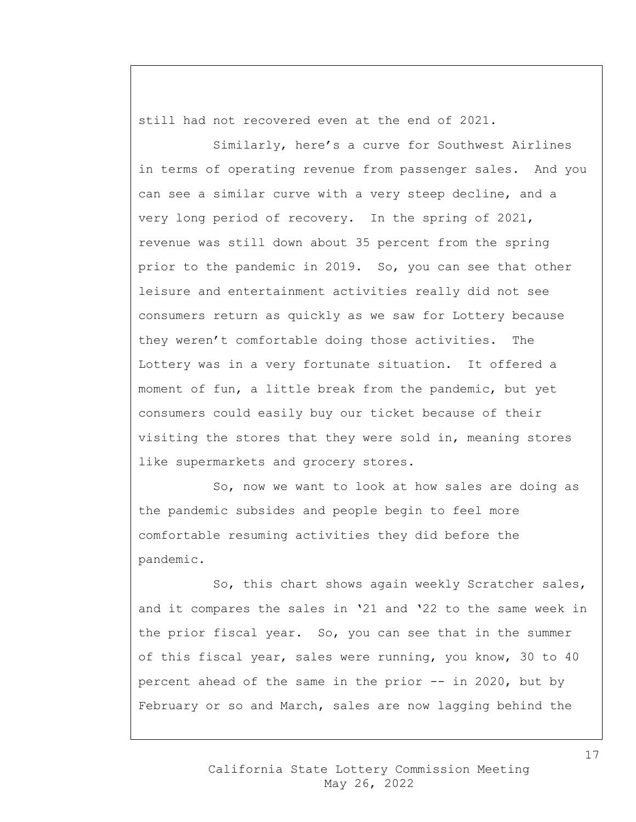still had not recovered even at the end of 2021.

Similarly, here's a curve for Southwest Airlines in terms of operating revenue from passenger sales. And you can see a similar curve with a very steep decline, and a very long period of recovery. In the spring of 2021, revenue was still down about 35 percent from the spring prior to the pandemic in 2019. So, you can see that other leisure and entertainment activities really did not see consumers return as quickly as we saw for Lottery because they weren't comfortable doing those activities. The Lottery was in a very fortunate situation. It offered a moment of fun, a little break from the pandemic, but yet consumers could easily buy our ticket because of their visiting the stores that they were sold in, meaning stores like supermarkets and grocery stores.

So, now we want to look at how sales are doing as the pandemic subsides and people begin to feel more comfortable resuming activities they did before the pandemic.

So, this chart shows again weekly Scratcher sales, and it compares the sales in '21 and '22 to the same week in the prior fiscal year. So, you can see that in the summer of this fiscal year, sales were running, you know, 30 to 40 percent ahead of the same in the prior -- in 2020, but by February or so and March, sales are now lagging behind the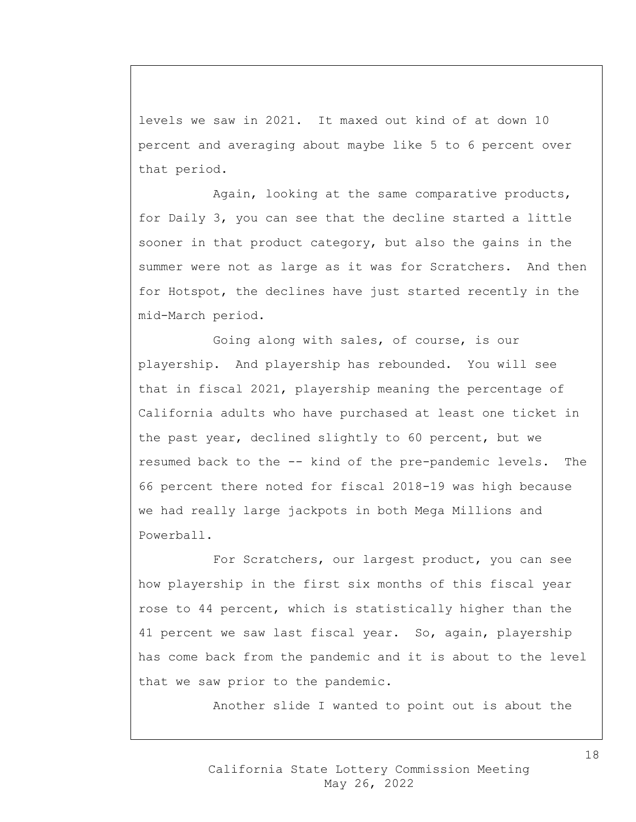levels we saw in 2021. It maxed out kind of at down 10 percent and averaging about maybe like 5 to 6 percent over that period.

Again, looking at the same comparative products, for Daily 3, you can see that the decline started a little sooner in that product category, but also the gains in the summer were not as large as it was for Scratchers. And then for Hotspot, the declines have just started recently in the mid-March period.

Going along with sales, of course, is our playership. And playership has rebounded. You will see that in fiscal 2021, playership meaning the percentage of California adults who have purchased at least one ticket in the past year, declined slightly to 60 percent, but we resumed back to the -- kind of the pre-pandemic levels. The 66 percent there noted for fiscal 2018-19 was high because we had really large jackpots in both Mega Millions and Powerball.

For Scratchers, our largest product, you can see how playership in the first six months of this fiscal year rose to 44 percent, which is statistically higher than the 41 percent we saw last fiscal year. So, again, playership has come back from the pandemic and it is about to the level that we saw prior to the pandemic.

Another slide I wanted to point out is about the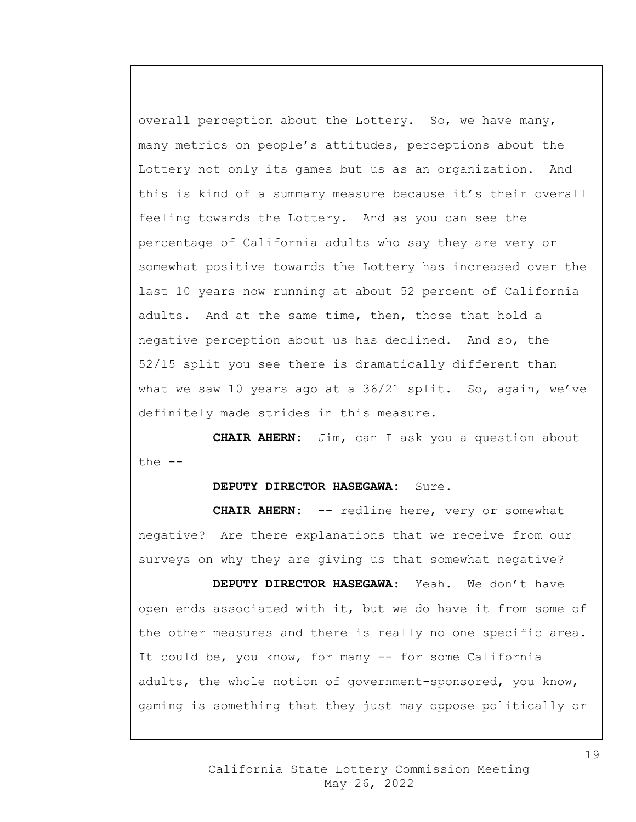overall perception about the Lottery. So, we have many, many metrics on people's attitudes, perceptions about the Lottery not only its games but us as an organization. And this is kind of a summary measure because it's their overall feeling towards the Lottery. And as you can see the percentage of California adults who say they are very or somewhat positive towards the Lottery has increased over the last 10 years now running at about 52 percent of California adults. And at the same time, then, those that hold a negative perception about us has declined. And so, the 52/15 split you see there is dramatically different than what we saw 10 years ago at a 36/21 split. So, again, we've definitely made strides in this measure.

**CHAIR AHERN:** Jim, can I ask you a question about the --

## **DEPUTY DIRECTOR HASEGAWA:** Sure.

**CHAIR AHERN:** -- redline here, very or somewhat negative? Are there explanations that we receive from our surveys on why they are giving us that somewhat negative?

**DEPUTY DIRECTOR HASEGAWA:** Yeah. We don't have open ends associated with it, but we do have it from some of the other measures and there is really no one specific area. It could be, you know, for many -- for some California adults, the whole notion of government-sponsored, you know, gaming is something that they just may oppose politically or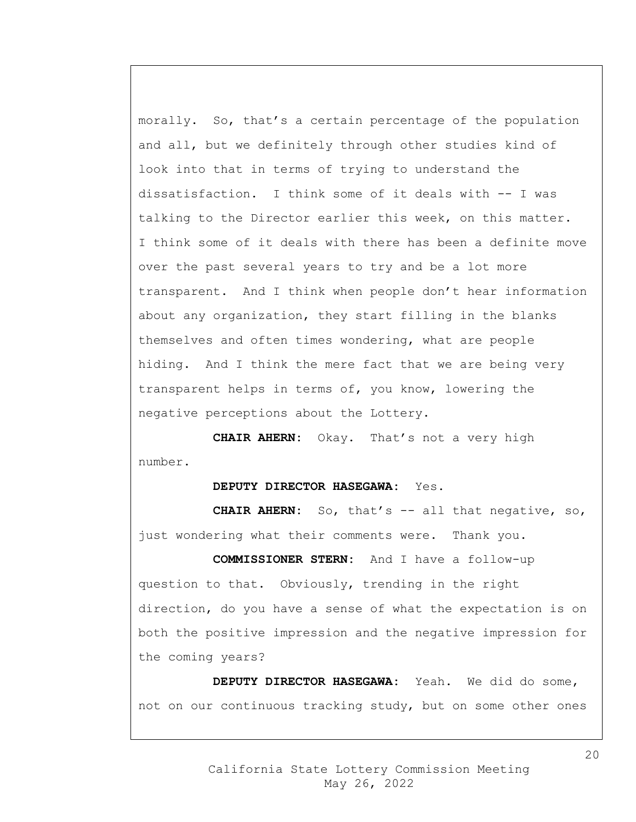morally. So, that's a certain percentage of the population and all, but we definitely through other studies kind of look into that in terms of trying to understand the dissatisfaction. I think some of it deals with -- I was talking to the Director earlier this week, on this matter. I think some of it deals with there has been a definite move over the past several years to try and be a lot more transparent. And I think when people don't hear information about any organization, they start filling in the blanks themselves and often times wondering, what are people hiding. And I think the mere fact that we are being very transparent helps in terms of, you know, lowering the negative perceptions about the Lottery.

**CHAIR AHERN:** Okay. That's not a very high number.

## **DEPUTY DIRECTOR HASEGAWA:** Yes.

**CHAIR AHERN:** So, that's -- all that negative, so, just wondering what their comments were. Thank you.

**COMMISSIONER STERN:** And I have a follow-up question to that. Obviously, trending in the right direction, do you have a sense of what the expectation is on both the positive impression and the negative impression for the coming years?

**DEPUTY DIRECTOR HASEGAWA:** Yeah. We did do some, not on our continuous tracking study, but on some other ones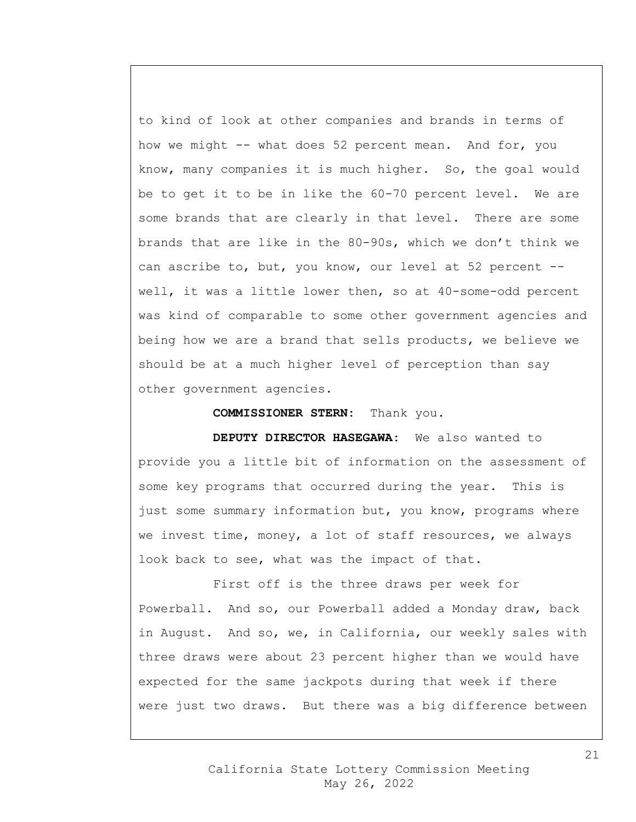to kind of look at other companies and brands in terms of how we might -- what does 52 percent mean. And for, you know, many companies it is much higher. So, the goal would be to get it to be in like the 60-70 percent level. We are some brands that are clearly in that level. There are some brands that are like in the 80-90s, which we don't think we can ascribe to, but, you know, our level at 52 percent - well, it was a little lower then, so at 40-some-odd percent was kind of comparable to some other government agencies and being how we are a brand that sells products, we believe we should be at a much higher level of perception than say other government agencies.

**COMMISSIONER STERN:** Thank you.

**DEPUTY DIRECTOR HASEGAWA:** We also wanted to provide you a little bit of information on the assessment of some key programs that occurred during the year. This is just some summary information but, you know, programs where we invest time, money, a lot of staff resources, we always look back to see, what was the impact of that.

First off is the three draws per week for Powerball. And so, our Powerball added a Monday draw, back in August. And so, we, in California, our weekly sales with three draws were about 23 percent higher than we would have expected for the same jackpots during that week if there were just two draws. But there was a big difference between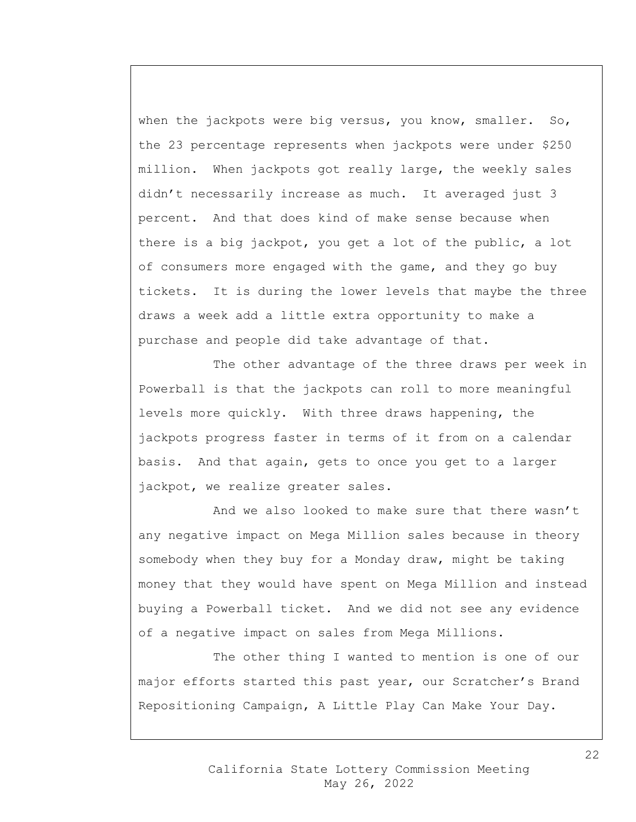when the jackpots were big versus, you know, smaller. So, the 23 percentage represents when jackpots were under \$250 million. When jackpots got really large, the weekly sales didn't necessarily increase as much. It averaged just 3 percent. And that does kind of make sense because when there is a big jackpot, you get a lot of the public, a lot of consumers more engaged with the game, and they go buy tickets. It is during the lower levels that maybe the three draws a week add a little extra opportunity to make a purchase and people did take advantage of that.

The other advantage of the three draws per week in Powerball is that the jackpots can roll to more meaningful levels more quickly. With three draws happening, the jackpots progress faster in terms of it from on a calendar basis. And that again, gets to once you get to a larger jackpot, we realize greater sales.

And we also looked to make sure that there wasn't any negative impact on Mega Million sales because in theory somebody when they buy for a Monday draw, might be taking money that they would have spent on Mega Million and instead buying a Powerball ticket. And we did not see any evidence of a negative impact on sales from Mega Millions.

The other thing I wanted to mention is one of our major efforts started this past year, our Scratcher's Brand Repositioning Campaign, A Little Play Can Make Your Day.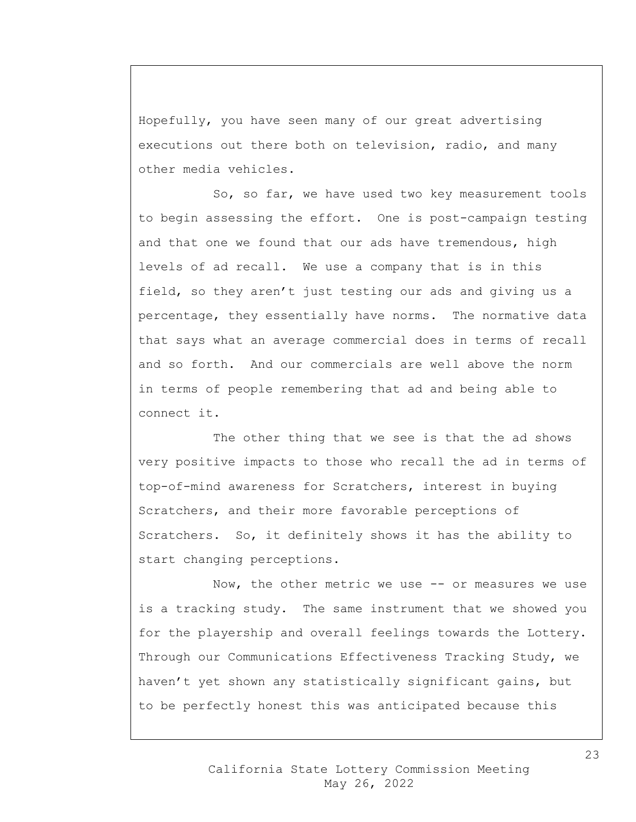Hopefully, you have seen many of our great advertising executions out there both on television, radio, and many other media vehicles.

So, so far, we have used two key measurement tools to begin assessing the effort. One is post-campaign testing and that one we found that our ads have tremendous, high levels of ad recall. We use a company that is in this field, so they aren't just testing our ads and giving us a percentage, they essentially have norms. The normative data that says what an average commercial does in terms of recall and so forth. And our commercials are well above the norm in terms of people remembering that ad and being able to connect it.

The other thing that we see is that the ad shows very positive impacts to those who recall the ad in terms of top-of-mind awareness for Scratchers, interest in buying Scratchers, and their more favorable perceptions of Scratchers. So, it definitely shows it has the ability to start changing perceptions.

Now, the other metric we use -- or measures we use is a tracking study. The same instrument that we showed you for the playership and overall feelings towards the Lottery. Through our Communications Effectiveness Tracking Study, we haven't yet shown any statistically significant gains, but to be perfectly honest this was anticipated because this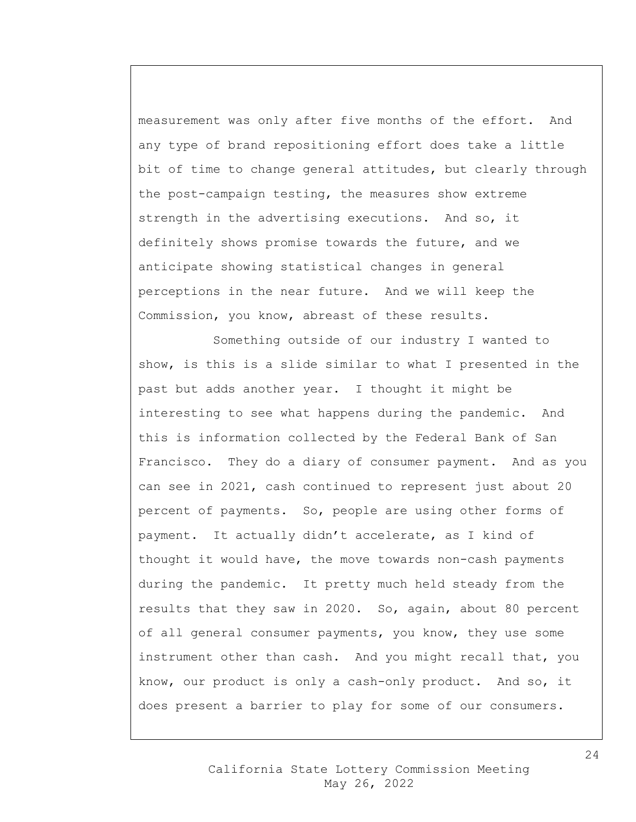measurement was only after five months of the effort. And any type of brand repositioning effort does take a little bit of time to change general attitudes, but clearly through the post-campaign testing, the measures show extreme strength in the advertising executions. And so, it definitely shows promise towards the future, and we anticipate showing statistical changes in general perceptions in the near future. And we will keep the Commission, you know, abreast of these results.

Something outside of our industry I wanted to show, is this is a slide similar to what I presented in the past but adds another year. I thought it might be interesting to see what happens during the pandemic. And this is information collected by the Federal Bank of San Francisco. They do a diary of consumer payment. And as you can see in 2021, cash continued to represent just about 20 percent of payments. So, people are using other forms of payment. It actually didn't accelerate, as I kind of thought it would have, the move towards non-cash payments during the pandemic. It pretty much held steady from the results that they saw in 2020. So, again, about 80 percent of all general consumer payments, you know, they use some instrument other than cash. And you might recall that, you know, our product is only a cash-only product. And so, it does present a barrier to play for some of our consumers.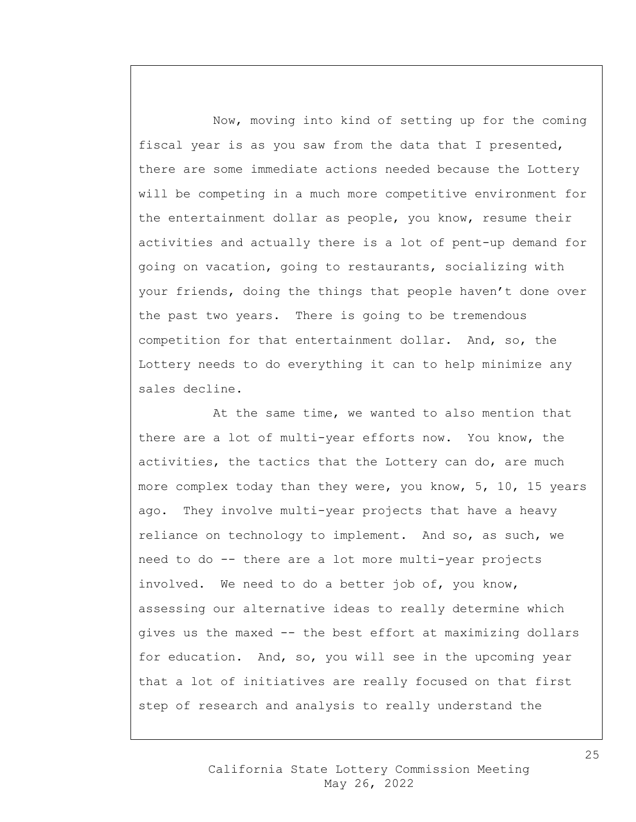Now, moving into kind of setting up for the coming fiscal year is as you saw from the data that I presented, there are some immediate actions needed because the Lottery will be competing in a much more competitive environment for the entertainment dollar as people, you know, resume their activities and actually there is a lot of pent-up demand for going on vacation, going to restaurants, socializing with your friends, doing the things that people haven't done over the past two years. There is going to be tremendous competition for that entertainment dollar. And, so, the Lottery needs to do everything it can to help minimize any sales decline.

At the same time, we wanted to also mention that there are a lot of multi-year efforts now. You know, the activities, the tactics that the Lottery can do, are much more complex today than they were, you know, 5, 10, 15 years ago. They involve multi-year projects that have a heavy reliance on technology to implement. And so, as such, we need to do -- there are a lot more multi-year projects involved. We need to do a better job of, you know, assessing our alternative ideas to really determine which gives us the maxed -- the best effort at maximizing dollars for education. And, so, you will see in the upcoming year that a lot of initiatives are really focused on that first step of research and analysis to really understand the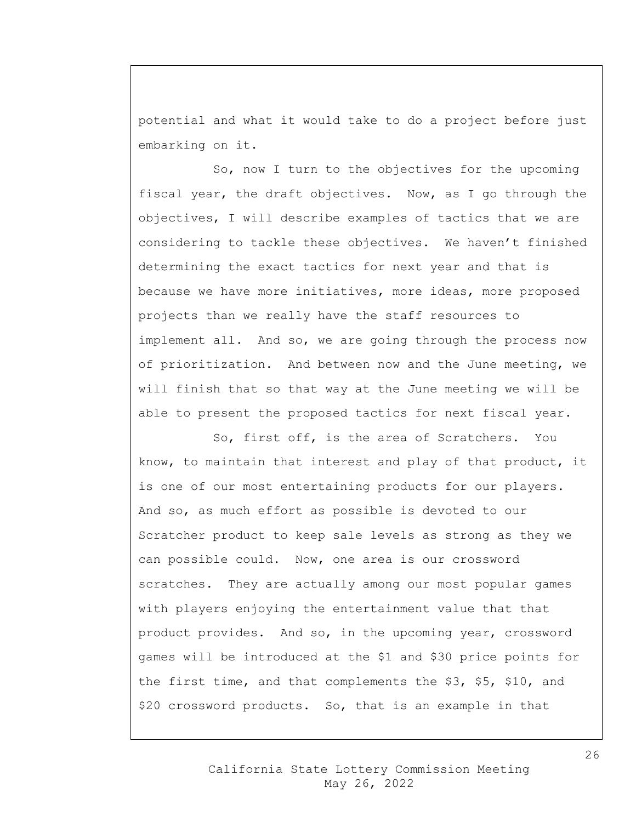potential and what it would take to do a project before just embarking on it.

So, now I turn to the objectives for the upcoming fiscal year, the draft objectives. Now, as I go through the objectives, I will describe examples of tactics that we are considering to tackle these objectives. We haven't finished determining the exact tactics for next year and that is because we have more initiatives, more ideas, more proposed projects than we really have the staff resources to implement all. And so, we are going through the process now of prioritization. And between now and the June meeting, we will finish that so that way at the June meeting we will be able to present the proposed tactics for next fiscal year.

So, first off, is the area of Scratchers. You know, to maintain that interest and play of that product, it is one of our most entertaining products for our players. And so, as much effort as possible is devoted to our Scratcher product to keep sale levels as strong as they we can possible could. Now, one area is our crossword scratches. They are actually among our most popular games with players enjoying the entertainment value that that product provides. And so, in the upcoming year, crossword games will be introduced at the \$1 and \$30 price points for the first time, and that complements the \$3, \$5, \$10, and \$20 crossword products. So, that is an example in that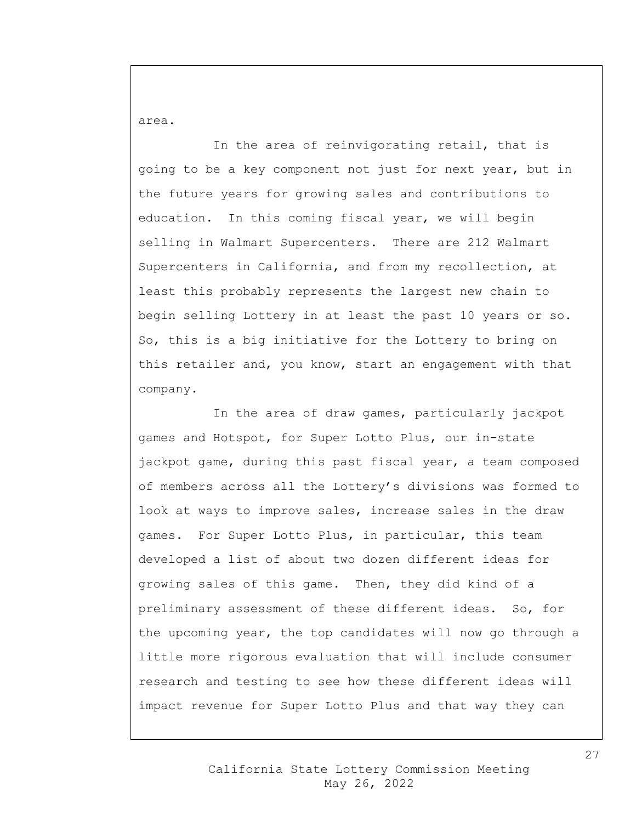area.

In the area of reinvigorating retail, that is going to be a key component not just for next year, but in the future years for growing sales and contributions to education. In this coming fiscal year, we will begin selling in Walmart Supercenters. There are 212 Walmart Supercenters in California, and from my recollection, at least this probably represents the largest new chain to begin selling Lottery in at least the past 10 years or so. So, this is a big initiative for the Lottery to bring on this retailer and, you know, start an engagement with that company.

In the area of draw games, particularly jackpot games and Hotspot, for Super Lotto Plus, our in-state jackpot game, during this past fiscal year, a team composed of members across all the Lottery's divisions was formed to look at ways to improve sales, increase sales in the draw games. For Super Lotto Plus, in particular, this team developed a list of about two dozen different ideas for growing sales of this game. Then, they did kind of a preliminary assessment of these different ideas. So, for the upcoming year, the top candidates will now go through a little more rigorous evaluation that will include consumer research and testing to see how these different ideas will impact revenue for Super Lotto Plus and that way they can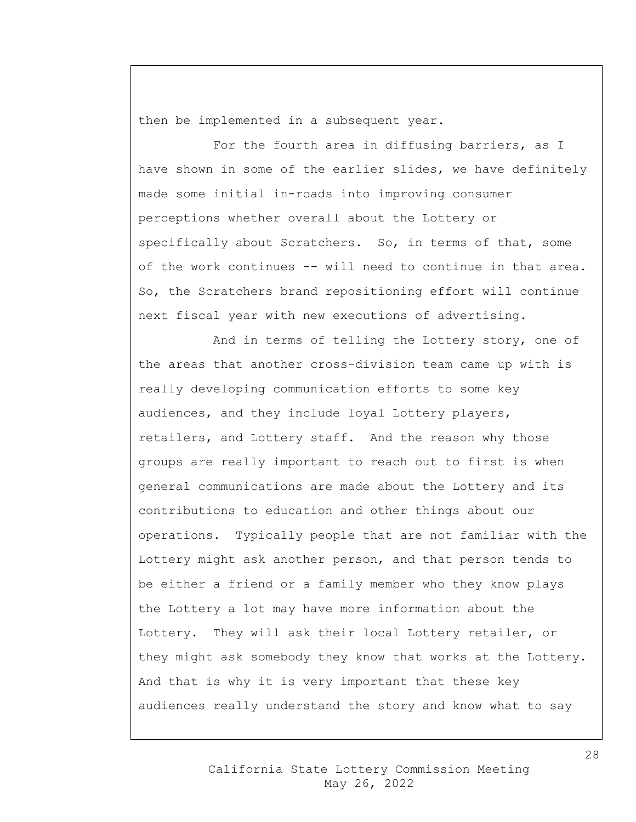then be implemented in a subsequent year.

For the fourth area in diffusing barriers, as I have shown in some of the earlier slides, we have definitely made some initial in-roads into improving consumer perceptions whether overall about the Lottery or specifically about Scratchers. So, in terms of that, some of the work continues -- will need to continue in that area. So, the Scratchers brand repositioning effort will continue next fiscal year with new executions of advertising.

And in terms of telling the Lottery story, one of the areas that another cross-division team came up with is really developing communication efforts to some key audiences, and they include loyal Lottery players, retailers, and Lottery staff. And the reason why those groups are really important to reach out to first is when general communications are made about the Lottery and its contributions to education and other things about our operations. Typically people that are not familiar with the Lottery might ask another person, and that person tends to be either a friend or a family member who they know plays the Lottery a lot may have more information about the Lottery. They will ask their local Lottery retailer, or they might ask somebody they know that works at the Lottery. And that is why it is very important that these key audiences really understand the story and know what to say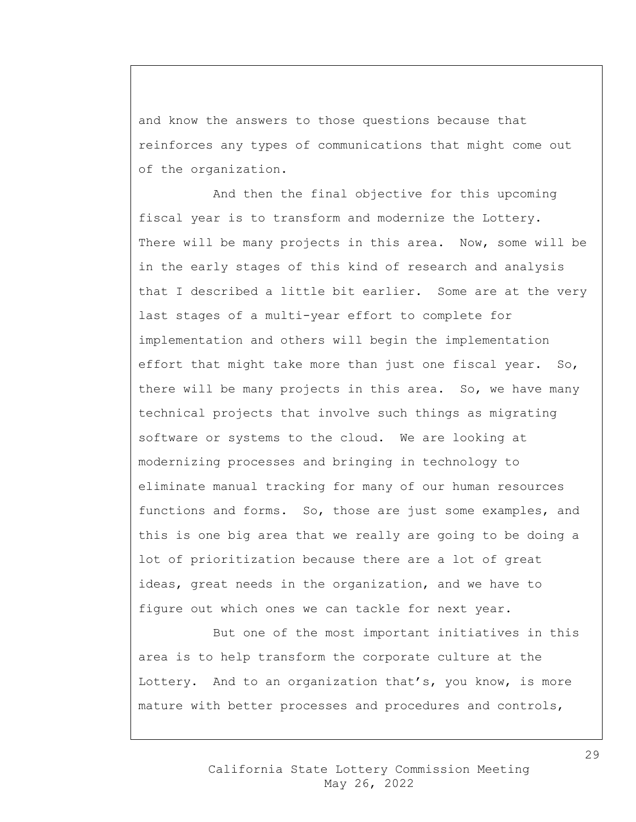and know the answers to those questions because that reinforces any types of communications that might come out of the organization.

And then the final objective for this upcoming fiscal year is to transform and modernize the Lottery. There will be many projects in this area. Now, some will be in the early stages of this kind of research and analysis that I described a little bit earlier. Some are at the very last stages of a multi-year effort to complete for implementation and others will begin the implementation effort that might take more than just one fiscal year. So, there will be many projects in this area. So, we have many technical projects that involve such things as migrating software or systems to the cloud. We are looking at modernizing processes and bringing in technology to eliminate manual tracking for many of our human resources functions and forms. So, those are just some examples, and this is one big area that we really are going to be doing a lot of prioritization because there are a lot of great ideas, great needs in the organization, and we have to figure out which ones we can tackle for next year.

But one of the most important initiatives in this area is to help transform the corporate culture at the Lottery. And to an organization that's, you know, is more mature with better processes and procedures and controls,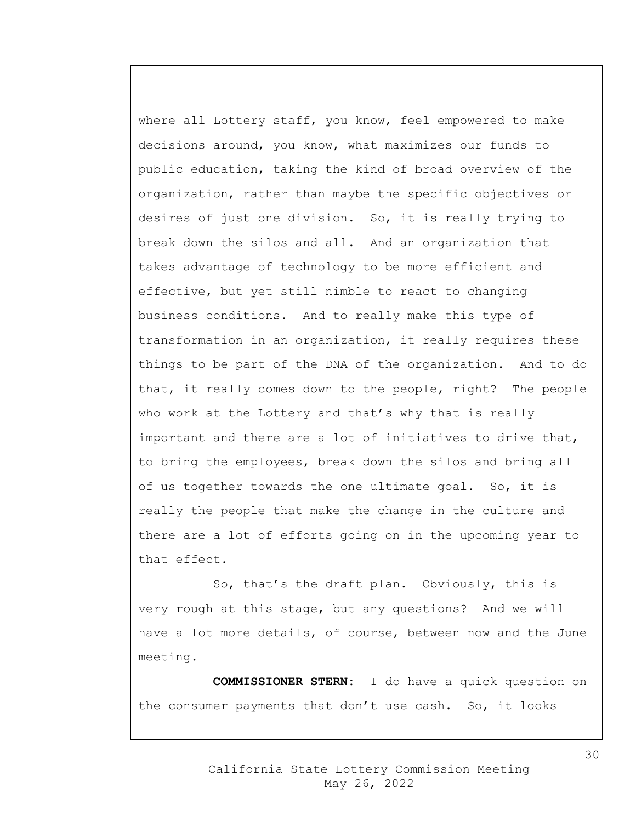where all Lottery staff, you know, feel empowered to make decisions around, you know, what maximizes our funds to public education, taking the kind of broad overview of the organization, rather than maybe the specific objectives or desires of just one division. So, it is really trying to break down the silos and all. And an organization that takes advantage of technology to be more efficient and effective, but yet still nimble to react to changing business conditions. And to really make this type of transformation in an organization, it really requires these things to be part of the DNA of the organization. And to do that, it really comes down to the people, right? The people who work at the Lottery and that's why that is really important and there are a lot of initiatives to drive that, to bring the employees, break down the silos and bring all of us together towards the one ultimate goal. So, it is really the people that make the change in the culture and there are a lot of efforts going on in the upcoming year to that effect.

So, that's the draft plan. Obviously, this is very rough at this stage, but any questions? And we will have a lot more details, of course, between now and the June meeting.

**COMMISSIONER STERN:** I do have a quick question on the consumer payments that don't use cash. So, it looks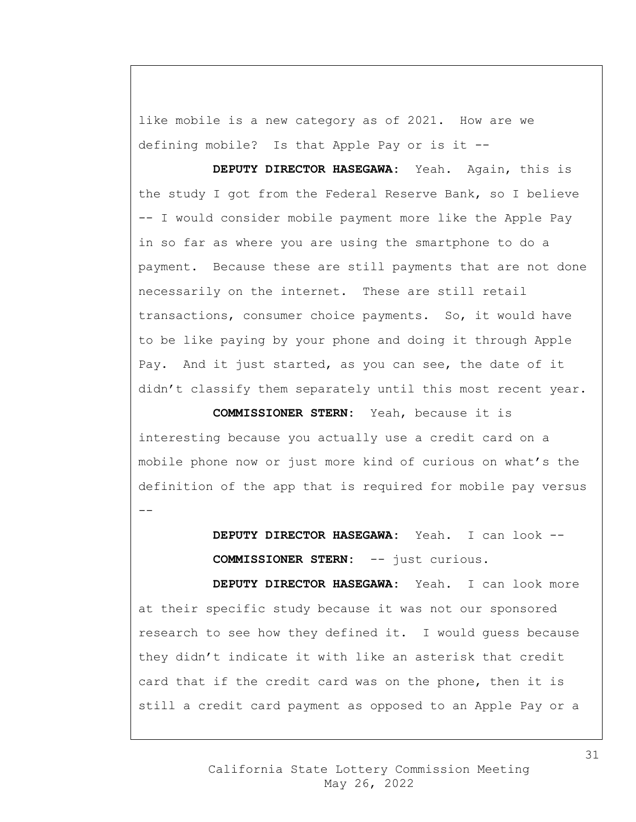like mobile is a new category as of 2021. How are we defining mobile? Is that Apple Pay or is it --

**DEPUTY DIRECTOR HASEGAWA:** Yeah. Again, this is the study I got from the Federal Reserve Bank, so I believe -- I would consider mobile payment more like the Apple Pay in so far as where you are using the smartphone to do a payment. Because these are still payments that are not done necessarily on the internet. These are still retail transactions, consumer choice payments. So, it would have to be like paying by your phone and doing it through Apple Pay. And it just started, as you can see, the date of it didn't classify them separately until this most recent year.

**COMMISSIONER STERN:** Yeah, because it is interesting because you actually use a credit card on a mobile phone now or just more kind of curious on what's the definition of the app that is required for mobile pay versus --

> **DEPUTY DIRECTOR HASEGAWA:** Yeah. I can look -- **COMMISSIONER STERN:** -- just curious.

**DEPUTY DIRECTOR HASEGAWA:** Yeah. I can look more at their specific study because it was not our sponsored research to see how they defined it. I would guess because they didn't indicate it with like an asterisk that credit card that if the credit card was on the phone, then it is still a credit card payment as opposed to an Apple Pay or a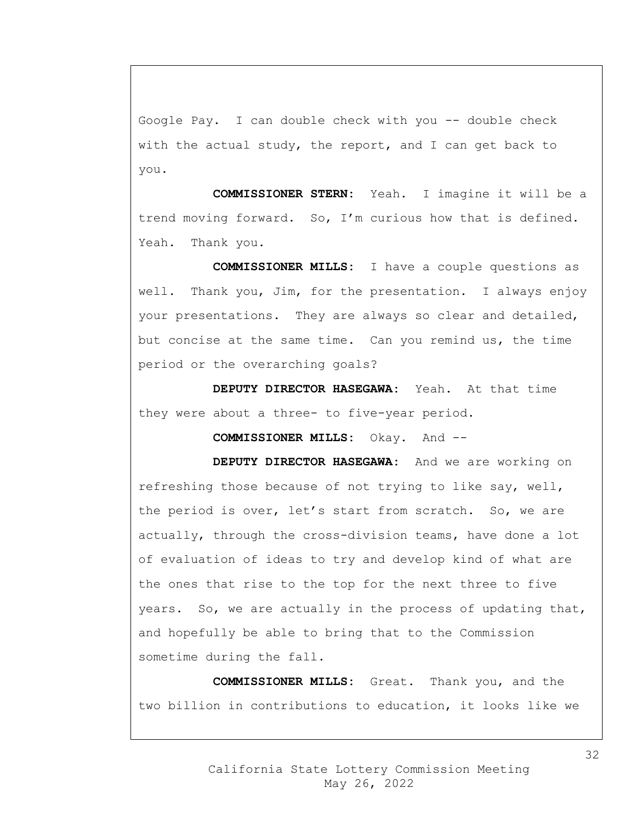Google Pay. I can double check with you -- double check with the actual study, the report, and I can get back to you.

**COMMISSIONER STERN:** Yeah. I imagine it will be a trend moving forward. So, I'm curious how that is defined. Yeah. Thank you.

**COMMISSIONER MILLS:** I have a couple questions as well. Thank you, Jim, for the presentation. I always enjoy your presentations. They are always so clear and detailed, but concise at the same time. Can you remind us, the time period or the overarching goals?

**DEPUTY DIRECTOR HASEGAWA:** Yeah. At that time they were about a three- to five-year period.

**COMMISSIONER MILLS:** Okay. And --

**DEPUTY DIRECTOR HASEGAWA:** And we are working on refreshing those because of not trying to like say, well, the period is over, let's start from scratch. So, we are actually, through the cross-division teams, have done a lot of evaluation of ideas to try and develop kind of what are the ones that rise to the top for the next three to five years. So, we are actually in the process of updating that, and hopefully be able to bring that to the Commission sometime during the fall.

**COMMISSIONER MILLS:** Great. Thank you, and the two billion in contributions to education, it looks like we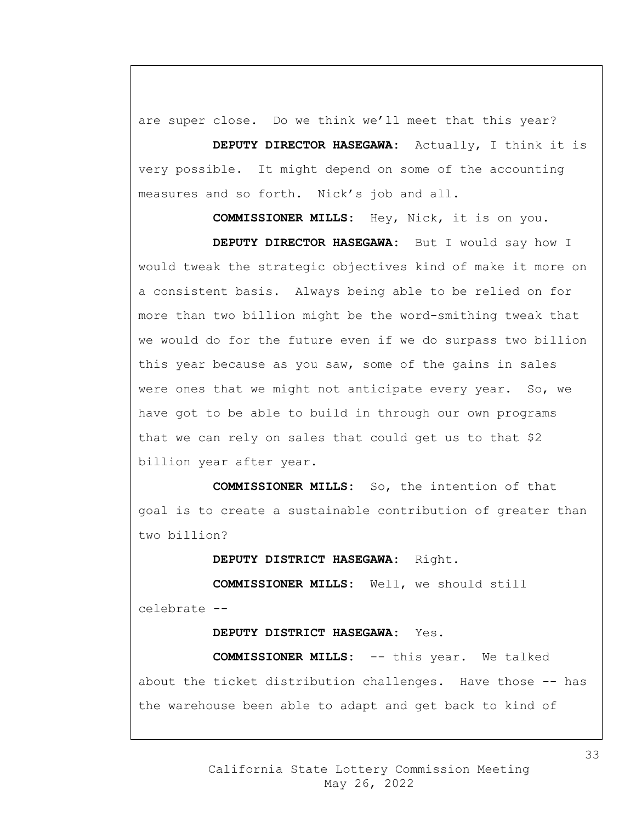are super close. Do we think we'll meet that this year?

**DEPUTY DIRECTOR HASEGAWA:** Actually, I think it is very possible. It might depend on some of the accounting measures and so forth. Nick's job and all.

**COMMISSIONER MILLS:** Hey, Nick, it is on you. **DEPUTY DIRECTOR HASEGAWA:** But I would say how I would tweak the strategic objectives kind of make it more on a consistent basis. Always being able to be relied on for more than two billion might be the word-smithing tweak that we would do for the future even if we do surpass two billion this year because as you saw, some of the gains in sales were ones that we might not anticipate every year. So, we have got to be able to build in through our own programs that we can rely on sales that could get us to that \$2 billion year after year.

**COMMISSIONER MILLS:** So, the intention of that goal is to create a sustainable contribution of greater than two billion?

**DEPUTY DISTRICT HASEGAWA:** Right.

**COMMISSIONER MILLS:** Well, we should still celebrate --

**DEPUTY DISTRICT HASEGAWA:** Yes.

**COMMISSIONER MILLS:** -- this year. We talked about the ticket distribution challenges. Have those -- has the warehouse been able to adapt and get back to kind of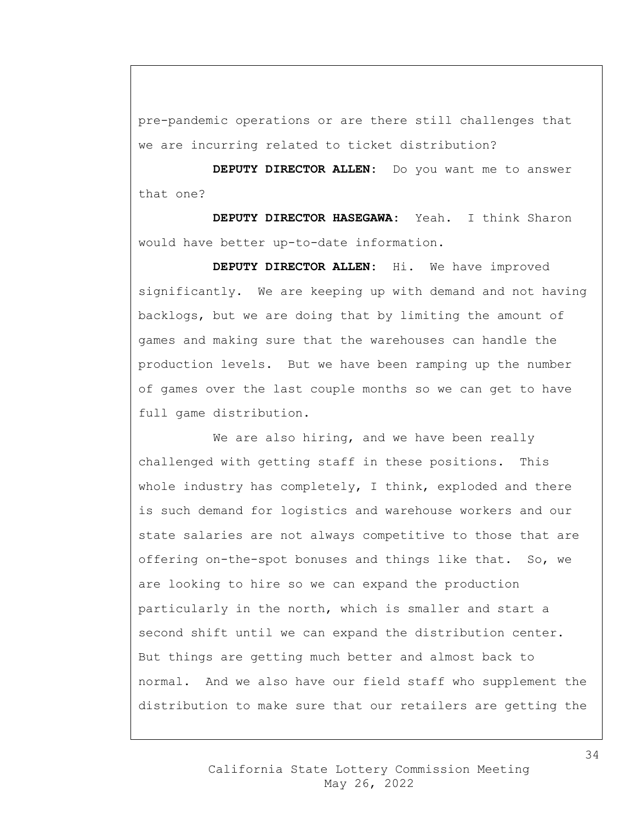pre-pandemic operations or are there still challenges that we are incurring related to ticket distribution?

**DEPUTY DIRECTOR ALLEN:** Do you want me to answer that one?

**DEPUTY DIRECTOR HASEGAWA:** Yeah. I think Sharon would have better up-to-date information.

**DEPUTY DIRECTOR ALLEN:** Hi. We have improved significantly. We are keeping up with demand and not having backlogs, but we are doing that by limiting the amount of games and making sure that the warehouses can handle the production levels. But we have been ramping up the number of games over the last couple months so we can get to have full game distribution.

We are also hiring, and we have been really challenged with getting staff in these positions. This whole industry has completely, I think, exploded and there is such demand for logistics and warehouse workers and our state salaries are not always competitive to those that are offering on-the-spot bonuses and things like that. So, we are looking to hire so we can expand the production particularly in the north, which is smaller and start a second shift until we can expand the distribution center. But things are getting much better and almost back to normal. And we also have our field staff who supplement the distribution to make sure that our retailers are getting the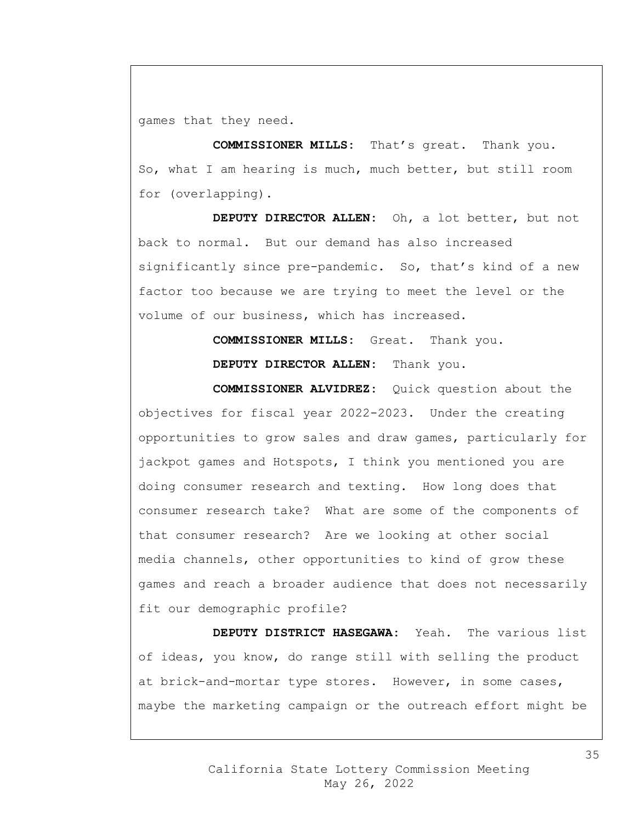games that they need.

**COMMISSIONER MILLS:** That's great. Thank you. So, what I am hearing is much, much better, but still room for (overlapping).

**DEPUTY DIRECTOR ALLEN:** Oh, a lot better, but not back to normal. But our demand has also increased significantly since pre-pandemic. So, that's kind of a new factor too because we are trying to meet the level or the volume of our business, which has increased.

> **COMMISSIONER MILLS:** Great. Thank you. **DEPUTY DIRECTOR ALLEN:** Thank you.

**COMMISSIONER ALVIDREZ:** Quick question about the objectives for fiscal year 2022-2023. Under the creating opportunities to grow sales and draw games, particularly for jackpot games and Hotspots, I think you mentioned you are doing consumer research and texting. How long does that consumer research take? What are some of the components of that consumer research? Are we looking at other social media channels, other opportunities to kind of grow these games and reach a broader audience that does not necessarily fit our demographic profile?

**DEPUTY DISTRICT HASEGAWA:** Yeah. The various list of ideas, you know, do range still with selling the product at brick-and-mortar type stores. However, in some cases, maybe the marketing campaign or the outreach effort might be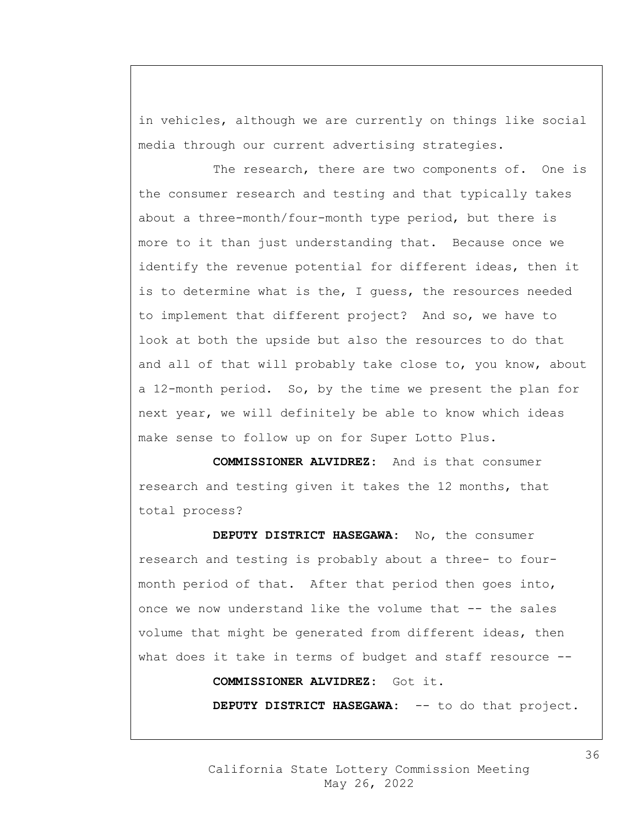in vehicles, although we are currently on things like social media through our current advertising strategies.

The research, there are two components of. One is the consumer research and testing and that typically takes about a three-month/four-month type period, but there is more to it than just understanding that. Because once we identify the revenue potential for different ideas, then it is to determine what is the, I guess, the resources needed to implement that different project? And so, we have to look at both the upside but also the resources to do that and all of that will probably take close to, you know, about a 12-month period. So, by the time we present the plan for next year, we will definitely be able to know which ideas make sense to follow up on for Super Lotto Plus.

**COMMISSIONER ALVIDREZ:** And is that consumer research and testing given it takes the 12 months, that total process?

**DEPUTY DISTRICT HASEGAWA:** No, the consumer research and testing is probably about a three- to fourmonth period of that. After that period then goes into, once we now understand like the volume that -- the sales volume that might be generated from different ideas, then what does it take in terms of budget and staff resource --

**COMMISSIONER ALVIDREZ:** Got it.

**DEPUTY DISTRICT HASEGAWA:** -- to do that project.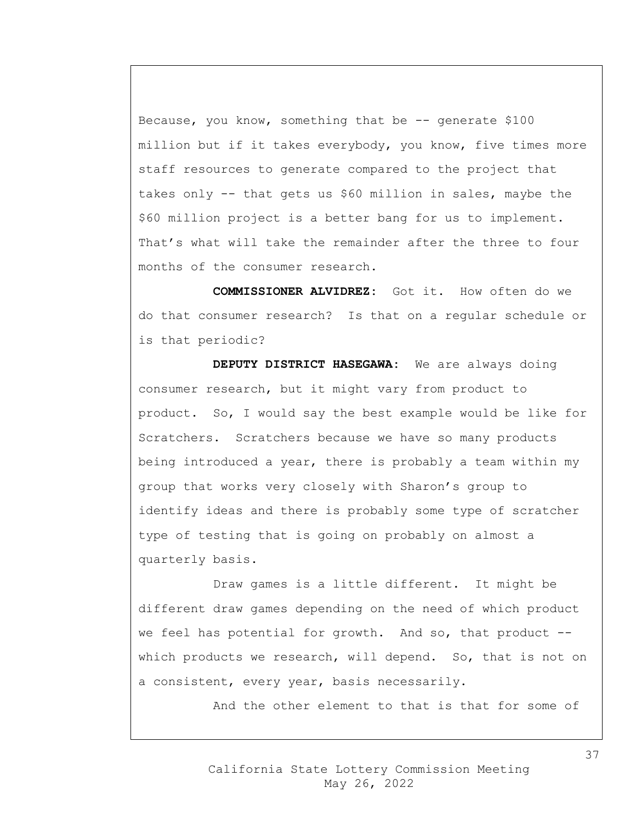Because, you know, something that be  $-$ - generate \$100 million but if it takes everybody, you know, five times more staff resources to generate compared to the project that takes only -- that gets us \$60 million in sales, maybe the \$60 million project is a better bang for us to implement. That's what will take the remainder after the three to four months of the consumer research.

**COMMISSIONER ALVIDREZ:** Got it. How often do we do that consumer research? Is that on a regular schedule or is that periodic?

**DEPUTY DISTRICT HASEGAWA:** We are always doing consumer research, but it might vary from product to product. So, I would say the best example would be like for Scratchers. Scratchers because we have so many products being introduced a year, there is probably a team within my group that works very closely with Sharon's group to identify ideas and there is probably some type of scratcher type of testing that is going on probably on almost a quarterly basis.

Draw games is a little different. It might be different draw games depending on the need of which product we feel has potential for growth. And so, that product -which products we research, will depend. So, that is not on a consistent, every year, basis necessarily.

And the other element to that is that for some of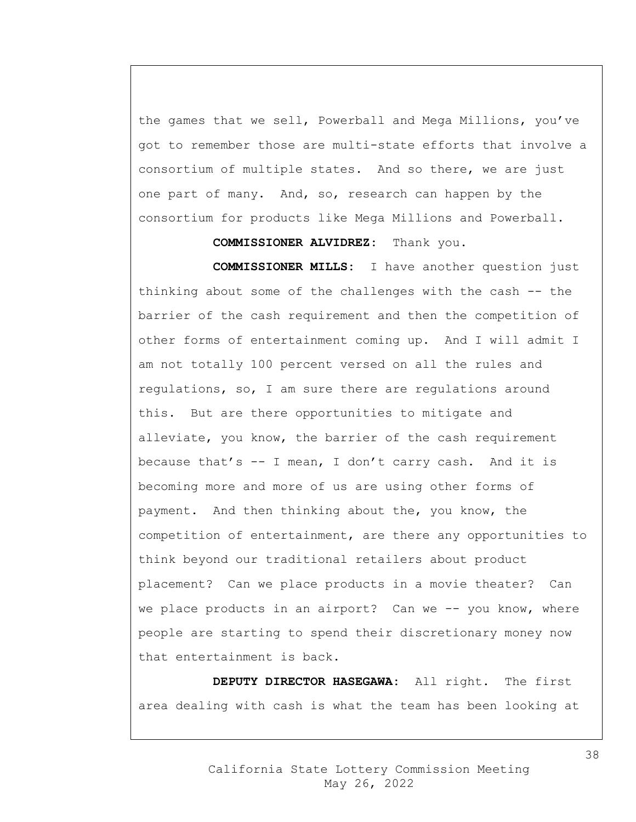the games that we sell, Powerball and Mega Millions, you've got to remember those are multi-state efforts that involve a consortium of multiple states. And so there, we are just one part of many. And, so, research can happen by the consortium for products like Mega Millions and Powerball.

## **COMMISSIONER ALVIDREZ:** Thank you.

**COMMISSIONER MILLS:** I have another question just thinking about some of the challenges with the cash -- the barrier of the cash requirement and then the competition of other forms of entertainment coming up. And I will admit I am not totally 100 percent versed on all the rules and regulations, so, I am sure there are regulations around this. But are there opportunities to mitigate and alleviate, you know, the barrier of the cash requirement because that's -- I mean, I don't carry cash. And it is becoming more and more of us are using other forms of payment. And then thinking about the, you know, the competition of entertainment, are there any opportunities to think beyond our traditional retailers about product placement? Can we place products in a movie theater? Can we place products in an airport? Can we -- you know, where people are starting to spend their discretionary money now that entertainment is back.

**DEPUTY DIRECTOR HASEGAWA:** All right. The first area dealing with cash is what the team has been looking at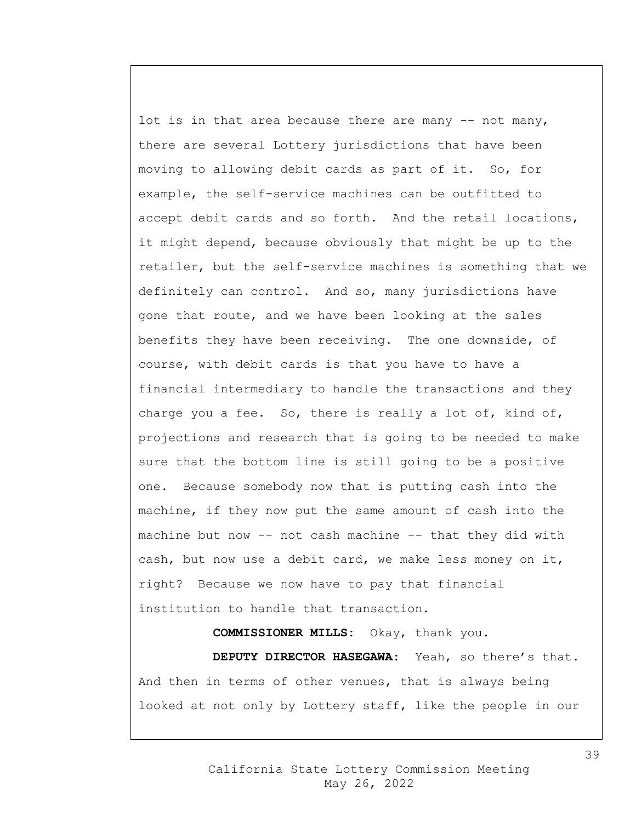lot is in that area because there are many -- not many, there are several Lottery jurisdictions that have been moving to allowing debit cards as part of it. So, for example, the self-service machines can be outfitted to accept debit cards and so forth. And the retail locations, it might depend, because obviously that might be up to the retailer, but the self-service machines is something that we definitely can control. And so, many jurisdictions have gone that route, and we have been looking at the sales benefits they have been receiving. The one downside, of course, with debit cards is that you have to have a financial intermediary to handle the transactions and they charge you a fee. So, there is really a lot of, kind of, projections and research that is going to be needed to make sure that the bottom line is still going to be a positive one. Because somebody now that is putting cash into the machine, if they now put the same amount of cash into the machine but now -- not cash machine -- that they did with cash, but now use a debit card, we make less money on it, right? Because we now have to pay that financial institution to handle that transaction.

**COMMISSIONER MILLS:** Okay, thank you.

**DEPUTY DIRECTOR HASEGAWA:** Yeah, so there's that. And then in terms of other venues, that is always being looked at not only by Lottery staff, like the people in our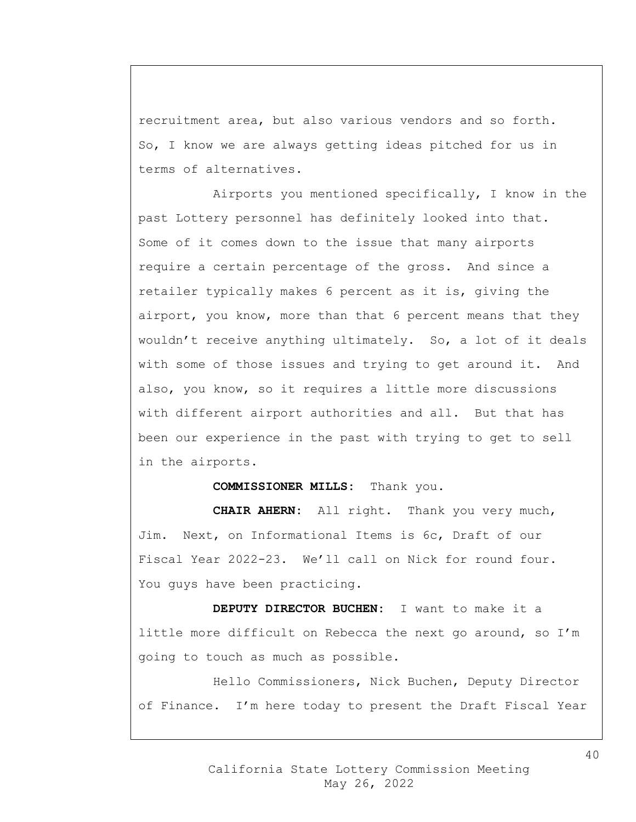recruitment area, but also various vendors and so forth. So, I know we are always getting ideas pitched for us in terms of alternatives.

Airports you mentioned specifically, I know in the past Lottery personnel has definitely looked into that. Some of it comes down to the issue that many airports require a certain percentage of the gross. And since a retailer typically makes 6 percent as it is, giving the airport, you know, more than that 6 percent means that they wouldn't receive anything ultimately. So, a lot of it deals with some of those issues and trying to get around it. And also, you know, so it requires a little more discussions with different airport authorities and all. But that has been our experience in the past with trying to get to sell in the airports.

## **COMMISSIONER MILLS:** Thank you.

**CHAIR AHERN:** All right. Thank you very much, Jim. Next, on Informational Items is 6c, Draft of our Fiscal Year 2022-23. We'll call on Nick for round four. You guys have been practicing.

**DEPUTY DIRECTOR BUCHEN:** I want to make it a little more difficult on Rebecca the next go around, so I'm going to touch as much as possible.

Hello Commissioners, Nick Buchen, Deputy Director of Finance. I'm here today to present the Draft Fiscal Year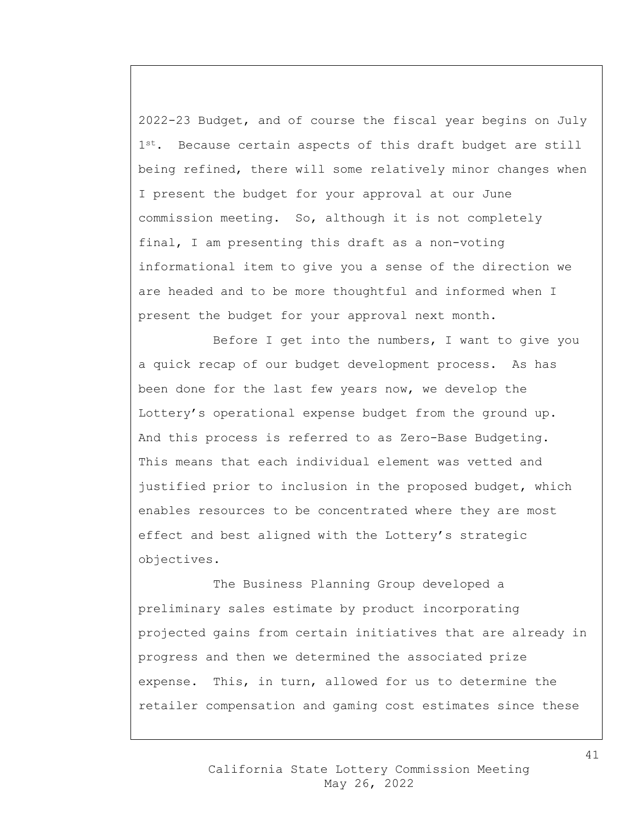2022-23 Budget, and of course the fiscal year begins on July 1<sup>st</sup>. Because certain aspects of this draft budget are still being refined, there will some relatively minor changes when I present the budget for your approval at our June commission meeting. So, although it is not completely final, I am presenting this draft as a non-voting informational item to give you a sense of the direction we are headed and to be more thoughtful and informed when I present the budget for your approval next month.

Before I get into the numbers, I want to give you a quick recap of our budget development process. As has been done for the last few years now, we develop the Lottery's operational expense budget from the ground up. And this process is referred to as Zero-Base Budgeting. This means that each individual element was vetted and justified prior to inclusion in the proposed budget, which enables resources to be concentrated where they are most effect and best aligned with the Lottery's strategic objectives.

The Business Planning Group developed a preliminary sales estimate by product incorporating projected gains from certain initiatives that are already in progress and then we determined the associated prize expense. This, in turn, allowed for us to determine the retailer compensation and gaming cost estimates since these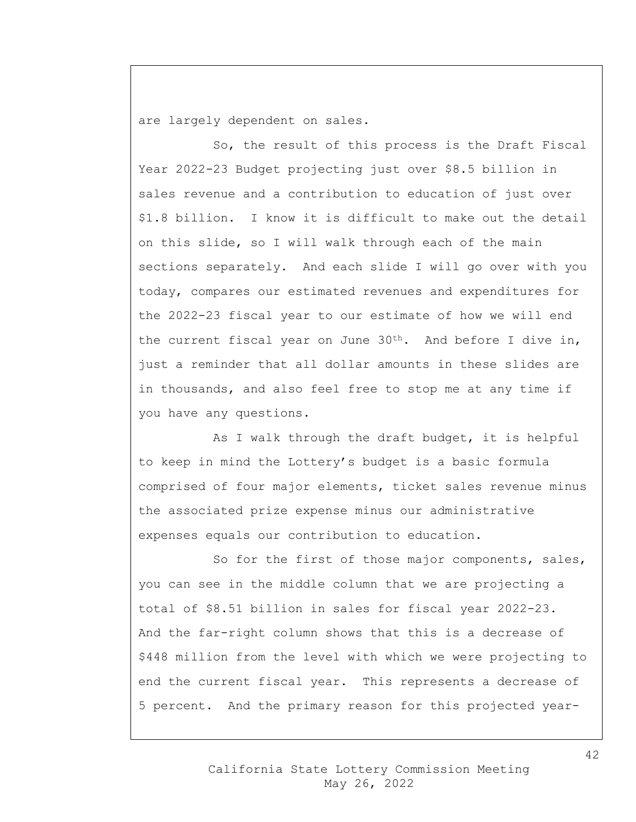are largely dependent on sales.

So, the result of this process is the Draft Fiscal Year 2022-23 Budget projecting just over \$8.5 billion in sales revenue and a contribution to education of just over \$1.8 billion. I know it is difficult to make out the detail on this slide, so I will walk through each of the main sections separately. And each slide I will go over with you today, compares our estimated revenues and expenditures for the 2022-23 fiscal year to our estimate of how we will end the current fiscal year on June  $30<sup>th</sup>$ . And before I dive in, just a reminder that all dollar amounts in these slides are in thousands, and also feel free to stop me at any time if you have any questions.

As I walk through the draft budget, it is helpful to keep in mind the Lottery's budget is a basic formula comprised of four major elements, ticket sales revenue minus the associated prize expense minus our administrative expenses equals our contribution to education.

So for the first of those major components, sales, you can see in the middle column that we are projecting a total of \$8.51 billion in sales for fiscal year 2022-23. And the far-right column shows that this is a decrease of \$448 million from the level with which we were projecting to end the current fiscal year. This represents a decrease of 5 percent. And the primary reason for this projected year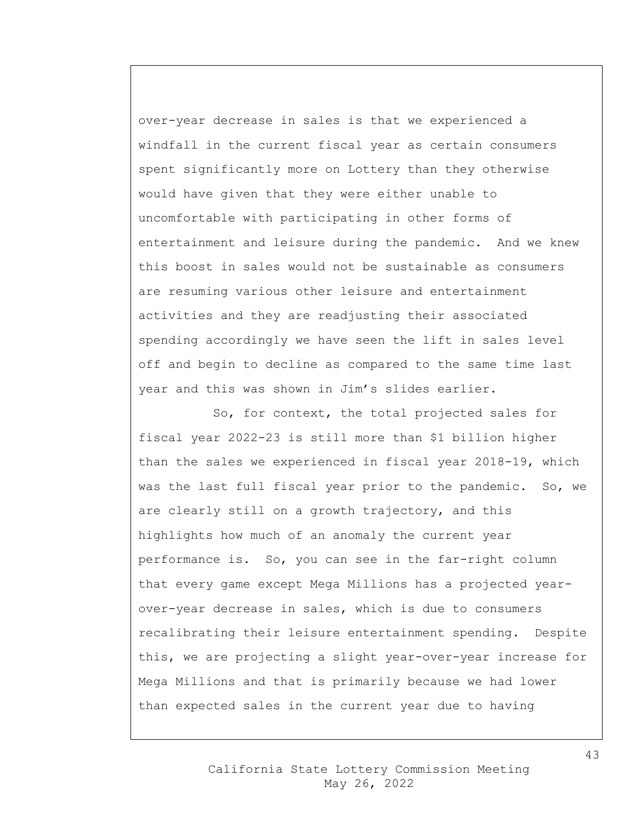over-year decrease in sales is that we experienced a windfall in the current fiscal year as certain consumers spent significantly more on Lottery than they otherwise would have given that they were either unable to uncomfortable with participating in other forms of entertainment and leisure during the pandemic. And we knew this boost in sales would not be sustainable as consumers are resuming various other leisure and entertainment activities and they are readjusting their associated spending accordingly we have seen the lift in sales level off and begin to decline as compared to the same time last year and this was shown in Jim's slides earlier.

So, for context, the total projected sales for fiscal year 2022-23 is still more than \$1 billion higher than the sales we experienced in fiscal year 2018-19, which was the last full fiscal year prior to the pandemic. So, we are clearly still on a growth trajectory, and this highlights how much of an anomaly the current year performance is. So, you can see in the far-right column that every game except Mega Millions has a projected yearover-year decrease in sales, which is due to consumers recalibrating their leisure entertainment spending. Despite this, we are projecting a slight year-over-year increase for Mega Millions and that is primarily because we had lower than expected sales in the current year due to having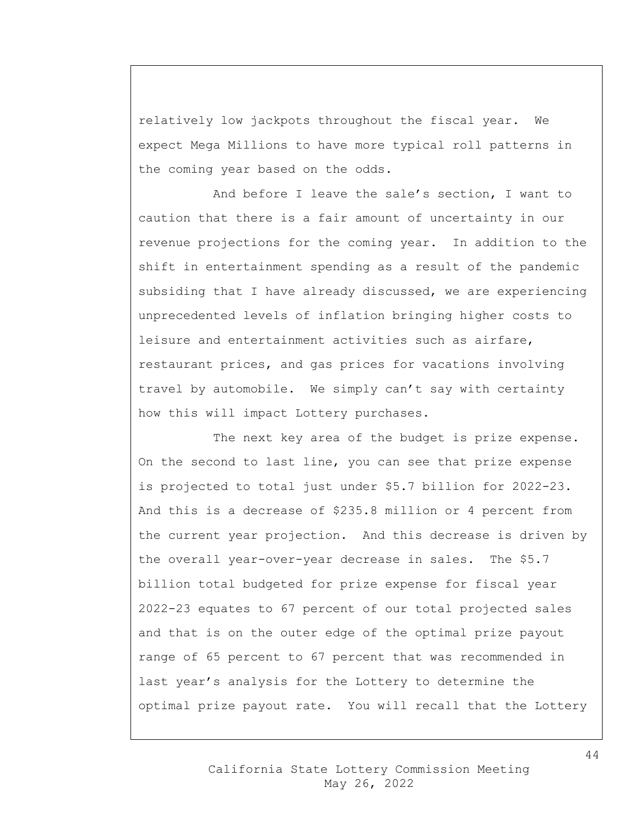relatively low jackpots throughout the fiscal year. We expect Mega Millions to have more typical roll patterns in the coming year based on the odds.

And before I leave the sale's section, I want to caution that there is a fair amount of uncertainty in our revenue projections for the coming year. In addition to the shift in entertainment spending as a result of the pandemic subsiding that I have already discussed, we are experiencing unprecedented levels of inflation bringing higher costs to leisure and entertainment activities such as airfare, restaurant prices, and gas prices for vacations involving travel by automobile. We simply can't say with certainty how this will impact Lottery purchases.

The next key area of the budget is prize expense. On the second to last line, you can see that prize expense is projected to total just under \$5.7 billion for 2022-23. And this is a decrease of \$235.8 million or 4 percent from the current year projection. And this decrease is driven by the overall year-over-year decrease in sales. The \$5.7 billion total budgeted for prize expense for fiscal year 2022-23 equates to 67 percent of our total projected sales and that is on the outer edge of the optimal prize payout range of 65 percent to 67 percent that was recommended in last year's analysis for the Lottery to determine the optimal prize payout rate. You will recall that the Lottery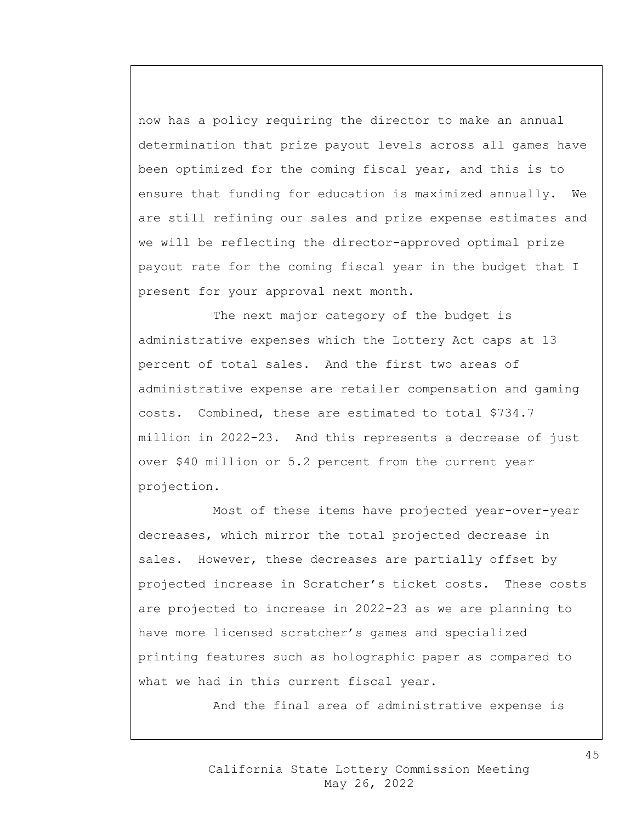now has a policy requiring the director to make an annual determination that prize payout levels across all games have been optimized for the coming fiscal year, and this is to ensure that funding for education is maximized annually. We are still refining our sales and prize expense estimates and we will be reflecting the director-approved optimal prize payout rate for the coming fiscal year in the budget that I present for your approval next month.

The next major category of the budget is administrative expenses which the Lottery Act caps at 13 percent of total sales. And the first two areas of administrative expense are retailer compensation and gaming costs. Combined, these are estimated to total \$734.7 million in 2022-23. And this represents a decrease of just over \$40 million or 5.2 percent from the current year projection.

Most of these items have projected year-over-year decreases, which mirror the total projected decrease in sales. However, these decreases are partially offset by projected increase in Scratcher's ticket costs. These costs are projected to increase in 2022-23 as we are planning to have more licensed scratcher's games and specialized printing features such as holographic paper as compared to what we had in this current fiscal year.

And the final area of administrative expense is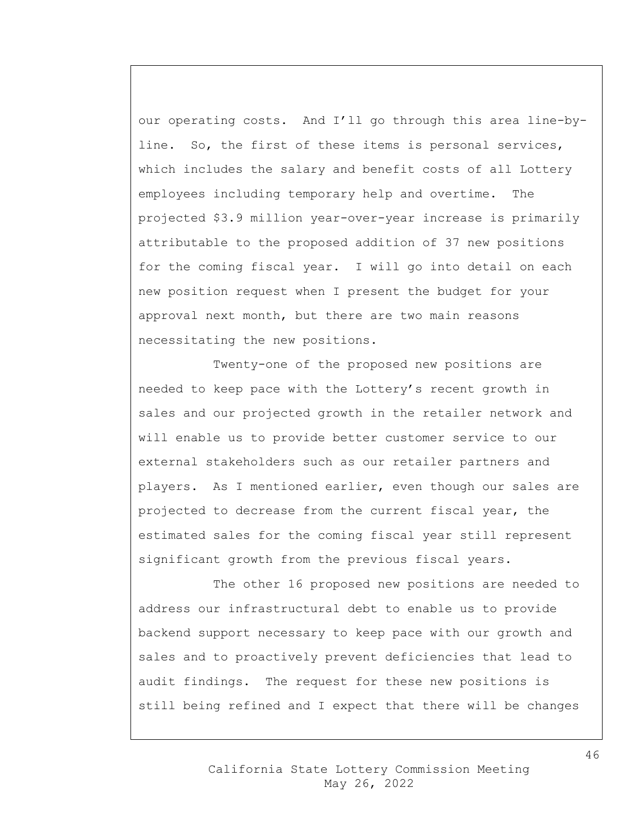our operating costs. And I'll go through this area line-byline. So, the first of these items is personal services, which includes the salary and benefit costs of all Lottery employees including temporary help and overtime. The projected \$3.9 million year-over-year increase is primarily attributable to the proposed addition of 37 new positions for the coming fiscal year. I will go into detail on each new position request when I present the budget for your approval next month, but there are two main reasons necessitating the new positions.

Twenty-one of the proposed new positions are needed to keep pace with the Lottery's recent growth in sales and our projected growth in the retailer network and will enable us to provide better customer service to our external stakeholders such as our retailer partners and players. As I mentioned earlier, even though our sales are projected to decrease from the current fiscal year, the estimated sales for the coming fiscal year still represent significant growth from the previous fiscal years.

The other 16 proposed new positions are needed to address our infrastructural debt to enable us to provide backend support necessary to keep pace with our growth and sales and to proactively prevent deficiencies that lead to audit findings. The request for these new positions is still being refined and I expect that there will be changes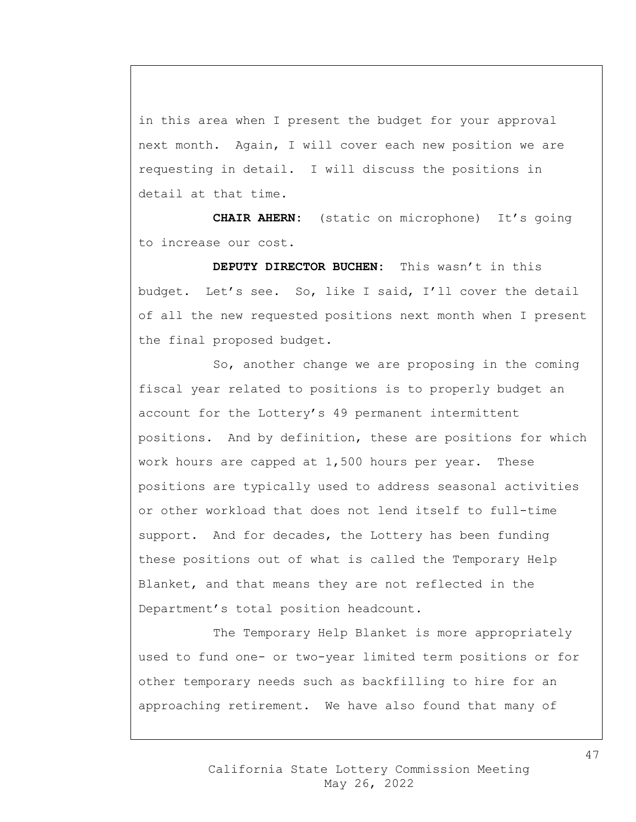in this area when I present the budget for your approval next month. Again, I will cover each new position we are requesting in detail. I will discuss the positions in detail at that time.

**CHAIR AHERN:** (static on microphone) It's going to increase our cost.

**DEPUTY DIRECTOR BUCHEN:** This wasn't in this budget. Let's see. So, like I said, I'll cover the detail of all the new requested positions next month when I present the final proposed budget.

So, another change we are proposing in the coming fiscal year related to positions is to properly budget an account for the Lottery's 49 permanent intermittent positions. And by definition, these are positions for which work hours are capped at 1,500 hours per year. These positions are typically used to address seasonal activities or other workload that does not lend itself to full-time support. And for decades, the Lottery has been funding these positions out of what is called the Temporary Help Blanket, and that means they are not reflected in the Department's total position headcount.

The Temporary Help Blanket is more appropriately used to fund one- or two-year limited term positions or for other temporary needs such as backfilling to hire for an approaching retirement. We have also found that many of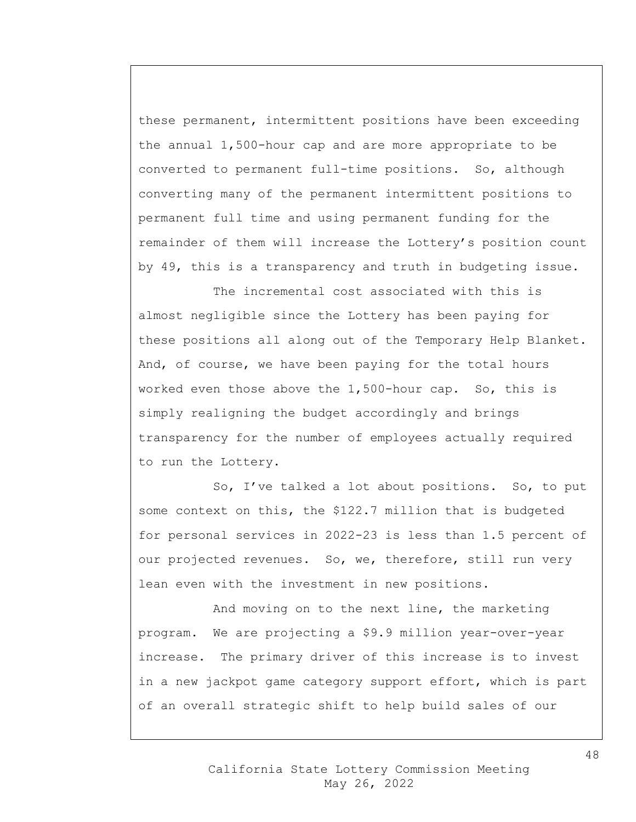these permanent, intermittent positions have been exceeding the annual 1,500-hour cap and are more appropriate to be converted to permanent full-time positions. So, although converting many of the permanent intermittent positions to permanent full time and using permanent funding for the remainder of them will increase the Lottery's position count by 49, this is a transparency and truth in budgeting issue.

The incremental cost associated with this is almost negligible since the Lottery has been paying for these positions all along out of the Temporary Help Blanket. And, of course, we have been paying for the total hours worked even those above the 1,500-hour cap. So, this is simply realigning the budget accordingly and brings transparency for the number of employees actually required to run the Lottery.

So, I've talked a lot about positions. So, to put some context on this, the \$122.7 million that is budgeted for personal services in 2022-23 is less than 1.5 percent of our projected revenues. So, we, therefore, still run very lean even with the investment in new positions.

And moving on to the next line, the marketing program. We are projecting a \$9.9 million year-over-year increase. The primary driver of this increase is to invest in a new jackpot game category support effort, which is part of an overall strategic shift to help build sales of our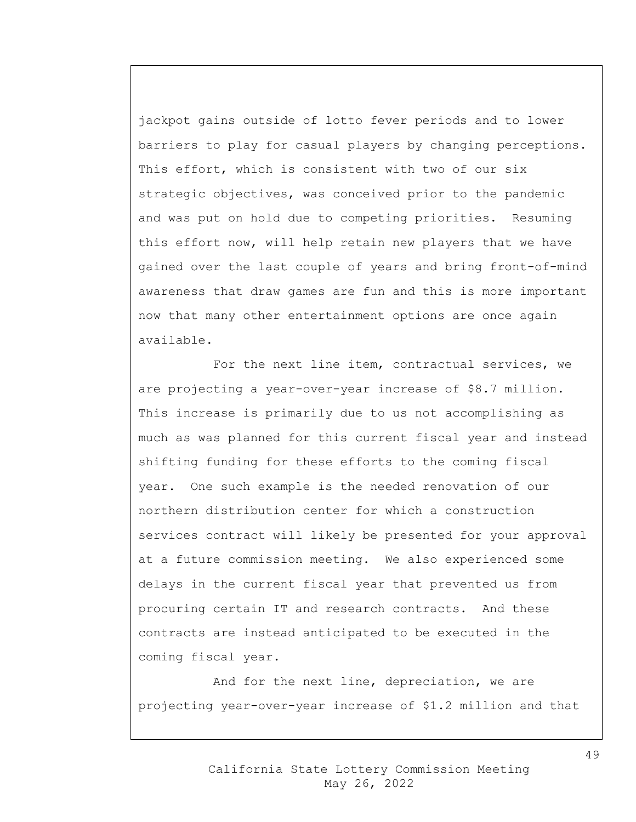jackpot gains outside of lotto fever periods and to lower barriers to play for casual players by changing perceptions. This effort, which is consistent with two of our six strategic objectives, was conceived prior to the pandemic and was put on hold due to competing priorities. Resuming this effort now, will help retain new players that we have gained over the last couple of years and bring front-of-mind awareness that draw games are fun and this is more important now that many other entertainment options are once again available.

For the next line item, contractual services, we are projecting a year-over-year increase of \$8.7 million. This increase is primarily due to us not accomplishing as much as was planned for this current fiscal year and instead shifting funding for these efforts to the coming fiscal year. One such example is the needed renovation of our northern distribution center for which a construction services contract will likely be presented for your approval at a future commission meeting. We also experienced some delays in the current fiscal year that prevented us from procuring certain IT and research contracts. And these contracts are instead anticipated to be executed in the coming fiscal year.

And for the next line, depreciation, we are projecting year-over-year increase of \$1.2 million and that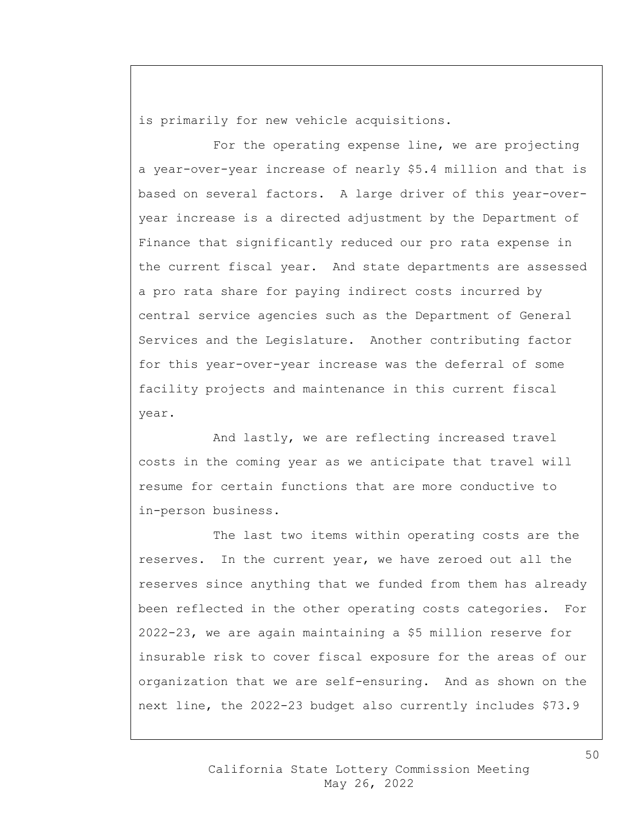is primarily for new vehicle acquisitions.

For the operating expense line, we are projecting a year-over-year increase of nearly \$5.4 million and that is based on several factors. A large driver of this year-overyear increase is a directed adjustment by the Department of Finance that significantly reduced our pro rata expense in the current fiscal year. And state departments are assessed a pro rata share for paying indirect costs incurred by central service agencies such as the Department of General Services and the Legislature. Another contributing factor for this year-over-year increase was the deferral of some facility projects and maintenance in this current fiscal year.

And lastly, we are reflecting increased travel costs in the coming year as we anticipate that travel will resume for certain functions that are more conductive to in-person business.

The last two items within operating costs are the reserves. In the current year, we have zeroed out all the reserves since anything that we funded from them has already been reflected in the other operating costs categories. For 2022-23, we are again maintaining a \$5 million reserve for insurable risk to cover fiscal exposure for the areas of our organization that we are self-ensuring. And as shown on the next line, the 2022-23 budget also currently includes \$73.9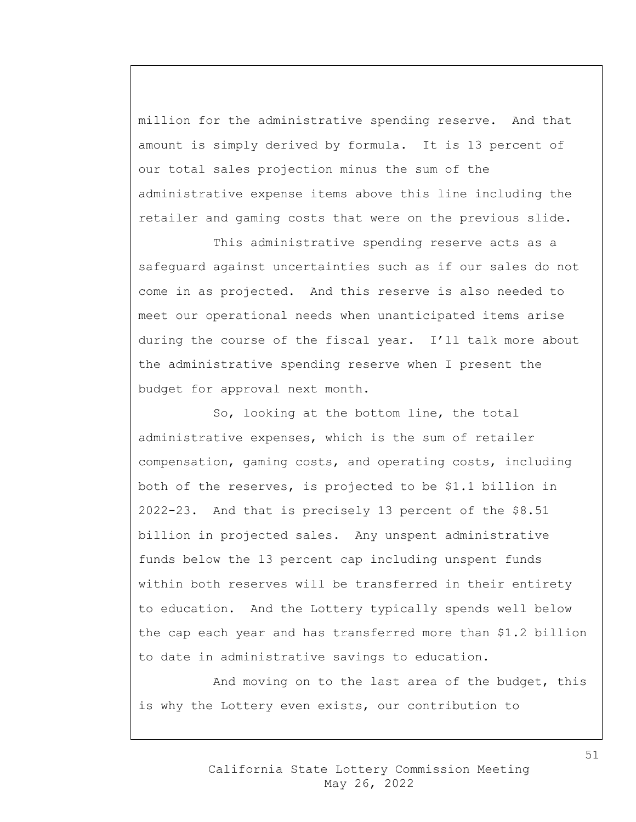million for the administrative spending reserve. And that amount is simply derived by formula. It is 13 percent of our total sales projection minus the sum of the administrative expense items above this line including the retailer and gaming costs that were on the previous slide.

This administrative spending reserve acts as a safeguard against uncertainties such as if our sales do not come in as projected. And this reserve is also needed to meet our operational needs when unanticipated items arise during the course of the fiscal year. I'll talk more about the administrative spending reserve when I present the budget for approval next month.

So, looking at the bottom line, the total administrative expenses, which is the sum of retailer compensation, gaming costs, and operating costs, including both of the reserves, is projected to be \$1.1 billion in 2022-23. And that is precisely 13 percent of the \$8.51 billion in projected sales. Any unspent administrative funds below the 13 percent cap including unspent funds within both reserves will be transferred in their entirety to education. And the Lottery typically spends well below the cap each year and has transferred more than \$1.2 billion to date in administrative savings to education.

And moving on to the last area of the budget, this is why the Lottery even exists, our contribution to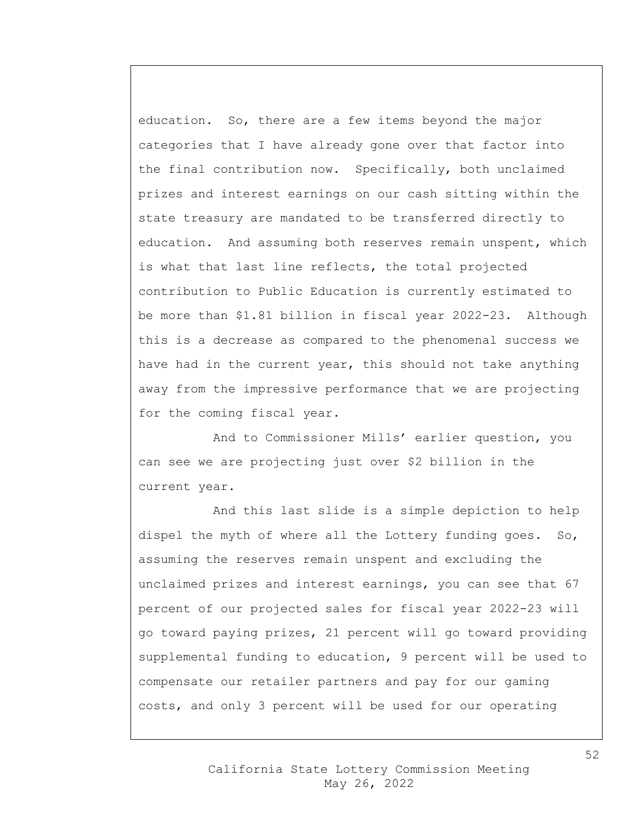education. So, there are a few items beyond the major categories that I have already gone over that factor into the final contribution now. Specifically, both unclaimed prizes and interest earnings on our cash sitting within the state treasury are mandated to be transferred directly to education. And assuming both reserves remain unspent, which is what that last line reflects, the total projected contribution to Public Education is currently estimated to be more than \$1.81 billion in fiscal year 2022-23. Although this is a decrease as compared to the phenomenal success we have had in the current year, this should not take anything away from the impressive performance that we are projecting for the coming fiscal year.

And to Commissioner Mills' earlier question, you can see we are projecting just over \$2 billion in the current year.

And this last slide is a simple depiction to help dispel the myth of where all the Lottery funding goes. So, assuming the reserves remain unspent and excluding the unclaimed prizes and interest earnings, you can see that 67 percent of our projected sales for fiscal year 2022-23 will go toward paying prizes, 21 percent will go toward providing supplemental funding to education, 9 percent will be used to compensate our retailer partners and pay for our gaming costs, and only 3 percent will be used for our operating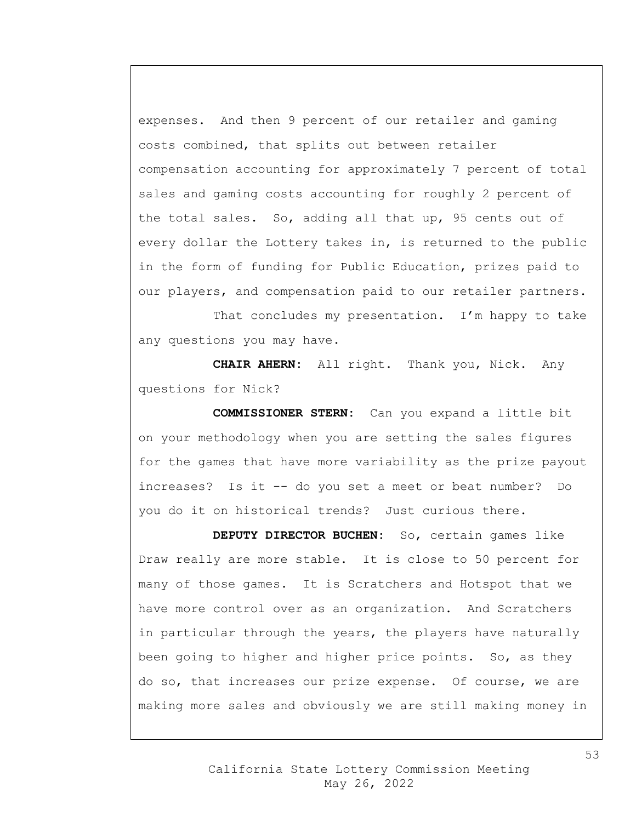expenses. And then 9 percent of our retailer and gaming costs combined, that splits out between retailer compensation accounting for approximately 7 percent of total sales and gaming costs accounting for roughly 2 percent of the total sales. So, adding all that up, 95 cents out of every dollar the Lottery takes in, is returned to the public in the form of funding for Public Education, prizes paid to our players, and compensation paid to our retailer partners.

That concludes my presentation. I'm happy to take any questions you may have.

**CHAIR AHERN:** All right. Thank you, Nick. Any questions for Nick?

**COMMISSIONER STERN:** Can you expand a little bit on your methodology when you are setting the sales figures for the games that have more variability as the prize payout increases? Is it -- do you set a meet or beat number? Do you do it on historical trends? Just curious there.

**DEPUTY DIRECTOR BUCHEN:** So, certain games like Draw really are more stable. It is close to 50 percent for many of those games. It is Scratchers and Hotspot that we have more control over as an organization. And Scratchers in particular through the years, the players have naturally been going to higher and higher price points. So, as they do so, that increases our prize expense. Of course, we are making more sales and obviously we are still making money in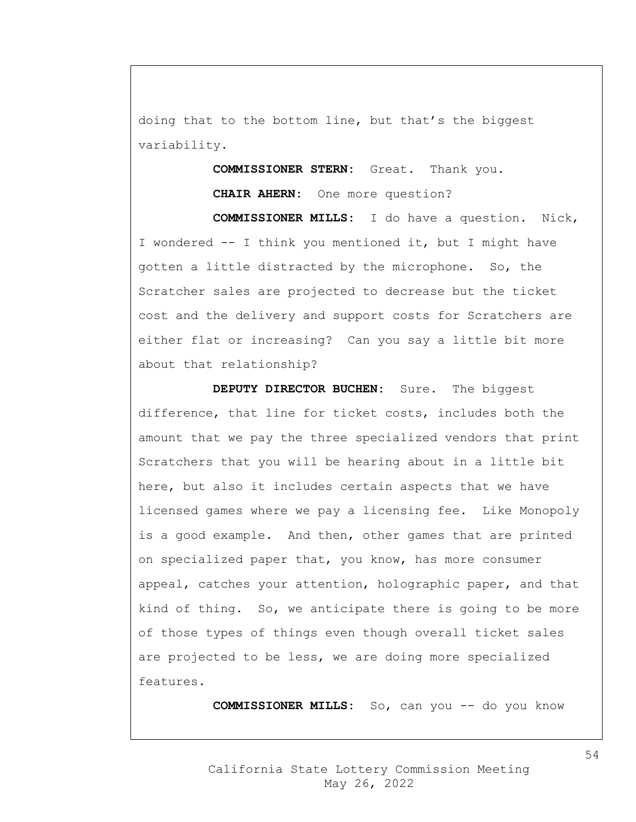doing that to the bottom line, but that's the biggest variability.

> **COMMISSIONER STERN:** Great. Thank you. **CHAIR AHERN:** One more question?

**COMMISSIONER MILLS:** I do have a question. Nick, I wondered -- I think you mentioned it, but I might have gotten a little distracted by the microphone. So, the Scratcher sales are projected to decrease but the ticket cost and the delivery and support costs for Scratchers are either flat or increasing? Can you say a little bit more about that relationship?

**DEPUTY DIRECTOR BUCHEN:** Sure. The biggest difference, that line for ticket costs, includes both the amount that we pay the three specialized vendors that print Scratchers that you will be hearing about in a little bit here, but also it includes certain aspects that we have licensed games where we pay a licensing fee. Like Monopoly is a good example. And then, other games that are printed on specialized paper that, you know, has more consumer appeal, catches your attention, holographic paper, and that kind of thing. So, we anticipate there is going to be more of those types of things even though overall ticket sales are projected to be less, we are doing more specialized features.

**COMMISSIONER MILLS:** So, can you -- do you know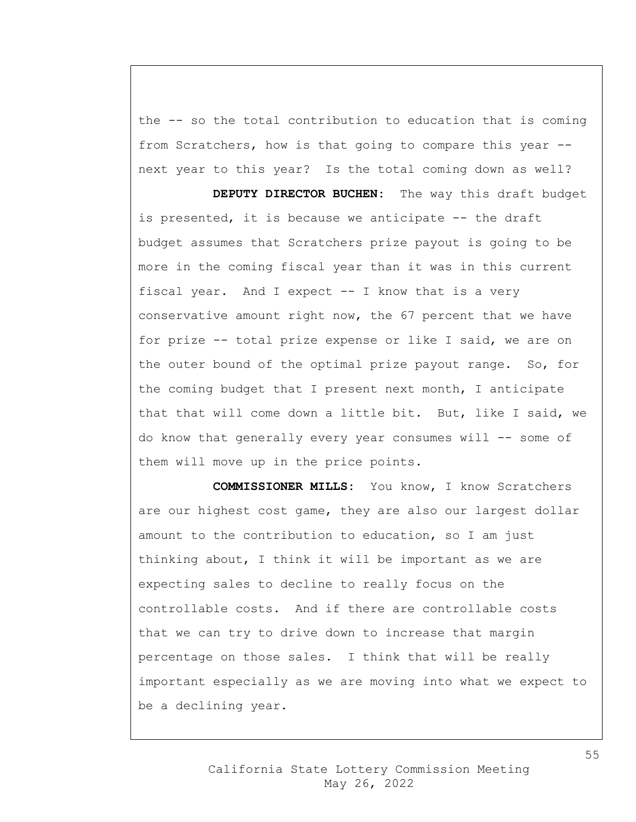the -- so the total contribution to education that is coming from Scratchers, how is that going to compare this year - next year to this year? Is the total coming down as well?

**DEPUTY DIRECTOR BUCHEN:** The way this draft budget is presented, it is because we anticipate -- the draft budget assumes that Scratchers prize payout is going to be more in the coming fiscal year than it was in this current fiscal year. And I expect -- I know that is a very conservative amount right now, the 67 percent that we have for prize -- total prize expense or like I said, we are on the outer bound of the optimal prize payout range. So, for the coming budget that I present next month, I anticipate that that will come down a little bit. But, like I said, we do know that generally every year consumes will -- some of them will move up in the price points.

**COMMISSIONER MILLS:** You know, I know Scratchers are our highest cost game, they are also our largest dollar amount to the contribution to education, so I am just thinking about, I think it will be important as we are expecting sales to decline to really focus on the controllable costs. And if there are controllable costs that we can try to drive down to increase that margin percentage on those sales. I think that will be really important especially as we are moving into what we expect to be a declining year.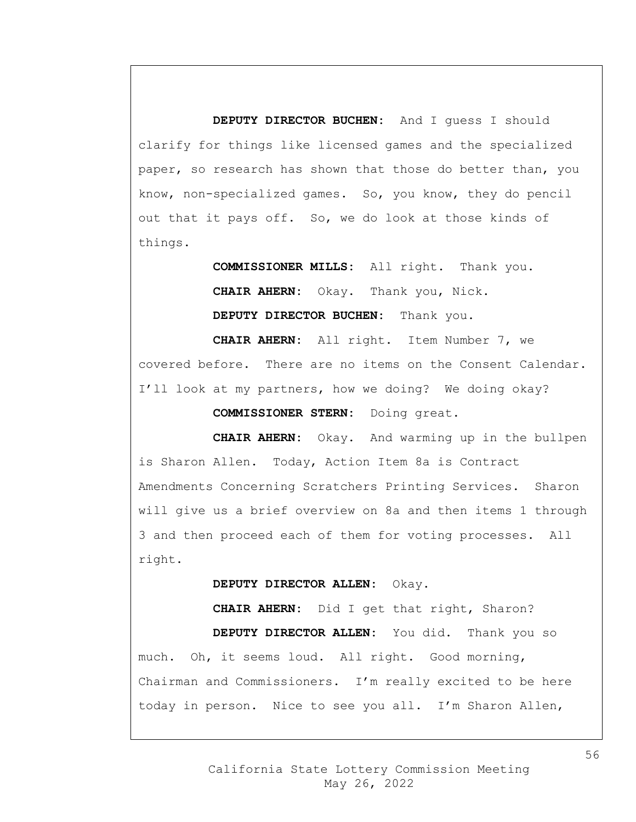**DEPUTY DIRECTOR BUCHEN:** And I guess I should clarify for things like licensed games and the specialized paper, so research has shown that those do better than, you know, non-specialized games. So, you know, they do pencil out that it pays off. So, we do look at those kinds of things.

> **COMMISSIONER MILLS:** All right. Thank you. **CHAIR AHERN:** Okay. Thank you, Nick. **DEPUTY DIRECTOR BUCHEN:** Thank you.

**CHAIR AHERN:** All right. Item Number 7, we covered before. There are no items on the Consent Calendar. I'll look at my partners, how we doing? We doing okay?

**COMMISSIONER STERN:** Doing great.

**CHAIR AHERN:** Okay. And warming up in the bullpen is Sharon Allen. Today, Action Item 8a is Contract Amendments Concerning Scratchers Printing Services. Sharon will give us a brief overview on 8a and then items 1 through 3 and then proceed each of them for voting processes. All right.

**DEPUTY DIRECTOR ALLEN:** Okay.

**CHAIR AHERN:** Did I get that right, Sharon? **DEPUTY DIRECTOR ALLEN:** You did. Thank you so much. Oh, it seems loud. All right. Good morning, Chairman and Commissioners. I'm really excited to be here today in person. Nice to see you all. I'm Sharon Allen,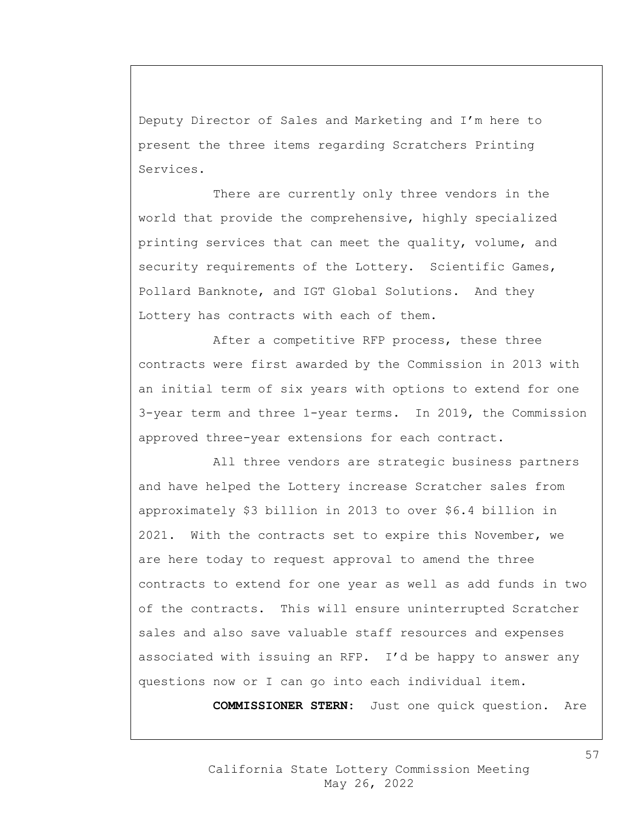Deputy Director of Sales and Marketing and I'm here to present the three items regarding Scratchers Printing Services.

There are currently only three vendors in the world that provide the comprehensive, highly specialized printing services that can meet the quality, volume, and security requirements of the Lottery. Scientific Games, Pollard Banknote, and IGT Global Solutions. And they Lottery has contracts with each of them.

After a competitive RFP process, these three contracts were first awarded by the Commission in 2013 with an initial term of six years with options to extend for one 3-year term and three 1-year terms. In 2019, the Commission approved three-year extensions for each contract.

All three vendors are strategic business partners and have helped the Lottery increase Scratcher sales from approximately \$3 billion in 2013 to over \$6.4 billion in 2021. With the contracts set to expire this November, we are here today to request approval to amend the three contracts to extend for one year as well as add funds in two of the contracts. This will ensure uninterrupted Scratcher sales and also save valuable staff resources and expenses associated with issuing an RFP. I'd be happy to answer any questions now or I can go into each individual item.

**COMMISSIONER STERN:** Just one quick question. Are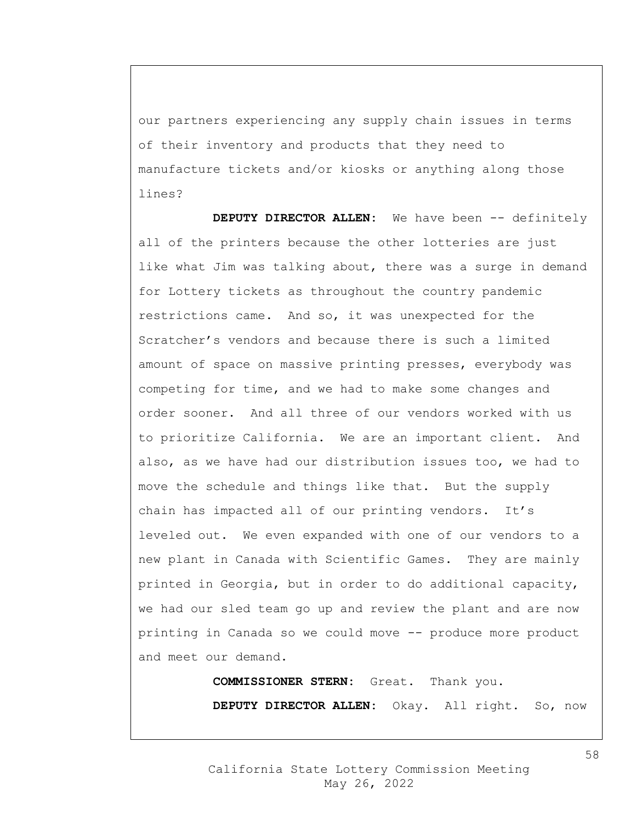our partners experiencing any supply chain issues in terms of their inventory and products that they need to manufacture tickets and/or kiosks or anything along those lines?

**DEPUTY DIRECTOR ALLEN:** We have been -- definitely all of the printers because the other lotteries are just like what Jim was talking about, there was a surge in demand for Lottery tickets as throughout the country pandemic restrictions came. And so, it was unexpected for the Scratcher's vendors and because there is such a limited amount of space on massive printing presses, everybody was competing for time, and we had to make some changes and order sooner. And all three of our vendors worked with us to prioritize California. We are an important client. And also, as we have had our distribution issues too, we had to move the schedule and things like that. But the supply chain has impacted all of our printing vendors. It's leveled out. We even expanded with one of our vendors to a new plant in Canada with Scientific Games. They are mainly printed in Georgia, but in order to do additional capacity, we had our sled team go up and review the plant and are now printing in Canada so we could move -- produce more product and meet our demand.

**COMMISSIONER STERN:** Great. Thank you.

**DEPUTY DIRECTOR ALLEN:** Okay. All right. So, now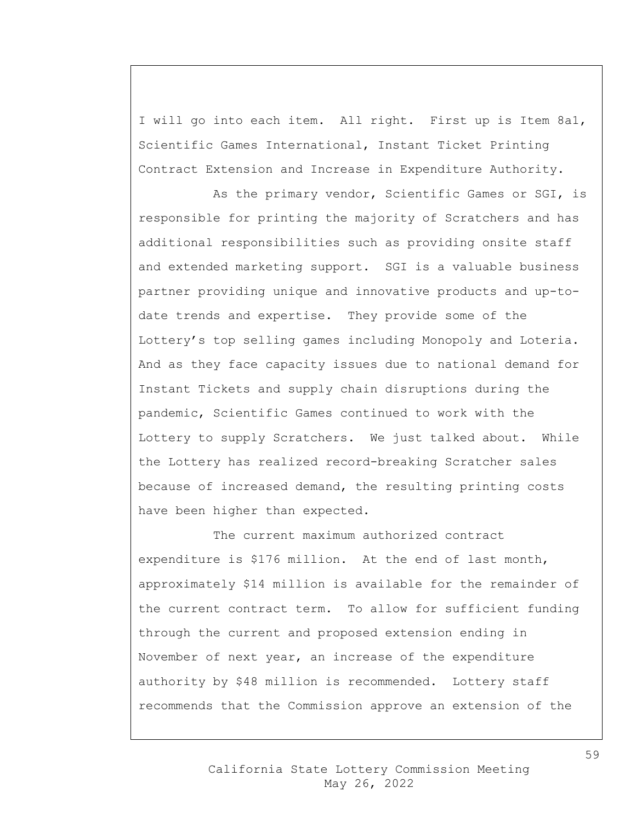I will go into each item. All right. First up is Item 8a1, Scientific Games International, Instant Ticket Printing Contract Extension and Increase in Expenditure Authority.

As the primary vendor, Scientific Games or SGI, is responsible for printing the majority of Scratchers and has additional responsibilities such as providing onsite staff and extended marketing support. SGI is a valuable business partner providing unique and innovative products and up-todate trends and expertise. They provide some of the Lottery's top selling games including Monopoly and Loteria. And as they face capacity issues due to national demand for Instant Tickets and supply chain disruptions during the pandemic, Scientific Games continued to work with the Lottery to supply Scratchers. We just talked about. While the Lottery has realized record-breaking Scratcher sales because of increased demand, the resulting printing costs have been higher than expected.

The current maximum authorized contract expenditure is \$176 million. At the end of last month, approximately \$14 million is available for the remainder of the current contract term. To allow for sufficient funding through the current and proposed extension ending in November of next year, an increase of the expenditure authority by \$48 million is recommended. Lottery staff recommends that the Commission approve an extension of the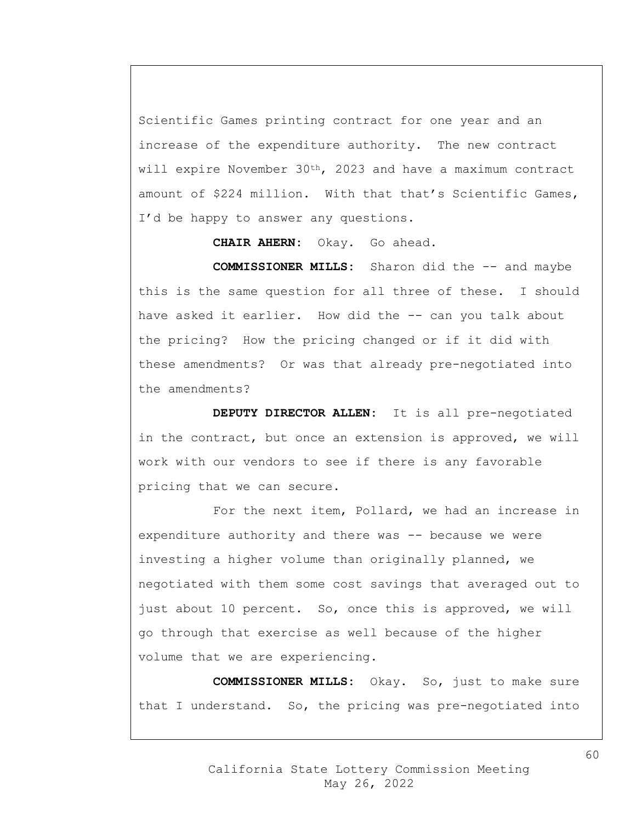Scientific Games printing contract for one year and an increase of the expenditure authority. The new contract will expire November 30<sup>th</sup>, 2023 and have a maximum contract amount of \$224 million. With that that's Scientific Games, I'd be happy to answer any questions.

**CHAIR AHERN:** Okay. Go ahead.

**COMMISSIONER MILLS:** Sharon did the -- and maybe this is the same question for all three of these. I should have asked it earlier. How did the -- can you talk about the pricing? How the pricing changed or if it did with these amendments? Or was that already pre-negotiated into the amendments?

**DEPUTY DIRECTOR ALLEN:** It is all pre-negotiated in the contract, but once an extension is approved, we will work with our vendors to see if there is any favorable pricing that we can secure.

For the next item, Pollard, we had an increase in expenditure authority and there was -- because we were investing a higher volume than originally planned, we negotiated with them some cost savings that averaged out to just about 10 percent. So, once this is approved, we will go through that exercise as well because of the higher volume that we are experiencing.

**COMMISSIONER MILLS:** Okay. So, just to make sure that I understand. So, the pricing was pre-negotiated into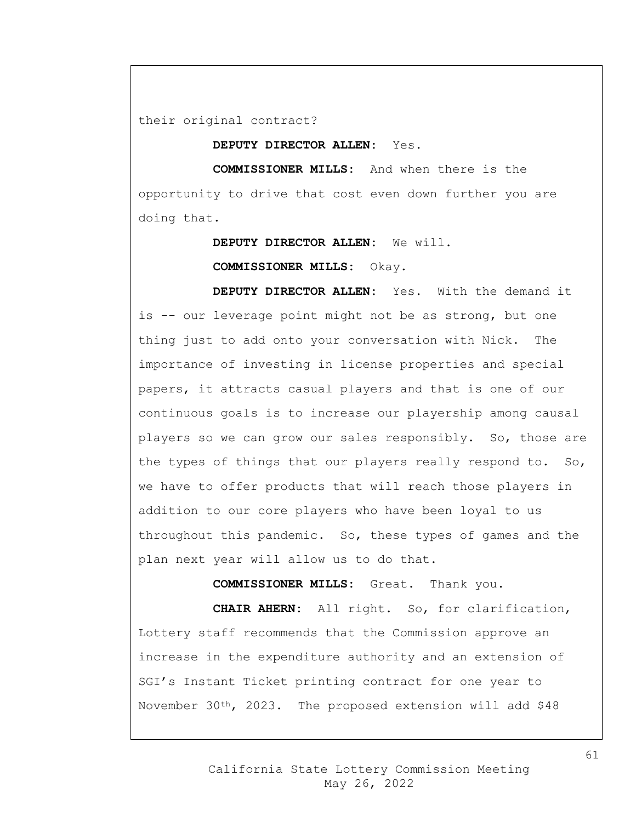their original contract?

**DEPUTY DIRECTOR ALLEN:** Yes.

**COMMISSIONER MILLS:** And when there is the opportunity to drive that cost even down further you are doing that.

**DEPUTY DIRECTOR ALLEN:** We will.

**COMMISSIONER MILLS:** Okay.

**DEPUTY DIRECTOR ALLEN:** Yes. With the demand it is -- our leverage point might not be as strong, but one thing just to add onto your conversation with Nick. The importance of investing in license properties and special papers, it attracts casual players and that is one of our continuous goals is to increase our playership among causal players so we can grow our sales responsibly. So, those are the types of things that our players really respond to. So, we have to offer products that will reach those players in addition to our core players who have been loyal to us throughout this pandemic. So, these types of games and the plan next year will allow us to do that.

**COMMISSIONER MILLS:** Great. Thank you.

**CHAIR AHERN:** All right. So, for clarification, Lottery staff recommends that the Commission approve an increase in the expenditure authority and an extension of SGI's Instant Ticket printing contract for one year to November 30th, 2023. The proposed extension will add \$48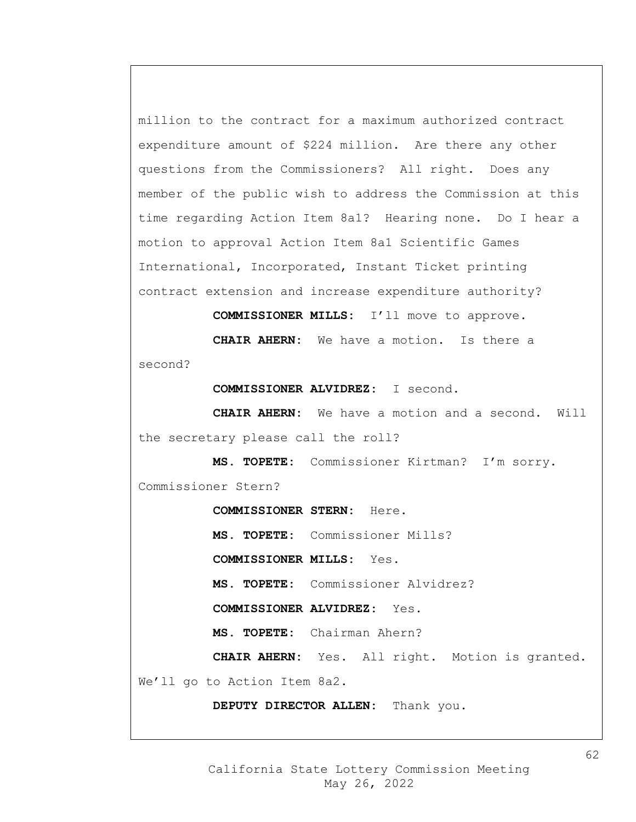million to the contract for a maximum authorized contract expenditure amount of \$224 million. Are there any other questions from the Commissioners? All right. Does any member of the public wish to address the Commission at this time regarding Action Item 8a1? Hearing none. Do I hear a motion to approval Action Item 8a1 Scientific Games International, Incorporated, Instant Ticket printing contract extension and increase expenditure authority?

**COMMISSIONER MILLS:** I'll move to approve.

**CHAIR AHERN:** We have a motion. Is there a second?

**COMMISSIONER ALVIDREZ:** I second.

**CHAIR AHERN:** We have a motion and a second. Will the secretary please call the roll?

**MS. TOPETE:** Commissioner Kirtman? I'm sorry. Commissioner Stern?

**COMMISSIONER STERN:** Here.

**MS. TOPETE:** Commissioner Mills?

**COMMISSIONER MILLS:** Yes.

**MS. TOPETE:** Commissioner Alvidrez?

**COMMISSIONER ALVIDREZ:** Yes.

**MS. TOPETE:** Chairman Ahern?

**CHAIR AHERN:** Yes. All right. Motion is granted. We'll go to Action Item 8a2.

**DEPUTY DIRECTOR ALLEN:** Thank you.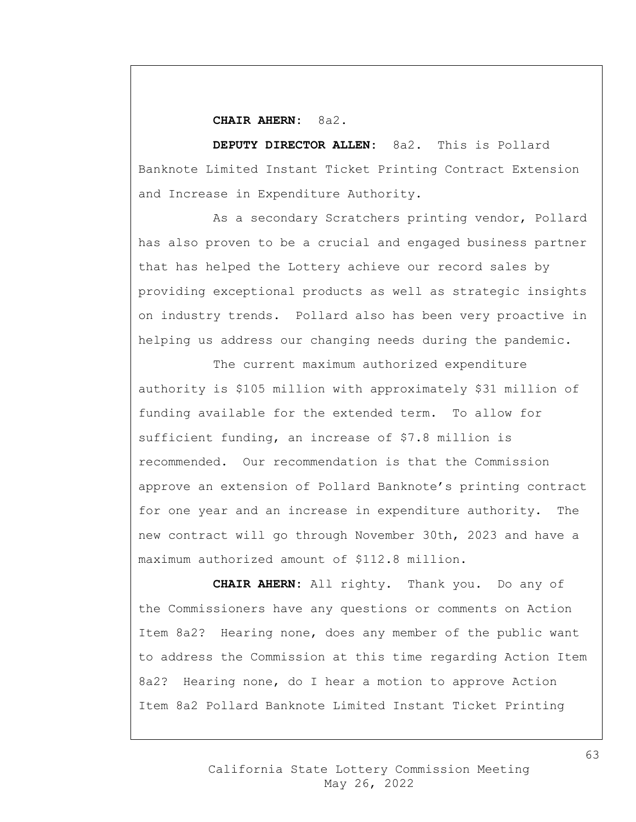## **CHAIR AHERN:** 8a2.

**DEPUTY DIRECTOR ALLEN:** 8a2. This is Pollard Banknote Limited Instant Ticket Printing Contract Extension and Increase in Expenditure Authority.

As a secondary Scratchers printing vendor, Pollard has also proven to be a crucial and engaged business partner that has helped the Lottery achieve our record sales by providing exceptional products as well as strategic insights on industry trends. Pollard also has been very proactive in helping us address our changing needs during the pandemic.

The current maximum authorized expenditure authority is \$105 million with approximately \$31 million of funding available for the extended term. To allow for sufficient funding, an increase of \$7.8 million is recommended. Our recommendation is that the Commission approve an extension of Pollard Banknote's printing contract for one year and an increase in expenditure authority. The new contract will go through November 30th, 2023 and have a maximum authorized amount of \$112.8 million.

**CHAIR AHERN:** All righty. Thank you. Do any of the Commissioners have any questions or comments on Action Item 8a2? Hearing none, does any member of the public want to address the Commission at this time regarding Action Item 8a2? Hearing none, do I hear a motion to approve Action Item 8a2 Pollard Banknote Limited Instant Ticket Printing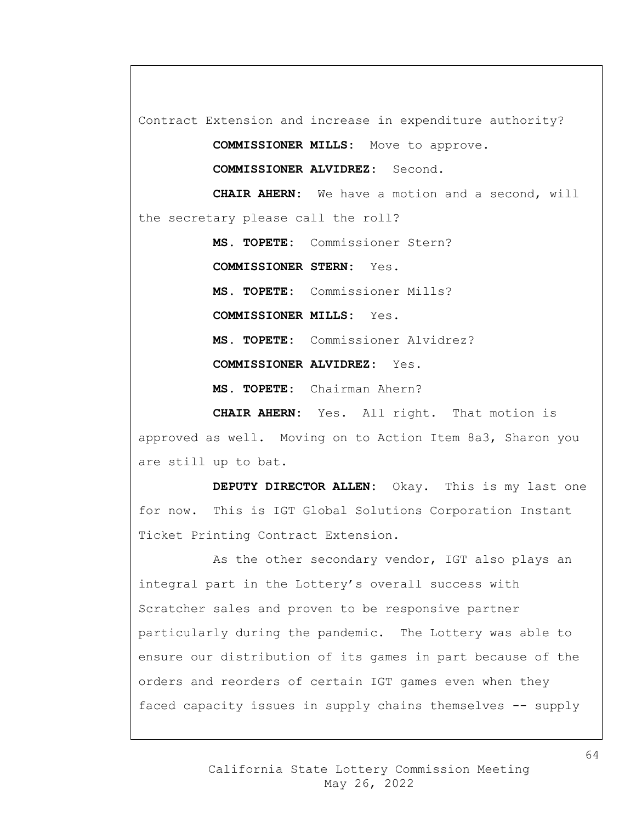Contract Extension and increase in expenditure authority?

**COMMISSIONER MILLS:** Move to approve.

**COMMISSIONER ALVIDREZ:** Second.

**CHAIR AHERN:** We have a motion and a second, will the secretary please call the roll?

**MS. TOPETE:** Commissioner Stern?

**COMMISSIONER STERN:** Yes.

**MS. TOPETE:** Commissioner Mills? **COMMISSIONER MILLS:** Yes. **MS. TOPETE:** Commissioner Alvidrez? **COMMISSIONER ALVIDREZ:** Yes.

**MS. TOPETE:** Chairman Ahern?

**CHAIR AHERN:** Yes. All right. That motion is approved as well. Moving on to Action Item 8a3, Sharon you are still up to bat.

**DEPUTY DIRECTOR ALLEN:** Okay. This is my last one for now. This is IGT Global Solutions Corporation Instant Ticket Printing Contract Extension.

As the other secondary vendor, IGT also plays an integral part in the Lottery's overall success with Scratcher sales and proven to be responsive partner particularly during the pandemic. The Lottery was able to ensure our distribution of its games in part because of the orders and reorders of certain IGT games even when they faced capacity issues in supply chains themselves -- supply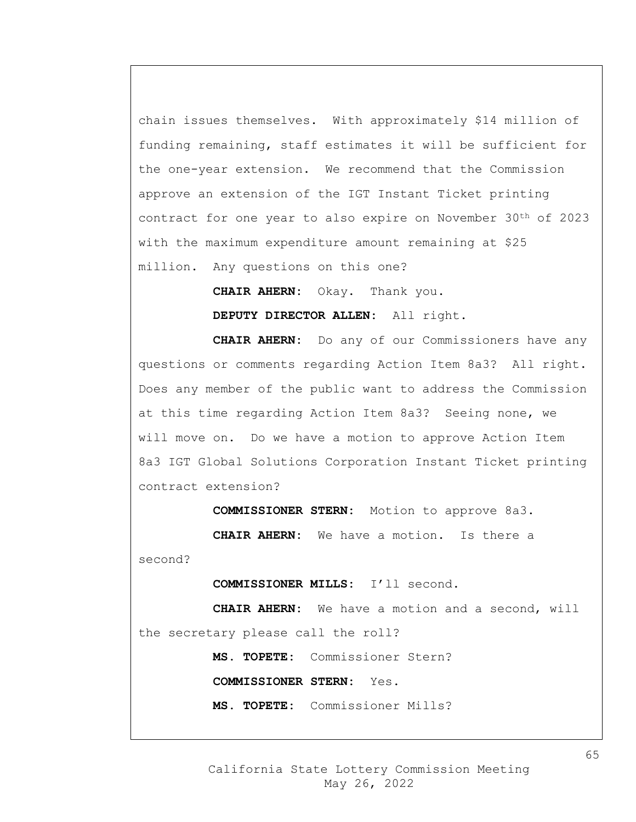chain issues themselves. With approximately \$14 million of funding remaining, staff estimates it will be sufficient for the one-year extension. We recommend that the Commission approve an extension of the IGT Instant Ticket printing contract for one year to also expire on November 30th of 2023 with the maximum expenditure amount remaining at \$25 million. Any questions on this one?

> **CHAIR AHERN:** Okay. Thank you. **DEPUTY DIRECTOR ALLEN:** All right.

**CHAIR AHERN:** Do any of our Commissioners have any questions or comments regarding Action Item 8a3? All right. Does any member of the public want to address the Commission at this time regarding Action Item 8a3? Seeing none, we will move on. Do we have a motion to approve Action Item 8a3 IGT Global Solutions Corporation Instant Ticket printing contract extension?

**COMMISSIONER STERN:** Motion to approve 8a3.

**CHAIR AHERN:** We have a motion. Is there a

second?

**COMMISSIONER MILLS:** I'll second.

**CHAIR AHERN:** We have a motion and a second, will the secretary please call the roll?

**MS. TOPETE:** Commissioner Stern?

**COMMISSIONER STERN:** Yes.

**MS. TOPETE:** Commissioner Mills?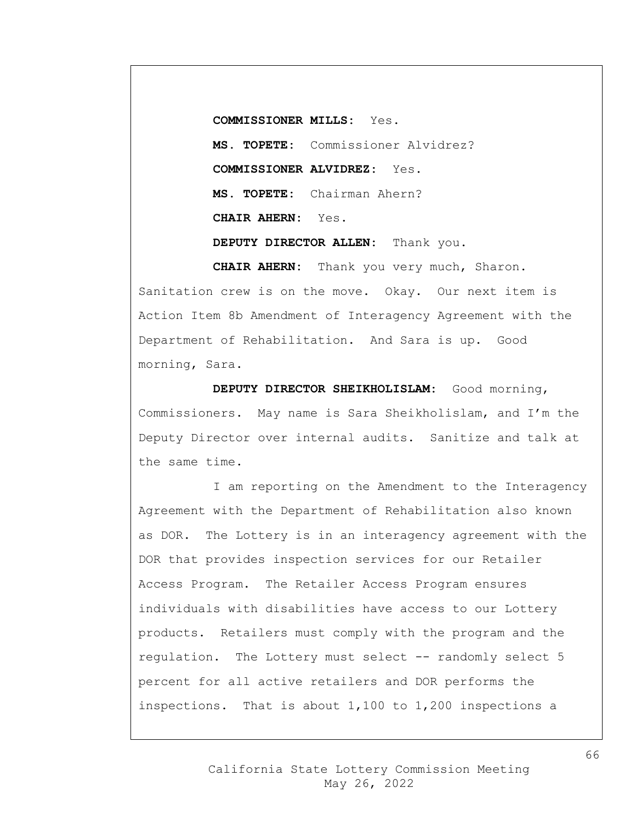**COMMISSIONER MILLS:** Yes. **MS. TOPETE:** Commissioner Alvidrez? **COMMISSIONER ALVIDREZ:** Yes. **MS. TOPETE:** Chairman Ahern? **CHAIR AHERN:** Yes. **DEPUTY DIRECTOR ALLEN:** Thank you.

**CHAIR AHERN:** Thank you very much, Sharon. Sanitation crew is on the move. Okay. Our next item is Action Item 8b Amendment of Interagency Agreement with the Department of Rehabilitation. And Sara is up. Good morning, Sara.

**DEPUTY DIRECTOR SHEIKHOLISLAM:** Good morning, Commissioners. May name is Sara Sheikholislam, and I'm the Deputy Director over internal audits. Sanitize and talk at the same time.

I am reporting on the Amendment to the Interagency Agreement with the Department of Rehabilitation also known as DOR. The Lottery is in an interagency agreement with the DOR that provides inspection services for our Retailer Access Program. The Retailer Access Program ensures individuals with disabilities have access to our Lottery products. Retailers must comply with the program and the regulation. The Lottery must select -- randomly select 5 percent for all active retailers and DOR performs the inspections. That is about 1,100 to 1,200 inspections a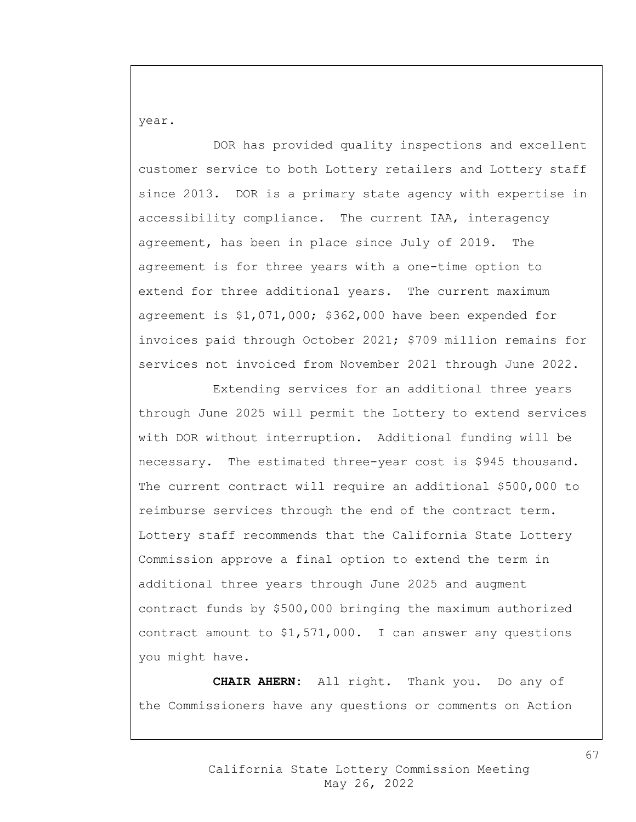year.

DOR has provided quality inspections and excellent customer service to both Lottery retailers and Lottery staff since 2013. DOR is a primary state agency with expertise in accessibility compliance. The current IAA, interagency agreement, has been in place since July of 2019. The agreement is for three years with a one-time option to extend for three additional years. The current maximum agreement is \$1,071,000; \$362,000 have been expended for invoices paid through October 2021; \$709 million remains for services not invoiced from November 2021 through June 2022.

Extending services for an additional three years through June 2025 will permit the Lottery to extend services with DOR without interruption. Additional funding will be necessary. The estimated three-year cost is \$945 thousand. The current contract will require an additional \$500,000 to reimburse services through the end of the contract term. Lottery staff recommends that the California State Lottery Commission approve a final option to extend the term in additional three years through June 2025 and augment contract funds by \$500,000 bringing the maximum authorized contract amount to \$1,571,000. I can answer any questions you might have.

**CHAIR AHERN:** All right. Thank you. Do any of the Commissioners have any questions or comments on Action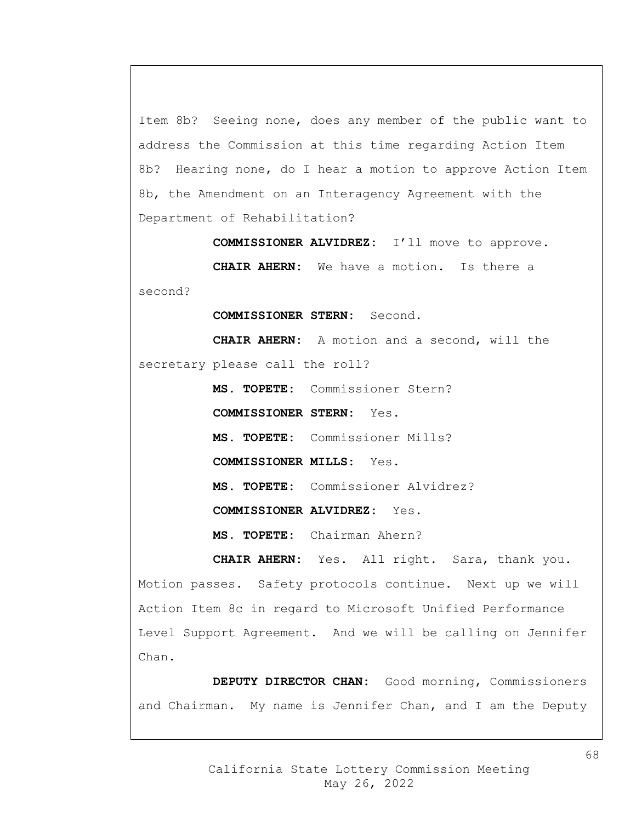Item 8b? Seeing none, does any member of the public want to address the Commission at this time regarding Action Item 8b? Hearing none, do I hear a motion to approve Action Item 8b, the Amendment on an Interagency Agreement with the Department of Rehabilitation?

**COMMISSIONER ALVIDREZ:** I'll move to approve.

**CHAIR AHERN:** We have a motion. Is there a second?

**COMMISSIONER STERN:** Second.

**CHAIR AHERN:** A motion and a second, will the secretary please call the roll?

**MS. TOPETE:** Commissioner Stern?

**COMMISSIONER STERN:** Yes.

**MS. TOPETE:** Commissioner Mills?

**COMMISSIONER MILLS:** Yes.

**MS. TOPETE:** Commissioner Alvidrez?

**COMMISSIONER ALVIDREZ:** Yes.

**MS. TOPETE:** Chairman Ahern?

**CHAIR AHERN:** Yes. All right. Sara, thank you. Motion passes. Safety protocols continue. Next up we will Action Item 8c in regard to Microsoft Unified Performance Level Support Agreement. And we will be calling on Jennifer Chan.

**DEPUTY DIRECTOR CHAN:** Good morning, Commissioners and Chairman. My name is Jennifer Chan, and I am the Deputy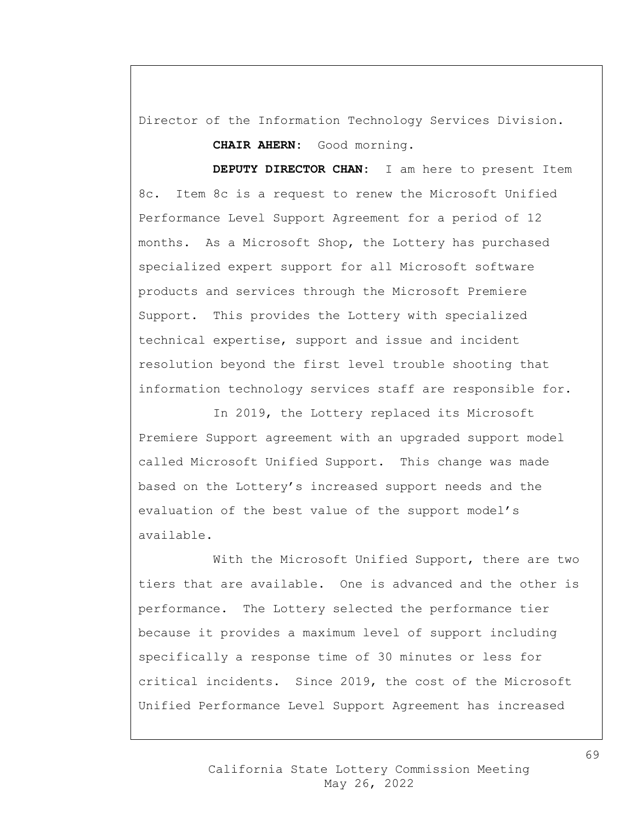Director of the Information Technology Services Division.

**CHAIR AHERN:** Good morning.

**DEPUTY DIRECTOR CHAN:** I am here to present Item 8c. Item 8c is a request to renew the Microsoft Unified Performance Level Support Agreement for a period of 12 months. As a Microsoft Shop, the Lottery has purchased specialized expert support for all Microsoft software products and services through the Microsoft Premiere Support. This provides the Lottery with specialized technical expertise, support and issue and incident resolution beyond the first level trouble shooting that information technology services staff are responsible for.

In 2019, the Lottery replaced its Microsoft Premiere Support agreement with an upgraded support model called Microsoft Unified Support. This change was made based on the Lottery's increased support needs and the evaluation of the best value of the support model's available.

With the Microsoft Unified Support, there are two tiers that are available. One is advanced and the other is performance. The Lottery selected the performance tier because it provides a maximum level of support including specifically a response time of 30 minutes or less for critical incidents. Since 2019, the cost of the Microsoft Unified Performance Level Support Agreement has increased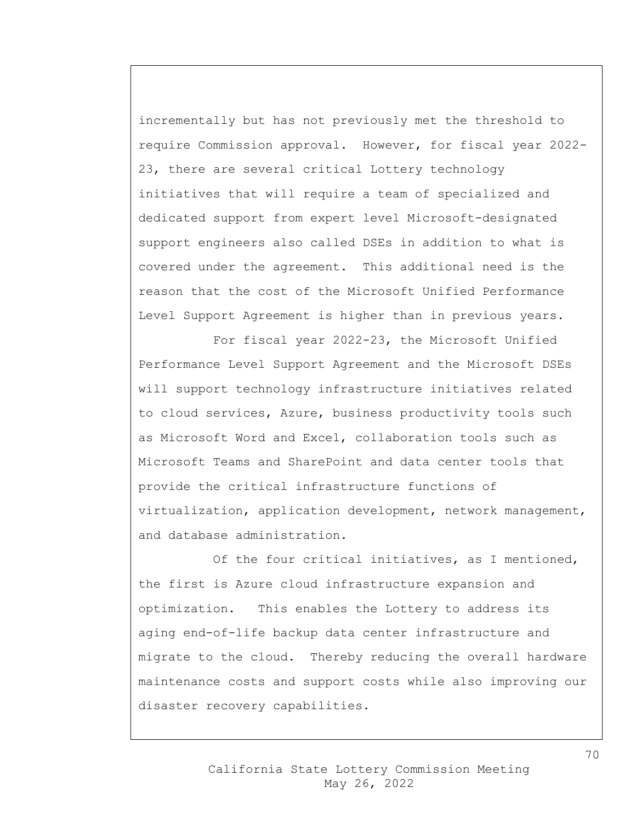incrementally but has not previously met the threshold to require Commission approval. However, for fiscal year 2022- 23, there are several critical Lottery technology initiatives that will require a team of specialized and dedicated support from expert level Microsoft-designated support engineers also called DSEs in addition to what is covered under the agreement. This additional need is the reason that the cost of the Microsoft Unified Performance Level Support Agreement is higher than in previous years.

For fiscal year 2022-23, the Microsoft Unified Performance Level Support Agreement and the Microsoft DSEs will support technology infrastructure initiatives related to cloud services, Azure, business productivity tools such as Microsoft Word and Excel, collaboration tools such as Microsoft Teams and SharePoint and data center tools that provide the critical infrastructure functions of virtualization, application development, network management, and database administration.

Of the four critical initiatives, as I mentioned, the first is Azure cloud infrastructure expansion and optimization. This enables the Lottery to address its aging end-of-life backup data center infrastructure and migrate to the cloud. Thereby reducing the overall hardware maintenance costs and support costs while also improving our disaster recovery capabilities.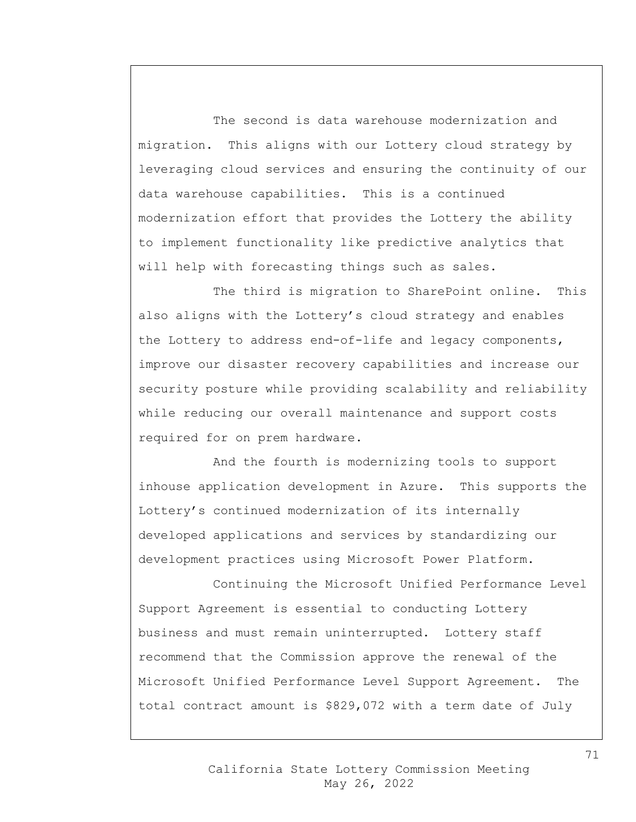The second is data warehouse modernization and migration. This aligns with our Lottery cloud strategy by leveraging cloud services and ensuring the continuity of our data warehouse capabilities. This is a continued modernization effort that provides the Lottery the ability to implement functionality like predictive analytics that will help with forecasting things such as sales.

The third is migration to SharePoint online. This also aligns with the Lottery's cloud strategy and enables the Lottery to address end-of-life and legacy components, improve our disaster recovery capabilities and increase our security posture while providing scalability and reliability while reducing our overall maintenance and support costs required for on prem hardware.

And the fourth is modernizing tools to support inhouse application development in Azure. This supports the Lottery's continued modernization of its internally developed applications and services by standardizing our development practices using Microsoft Power Platform.

Continuing the Microsoft Unified Performance Level Support Agreement is essential to conducting Lottery business and must remain uninterrupted. Lottery staff recommend that the Commission approve the renewal of the Microsoft Unified Performance Level Support Agreement. The total contract amount is \$829,072 with a term date of July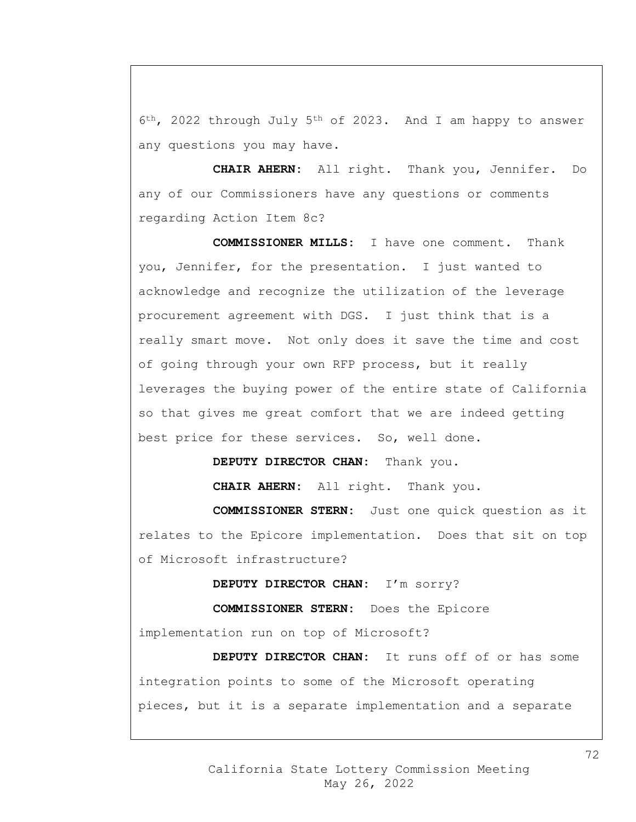6th, 2022 through July 5th of 2023. And I am happy to answer any questions you may have.

**CHAIR AHERN:** All right. Thank you, Jennifer. Do any of our Commissioners have any questions or comments regarding Action Item 8c?

**COMMISSIONER MILLS:** I have one comment. Thank you, Jennifer, for the presentation. I just wanted to acknowledge and recognize the utilization of the leverage procurement agreement with DGS. I just think that is a really smart move. Not only does it save the time and cost of going through your own RFP process, but it really leverages the buying power of the entire state of California so that gives me great comfort that we are indeed getting best price for these services. So, well done.

**DEPUTY DIRECTOR CHAN:** Thank you.

**CHAIR AHERN:** All right. Thank you.

**COMMISSIONER STERN:** Just one quick question as it relates to the Epicore implementation. Does that sit on top of Microsoft infrastructure?

**DEPUTY DIRECTOR CHAN:** I'm sorry?

**COMMISSIONER STERN:** Does the Epicore

implementation run on top of Microsoft?

**DEPUTY DIRECTOR CHAN:** It runs off of or has some integration points to some of the Microsoft operating pieces, but it is a separate implementation and a separate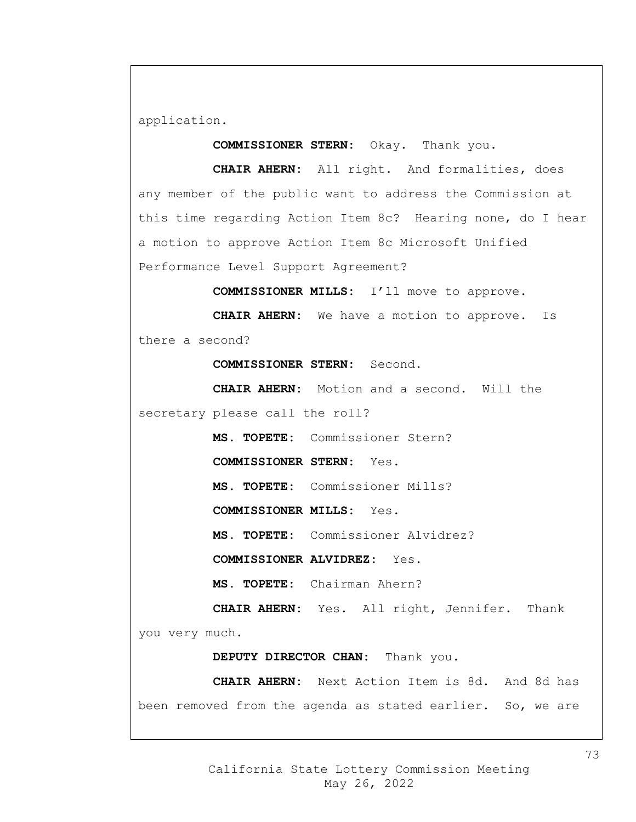application.

**COMMISSIONER STERN:** Okay. Thank you.

**CHAIR AHERN:** All right. And formalities, does any member of the public want to address the Commission at this time regarding Action Item 8c? Hearing none, do I hear a motion to approve Action Item 8c Microsoft Unified Performance Level Support Agreement?

**COMMISSIONER MILLS:** I'll move to approve.

**CHAIR AHERN:** We have a motion to approve. Is there a second?

**COMMISSIONER STERN:** Second.

**CHAIR AHERN:** Motion and a second. Will the secretary please call the roll?

**MS. TOPETE:** Commissioner Stern?

**COMMISSIONER STERN:** Yes.

**MS. TOPETE:** Commissioner Mills?

**COMMISSIONER MILLS:** Yes.

**MS. TOPETE:** Commissioner Alvidrez?

**COMMISSIONER ALVIDREZ:** Yes.

**MS. TOPETE:** Chairman Ahern?

**CHAIR AHERN:** Yes. All right, Jennifer. Thank

you very much.

**DEPUTY DIRECTOR CHAN:** Thank you.

**CHAIR AHERN:** Next Action Item is 8d. And 8d has been removed from the agenda as stated earlier. So, we are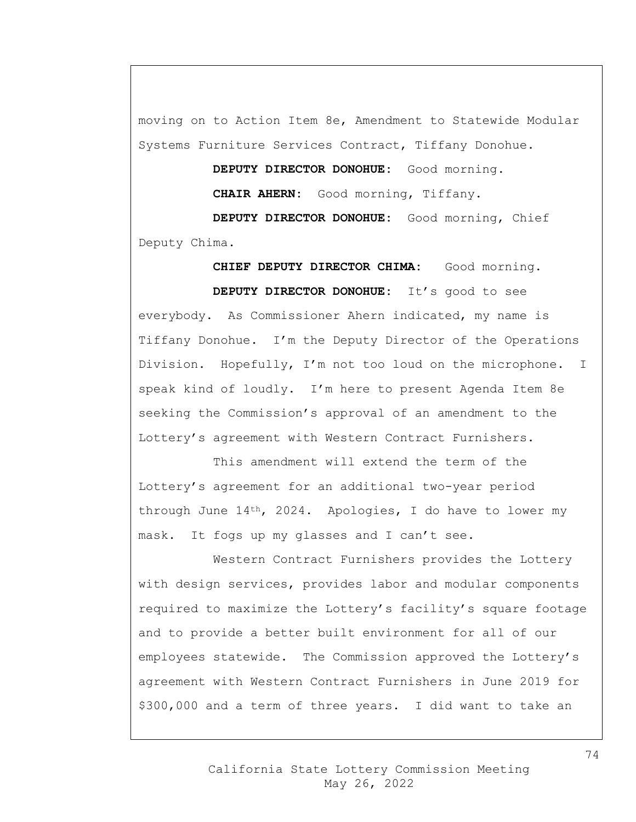moving on to Action Item 8e, Amendment to Statewide Modular Systems Furniture Services Contract, Tiffany Donohue.

> **DEPUTY DIRECTOR DONOHUE:** Good morning. **CHAIR AHERN:** Good morning, Tiffany.

**DEPUTY DIRECTOR DONOHUE:** Good morning, Chief Deputy Chima.

**CHIEF DEPUTY DIRECTOR CHIMA:** Good morning. **DEPUTY DIRECTOR DONOHUE:** It's good to see everybody. As Commissioner Ahern indicated, my name is Tiffany Donohue. I'm the Deputy Director of the Operations Division. Hopefully, I'm not too loud on the microphone. I speak kind of loudly. I'm here to present Agenda Item 8e seeking the Commission's approval of an amendment to the Lottery's agreement with Western Contract Furnishers.

This amendment will extend the term of the Lottery's agreement for an additional two-year period through June 14th, 2024. Apologies, I do have to lower my mask. It fogs up my glasses and I can't see.

Western Contract Furnishers provides the Lottery with design services, provides labor and modular components required to maximize the Lottery's facility's square footage and to provide a better built environment for all of our employees statewide. The Commission approved the Lottery's agreement with Western Contract Furnishers in June 2019 for \$300,000 and a term of three years. I did want to take an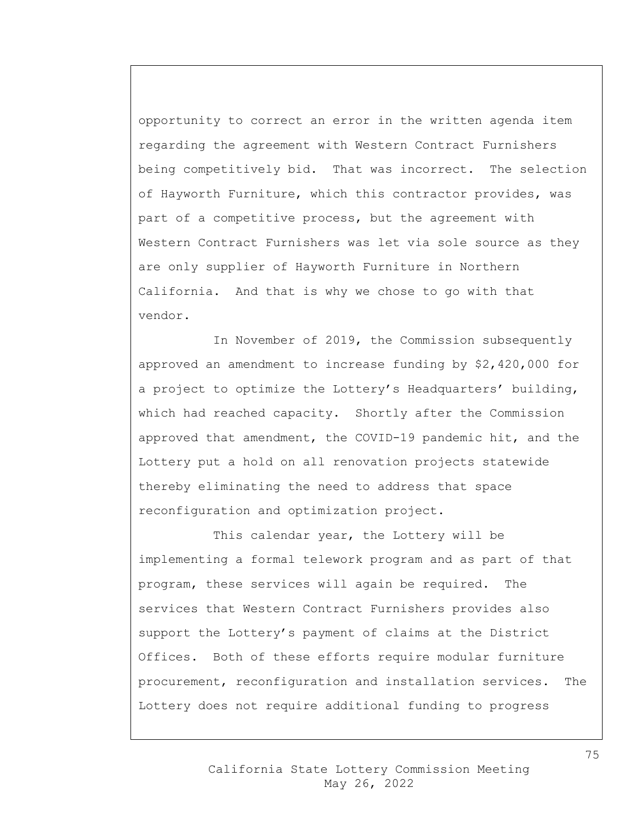opportunity to correct an error in the written agenda item regarding the agreement with Western Contract Furnishers being competitively bid. That was incorrect. The selection of Hayworth Furniture, which this contractor provides, was part of a competitive process, but the agreement with Western Contract Furnishers was let via sole source as they are only supplier of Hayworth Furniture in Northern California. And that is why we chose to go with that vendor.

In November of 2019, the Commission subsequently approved an amendment to increase funding by \$2,420,000 for a project to optimize the Lottery's Headquarters' building, which had reached capacity. Shortly after the Commission approved that amendment, the COVID-19 pandemic hit, and the Lottery put a hold on all renovation projects statewide thereby eliminating the need to address that space reconfiguration and optimization project.

This calendar year, the Lottery will be implementing a formal telework program and as part of that program, these services will again be required. The services that Western Contract Furnishers provides also support the Lottery's payment of claims at the District Offices. Both of these efforts require modular furniture procurement, reconfiguration and installation services. The Lottery does not require additional funding to progress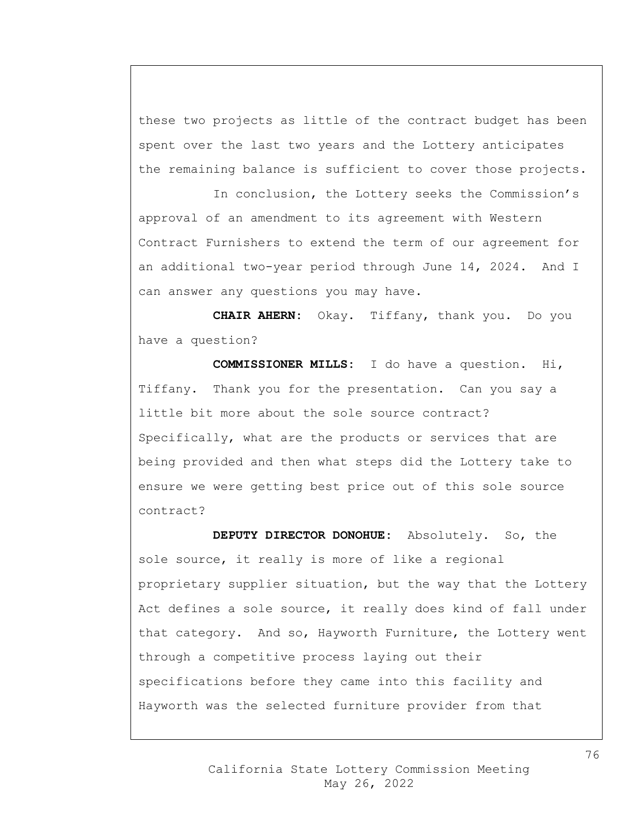these two projects as little of the contract budget has been spent over the last two years and the Lottery anticipates the remaining balance is sufficient to cover those projects.

In conclusion, the Lottery seeks the Commission's approval of an amendment to its agreement with Western Contract Furnishers to extend the term of our agreement for an additional two-year period through June 14, 2024. And I can answer any questions you may have.

**CHAIR AHERN:** Okay. Tiffany, thank you. Do you have a question?

**COMMISSIONER MILLS:** I do have a question. Hi, Tiffany. Thank you for the presentation. Can you say a little bit more about the sole source contract? Specifically, what are the products or services that are being provided and then what steps did the Lottery take to ensure we were getting best price out of this sole source contract?

**DEPUTY DIRECTOR DONOHUE:** Absolutely. So, the sole source, it really is more of like a regional proprietary supplier situation, but the way that the Lottery Act defines a sole source, it really does kind of fall under that category. And so, Hayworth Furniture, the Lottery went through a competitive process laying out their specifications before they came into this facility and Hayworth was the selected furniture provider from that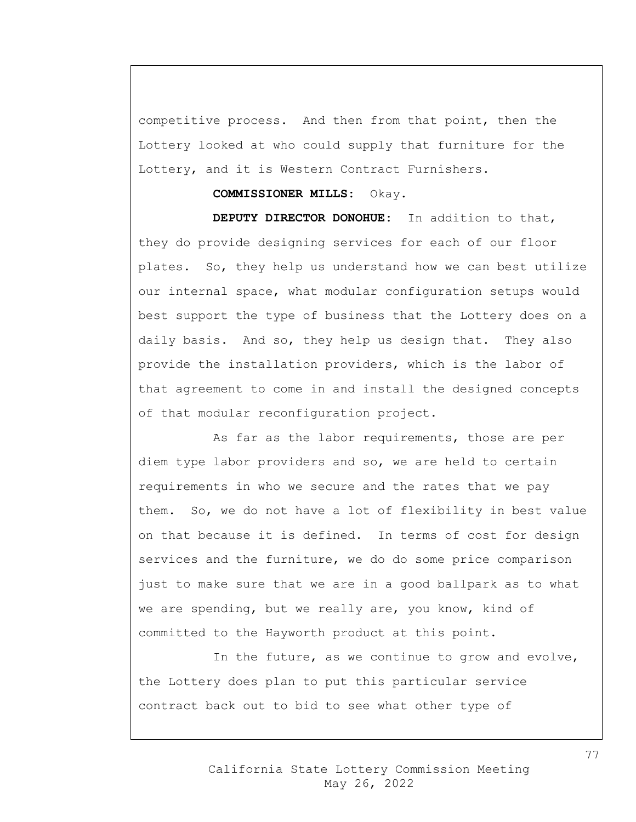competitive process. And then from that point, then the Lottery looked at who could supply that furniture for the Lottery, and it is Western Contract Furnishers.

## **COMMISSIONER MILLS:** Okay.

**DEPUTY DIRECTOR DONOHUE:** In addition to that, they do provide designing services for each of our floor plates. So, they help us understand how we can best utilize our internal space, what modular configuration setups would best support the type of business that the Lottery does on a daily basis. And so, they help us design that. They also provide the installation providers, which is the labor of that agreement to come in and install the designed concepts of that modular reconfiguration project.

As far as the labor requirements, those are per diem type labor providers and so, we are held to certain requirements in who we secure and the rates that we pay them. So, we do not have a lot of flexibility in best value on that because it is defined. In terms of cost for design services and the furniture, we do do some price comparison just to make sure that we are in a good ballpark as to what we are spending, but we really are, you know, kind of committed to the Hayworth product at this point.

In the future, as we continue to grow and evolve, the Lottery does plan to put this particular service contract back out to bid to see what other type of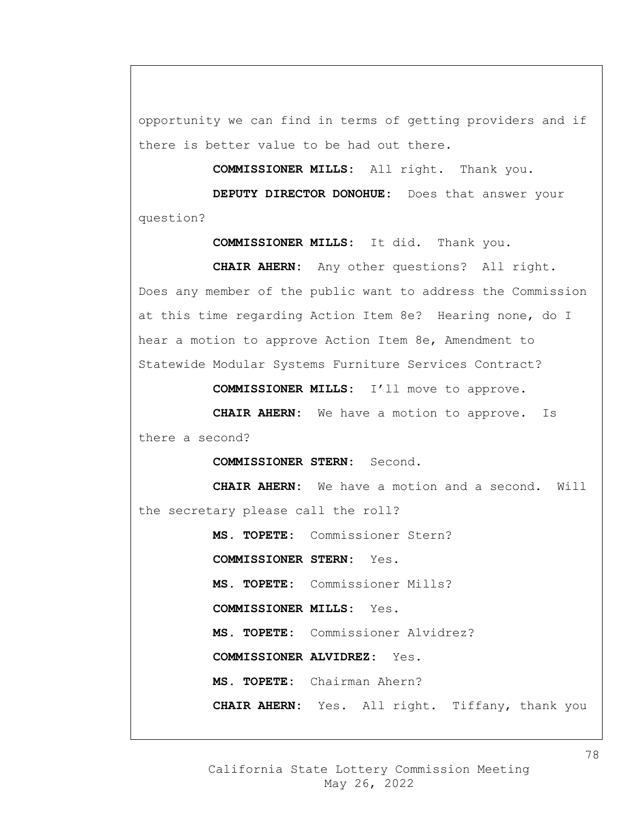opportunity we can find in terms of getting providers and if there is better value to be had out there.

**COMMISSIONER MILLS:** All right. Thank you.

**DEPUTY DIRECTOR DONOHUE:** Does that answer your question?

**COMMISSIONER MILLS:** It did. Thank you.

**CHAIR AHERN:** Any other questions? All right. Does any member of the public want to address the Commission at this time regarding Action Item 8e? Hearing none, do I hear a motion to approve Action Item 8e, Amendment to Statewide Modular Systems Furniture Services Contract?

**COMMISSIONER MILLS:** I'll move to approve.

**CHAIR AHERN:** We have a motion to approve. Is there a second?

**COMMISSIONER STERN:** Second.

**CHAIR AHERN:** We have a motion and a second. Will the secretary please call the roll?

**MS. TOPETE:** Commissioner Stern?

**COMMISSIONER STERN:** Yes.

**MS. TOPETE:** Commissioner Mills?

**COMMISSIONER MILLS:** Yes.

**MS. TOPETE:** Commissioner Alvidrez?

**COMMISSIONER ALVIDREZ:** Yes.

**MS. TOPETE:** Chairman Ahern?

**CHAIR AHERN:** Yes. All right. Tiffany, thank you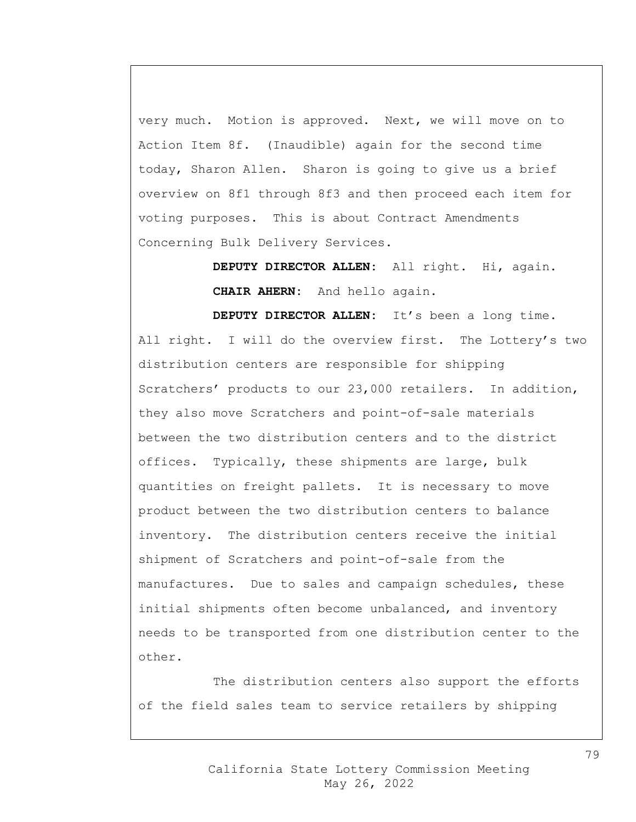very much. Motion is approved. Next, we will move on to Action Item 8f. (Inaudible) again for the second time today, Sharon Allen. Sharon is going to give us a brief overview on 8f1 through 8f3 and then proceed each item for voting purposes. This is about Contract Amendments Concerning Bulk Delivery Services.

> **DEPUTY DIRECTOR ALLEN:** All right. Hi, again. **CHAIR AHERN:** And hello again.

**DEPUTY DIRECTOR ALLEN:** It's been a long time. All right. I will do the overview first. The Lottery's two distribution centers are responsible for shipping Scratchers' products to our 23,000 retailers. In addition, they also move Scratchers and point-of-sale materials between the two distribution centers and to the district offices. Typically, these shipments are large, bulk quantities on freight pallets. It is necessary to move product between the two distribution centers to balance inventory. The distribution centers receive the initial shipment of Scratchers and point-of-sale from the manufactures. Due to sales and campaign schedules, these initial shipments often become unbalanced, and inventory needs to be transported from one distribution center to the other.

The distribution centers also support the efforts of the field sales team to service retailers by shipping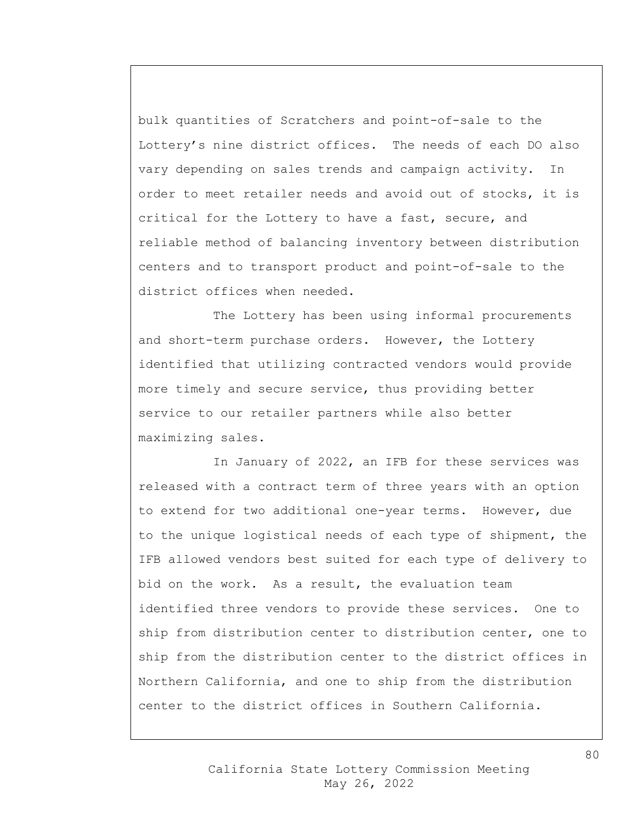bulk quantities of Scratchers and point-of-sale to the Lottery's nine district offices. The needs of each DO also vary depending on sales trends and campaign activity. In order to meet retailer needs and avoid out of stocks, it is critical for the Lottery to have a fast, secure, and reliable method of balancing inventory between distribution centers and to transport product and point-of-sale to the district offices when needed.

The Lottery has been using informal procurements and short-term purchase orders. However, the Lottery identified that utilizing contracted vendors would provide more timely and secure service, thus providing better service to our retailer partners while also better maximizing sales.

In January of 2022, an IFB for these services was released with a contract term of three years with an option to extend for two additional one-year terms. However, due to the unique logistical needs of each type of shipment, the IFB allowed vendors best suited for each type of delivery to bid on the work. As a result, the evaluation team identified three vendors to provide these services. One to ship from distribution center to distribution center, one to ship from the distribution center to the district offices in Northern California, and one to ship from the distribution center to the district offices in Southern California.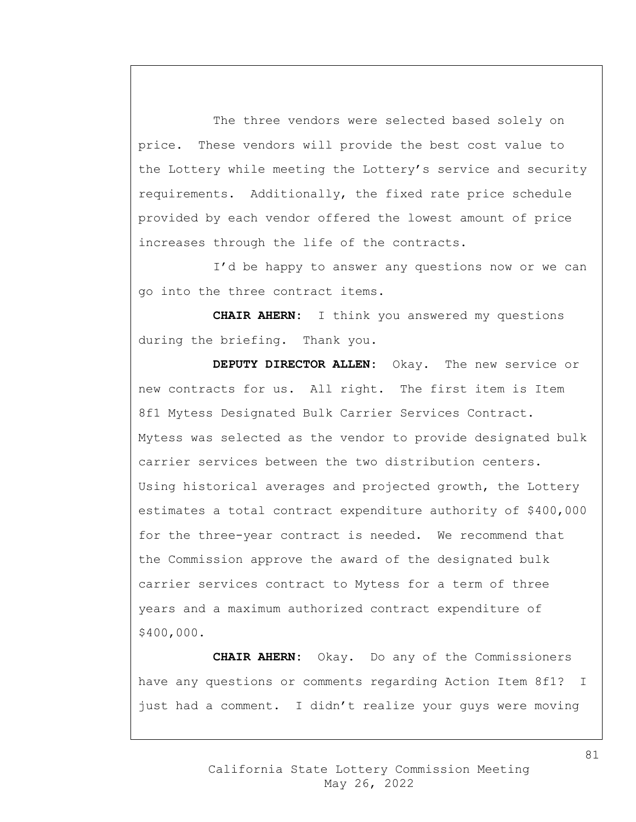The three vendors were selected based solely on price. These vendors will provide the best cost value to the Lottery while meeting the Lottery's service and security requirements. Additionally, the fixed rate price schedule provided by each vendor offered the lowest amount of price increases through the life of the contracts.

I'd be happy to answer any questions now or we can go into the three contract items.

**CHAIR AHERN:** I think you answered my questions during the briefing. Thank you.

**DEPUTY DIRECTOR ALLEN:** Okay. The new service or new contracts for us. All right. The first item is Item 8f1 Mytess Designated Bulk Carrier Services Contract. Mytess was selected as the vendor to provide designated bulk carrier services between the two distribution centers. Using historical averages and projected growth, the Lottery estimates a total contract expenditure authority of \$400,000 for the three-year contract is needed. We recommend that the Commission approve the award of the designated bulk carrier services contract to Mytess for a term of three years and a maximum authorized contract expenditure of \$400,000.

**CHAIR AHERN:** Okay. Do any of the Commissioners have any questions or comments regarding Action Item 8f1? I just had a comment. I didn't realize your guys were moving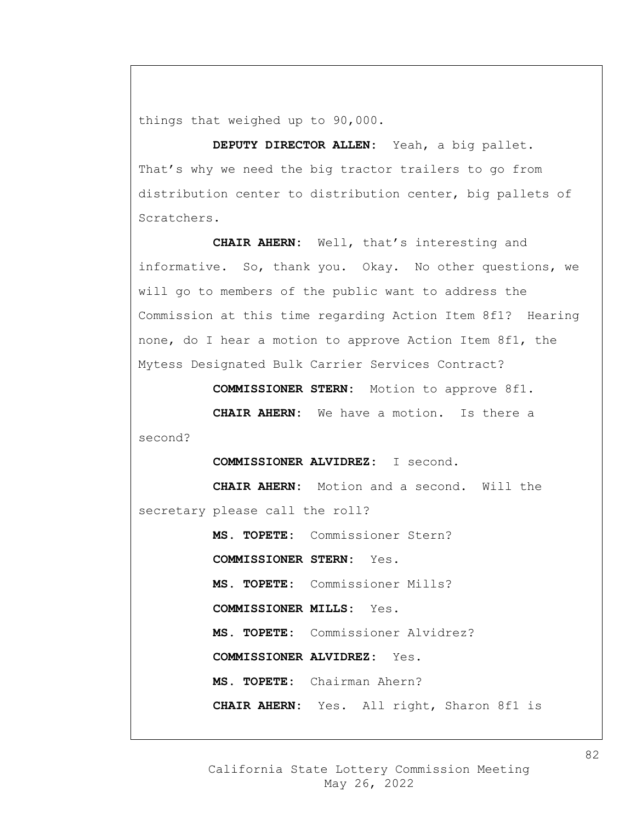things that weighed up to 90,000.

**DEPUTY DIRECTOR ALLEN:** Yeah, a big pallet. That's why we need the big tractor trailers to go from distribution center to distribution center, big pallets of Scratchers.

**CHAIR AHERN:** Well, that's interesting and informative. So, thank you. Okay. No other questions, we will go to members of the public want to address the Commission at this time regarding Action Item 8f1? Hearing none, do I hear a motion to approve Action Item 8f1, the Mytess Designated Bulk Carrier Services Contract?

**COMMISSIONER STERN:** Motion to approve 8f1.

**CHAIR AHERN:** We have a motion. Is there a second?

**COMMISSIONER ALVIDREZ:** I second.

**CHAIR AHERN:** Motion and a second. Will the secretary please call the roll?

**MS. TOPETE:** Commissioner Stern? **COMMISSIONER STERN:** Yes. **MS. TOPETE:** Commissioner Mills? **COMMISSIONER MILLS:** Yes. **MS. TOPETE:** Commissioner Alvidrez? **COMMISSIONER ALVIDREZ:** Yes. **MS. TOPETE:** Chairman Ahern? **CHAIR AHERN:** Yes. All right, Sharon 8f1 is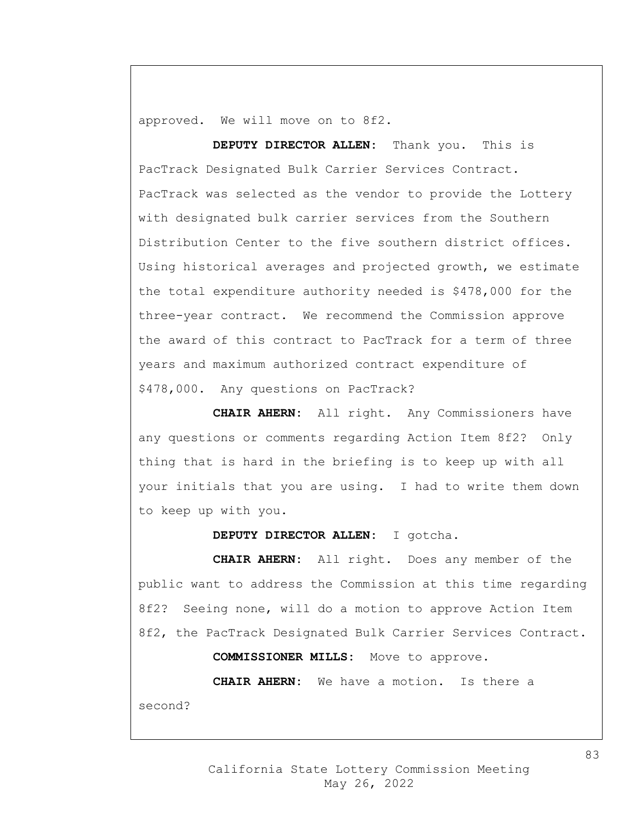approved. We will move on to 8f2.

**DEPUTY DIRECTOR ALLEN:** Thank you. This is PacTrack Designated Bulk Carrier Services Contract. PacTrack was selected as the vendor to provide the Lottery with designated bulk carrier services from the Southern Distribution Center to the five southern district offices. Using historical averages and projected growth, we estimate the total expenditure authority needed is \$478,000 for the three-year contract. We recommend the Commission approve the award of this contract to PacTrack for a term of three years and maximum authorized contract expenditure of \$478,000. Any questions on PacTrack?

**CHAIR AHERN:** All right. Any Commissioners have any questions or comments regarding Action Item 8f2? Only thing that is hard in the briefing is to keep up with all your initials that you are using. I had to write them down to keep up with you.

**DEPUTY DIRECTOR ALLEN:** I gotcha.

**CHAIR AHERN:** All right. Does any member of the public want to address the Commission at this time regarding 8f2? Seeing none, will do a motion to approve Action Item 8f2, the PacTrack Designated Bulk Carrier Services Contract. **COMMISSIONER MILLS:** Move to approve. **CHAIR AHERN:** We have a motion. Is there a

second?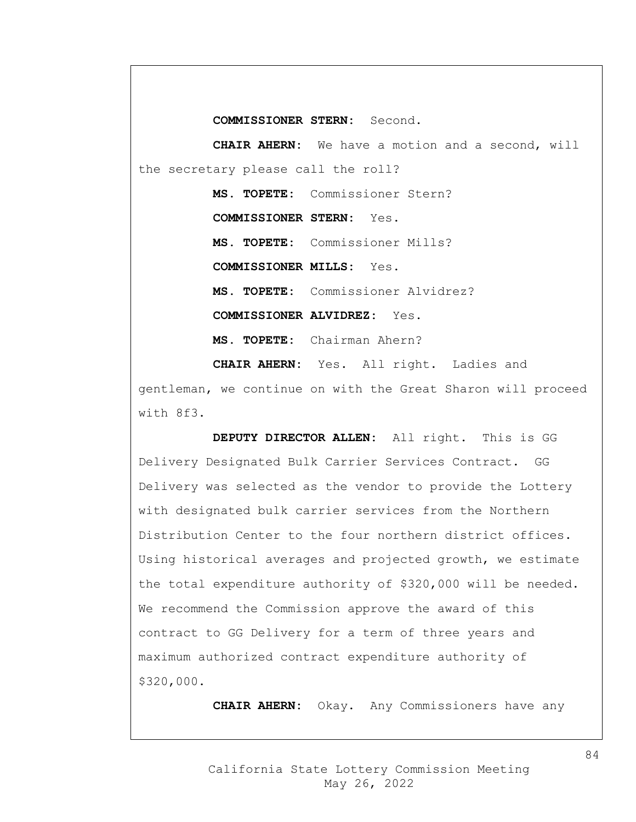**COMMISSIONER STERN:** Second.

**CHAIR AHERN:** We have a motion and a second, will the secretary please call the roll?

> **MS. TOPETE:** Commissioner Stern? **COMMISSIONER STERN:** Yes. **MS. TOPETE:** Commissioner Mills? **COMMISSIONER MILLS:** Yes. **MS. TOPETE:** Commissioner Alvidrez? **COMMISSIONER ALVIDREZ:** Yes. **MS. TOPETE:** Chairman Ahern?

**CHAIR AHERN:** Yes. All right. Ladies and gentleman, we continue on with the Great Sharon will proceed with 8f3.

**DEPUTY DIRECTOR ALLEN:** All right. This is GG Delivery Designated Bulk Carrier Services Contract. GG Delivery was selected as the vendor to provide the Lottery with designated bulk carrier services from the Northern Distribution Center to the four northern district offices. Using historical averages and projected growth, we estimate the total expenditure authority of \$320,000 will be needed. We recommend the Commission approve the award of this contract to GG Delivery for a term of three years and maximum authorized contract expenditure authority of \$320,000.

**CHAIR AHERN:** Okay. Any Commissioners have any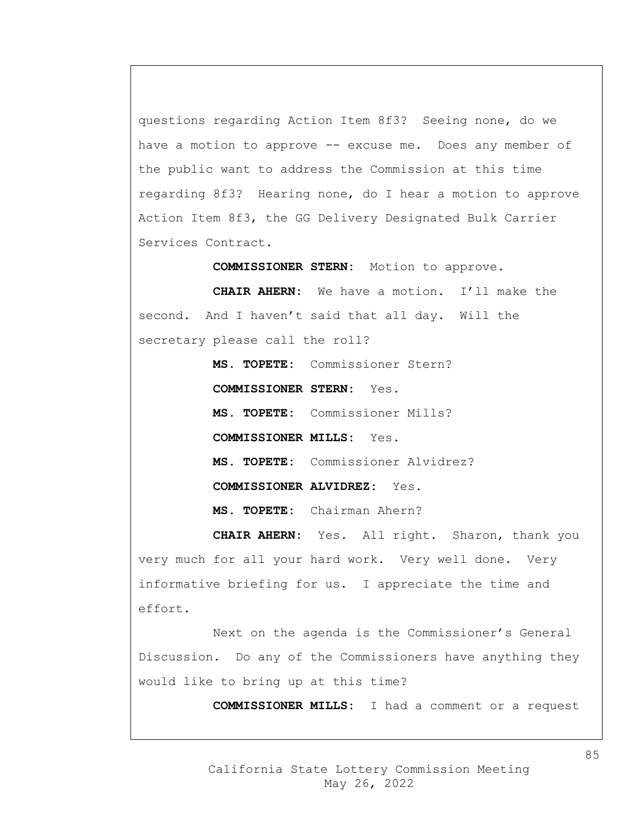questions regarding Action Item 8f3? Seeing none, do we have a motion to approve -- excuse me. Does any member of the public want to address the Commission at this time regarding 8f3? Hearing none, do I hear a motion to approve Action Item 8f3, the GG Delivery Designated Bulk Carrier Services Contract.

**COMMISSIONER STERN:** Motion to approve.

**CHAIR AHERN:** We have a motion. I'll make the second. And I haven't said that all day. Will the secretary please call the roll?

> **MS. TOPETE:** Commissioner Stern? **COMMISSIONER STERN:** Yes. **MS. TOPETE:** Commissioner Mills? **COMMISSIONER MILLS:** Yes. **MS. TOPETE:** Commissioner Alvidrez? **COMMISSIONER ALVIDREZ:** Yes. **MS. TOPETE:** Chairman Ahern?

**CHAIR AHERN:** Yes. All right. Sharon, thank you very much for all your hard work. Very well done. Very informative briefing for us. I appreciate the time and effort.

Next on the agenda is the Commissioner's General Discussion. Do any of the Commissioners have anything they would like to bring up at this time?

**COMMISSIONER MILLS:** I had a comment or a request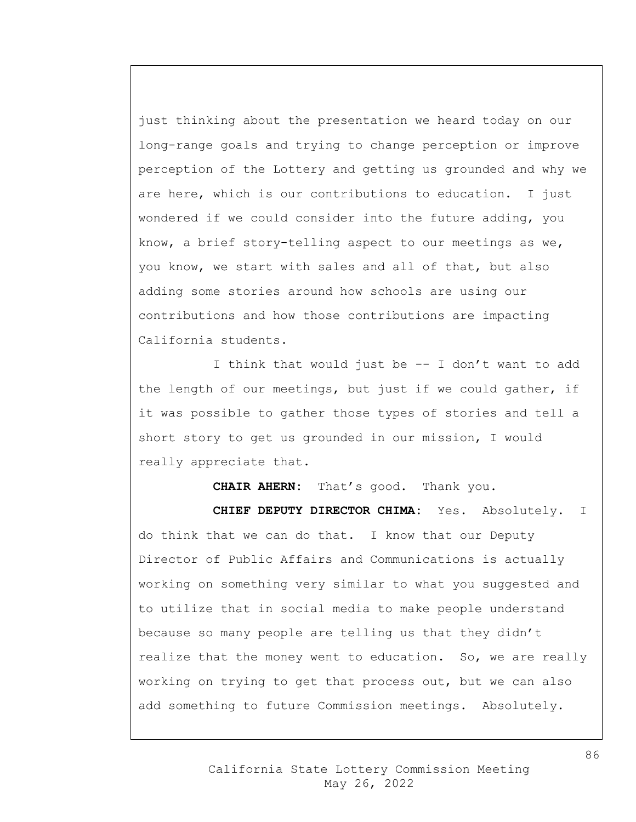just thinking about the presentation we heard today on our long-range goals and trying to change perception or improve perception of the Lottery and getting us grounded and why we are here, which is our contributions to education. I just wondered if we could consider into the future adding, you know, a brief story-telling aspect to our meetings as we, you know, we start with sales and all of that, but also adding some stories around how schools are using our contributions and how those contributions are impacting California students.

I think that would just be -- I don't want to add the length of our meetings, but just if we could gather, if it was possible to gather those types of stories and tell a short story to get us grounded in our mission, I would really appreciate that.

**CHAIR AHERN:** That's good. Thank you. **CHIEF DEPUTY DIRECTOR CHIMA:** Yes. Absolutely. I do think that we can do that. I know that our Deputy Director of Public Affairs and Communications is actually working on something very similar to what you suggested and to utilize that in social media to make people understand because so many people are telling us that they didn't realize that the money went to education. So, we are really working on trying to get that process out, but we can also add something to future Commission meetings. Absolutely.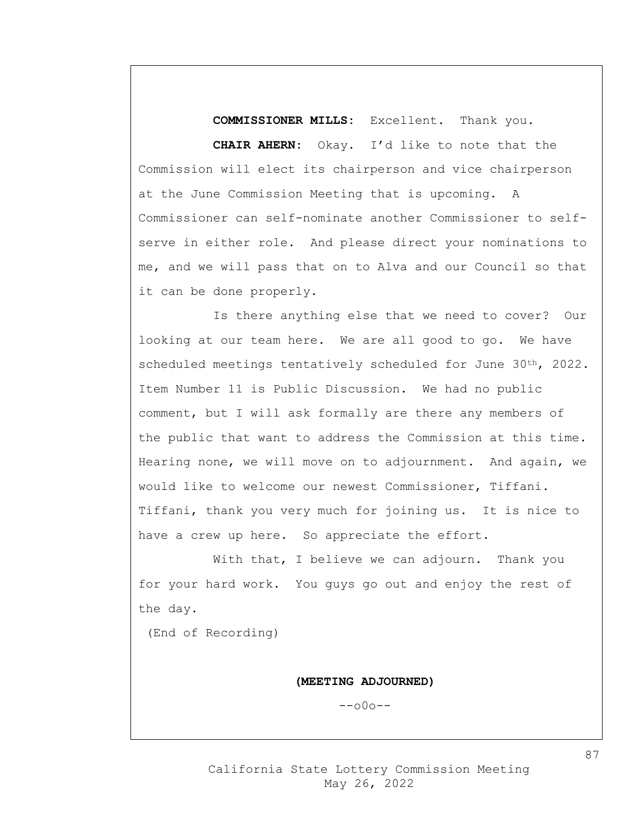**COMMISSIONER MILLS:** Excellent. Thank you.

**CHAIR AHERN:** Okay. I'd like to note that the Commission will elect its chairperson and vice chairperson at the June Commission Meeting that is upcoming. A Commissioner can self-nominate another Commissioner to selfserve in either role. And please direct your nominations to me, and we will pass that on to Alva and our Council so that it can be done properly.

Is there anything else that we need to cover? Our looking at our team here. We are all good to go. We have scheduled meetings tentatively scheduled for June 30<sup>th</sup>, 2022. Item Number 11 is Public Discussion. We had no public comment, but I will ask formally are there any members of the public that want to address the Commission at this time. Hearing none, we will move on to adjournment. And again, we would like to welcome our newest Commissioner, Tiffani. Tiffani, thank you very much for joining us. It is nice to have a crew up here. So appreciate the effort.

With that, I believe we can adjourn. Thank you for your hard work. You guys go out and enjoy the rest of the day.

(End of Recording)

**(MEETING ADJOURNED)**

 $--000--$